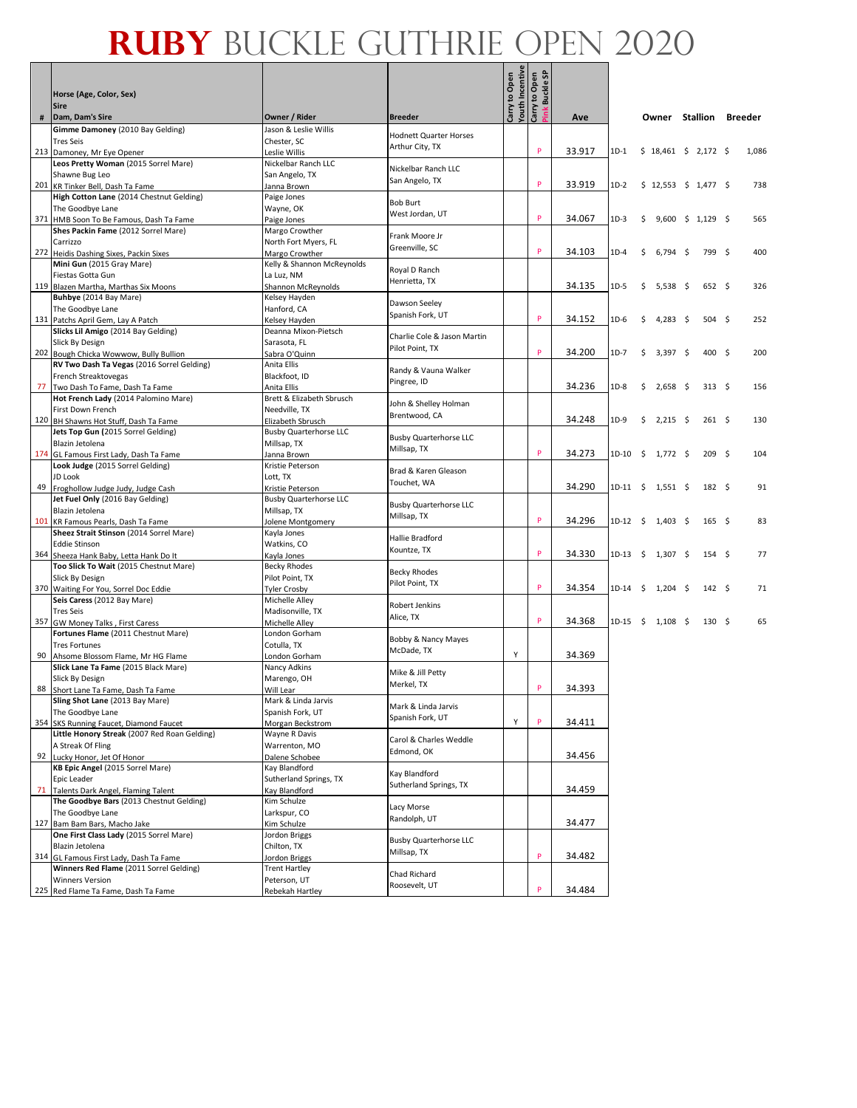|    | Horse (Age, Color, Sex)                                                          |                                                    |                                         | Carry to Open<br>Youth Incentive<br>Carry to Open | ink Buckle SP |        |          |                     |                         |      |                  |                |
|----|----------------------------------------------------------------------------------|----------------------------------------------------|-----------------------------------------|---------------------------------------------------|---------------|--------|----------|---------------------|-------------------------|------|------------------|----------------|
| #  | <b>Sire</b><br>Dam, Dam's Sire                                                   | Owner / Rider                                      | <b>Breeder</b>                          |                                                   |               | Ave    |          |                     | Owner Stallion          |      |                  | <b>Breeder</b> |
|    | Gimme Damoney (2010 Bay Gelding)                                                 | Jason & Leslie Willis                              | <b>Hodnett Quarter Horses</b>           |                                                   |               |        |          |                     |                         |      |                  |                |
|    | <b>Tres Seis</b>                                                                 | Chester, SC                                        | Arthur City, TX                         |                                                   |               |        |          |                     |                         |      |                  |                |
|    | 213 Damoney, Mr Eye Opener<br>Leos Pretty Woman (2015 Sorrel Mare)               | Leslie Willis<br>Nickelbar Ranch LLC               |                                         |                                                   | P             | 33.917 | $1D-1$   |                     | $$18,461 \$2,172 \$$    |      |                  | 1,086          |
|    | Shawne Bug Leo                                                                   | San Angelo, TX                                     | Nickelbar Ranch LLC                     |                                                   |               |        |          |                     |                         |      |                  |                |
|    | 201 KR Tinker Bell, Dash Ta Fame                                                 | Janna Brown                                        | San Angelo, TX                          |                                                   | P             | 33.919 | 1D-2     |                     | $$12,553$ $$1,477$ \$   |      |                  | 738            |
|    | High Cotton Lane (2014 Chestnut Gelding)                                         | Paige Jones                                        | <b>Bob Burt</b>                         |                                                   |               |        |          |                     |                         |      |                  |                |
|    | The Goodbye Lane                                                                 | Wayne, OK                                          | West Jordan, UT                         |                                                   | P             | 34.067 | $1D-3$   |                     |                         |      |                  | 565            |
|    | 371 HMB Soon To Be Famous, Dash Ta Fame<br>Shes Packin Fame (2012 Sorrel Mare)   | Paige Jones<br>Margo Crowther                      |                                         |                                                   |               |        |          | \$                  | $9,600 \div 1,129 \div$ |      |                  |                |
|    | Carrizzo                                                                         | North Fort Myers, FL                               | Frank Moore Jr                          |                                                   |               |        |          |                     |                         |      |                  |                |
|    | 272 Heidis Dashing Sixes, Packin Sixes                                           | Margo Crowther                                     | Greenville, SC                          |                                                   | P             | 34.103 | 1D-4     | \$                  | 6,794                   | - \$ | 799 \$           | 400            |
|    | Mini Gun (2015 Gray Mare)                                                        | Kelly & Shannon McReynolds                         | Royal D Ranch                           |                                                   |               |        |          |                     |                         |      |                  |                |
|    | Fiestas Gotta Gun<br>119 Blazen Martha, Marthas Six Moons                        | La Luz, NM                                         | Henrietta, TX                           |                                                   |               | 34.135 | $1D-5$   | \$                  | 5,538                   | -\$  | $652 \quad$ \$   | 326            |
|    | Buhbye (2014 Bay Mare)                                                           | Shannon McReynolds<br>Kelsey Hayden                |                                         |                                                   |               |        |          |                     |                         |      |                  |                |
|    | The Goodbye Lane                                                                 | Hanford, CA                                        | Dawson Seeley                           |                                                   |               |        |          |                     |                         |      |                  |                |
|    | 131 Patchs April Gem, Lay A Patch                                                | Kelsey Hayden                                      | Spanish Fork, UT                        |                                                   | P             | 34.152 | 1D-6     | \$                  | 4,283                   | -\$  | $504 \quad$ \$   | 252            |
|    | Slicks Lil Amigo (2014 Bay Gelding)                                              | Deanna Mixon-Pietsch                               | Charlie Cole & Jason Martin             |                                                   |               |        |          |                     |                         |      |                  |                |
|    | Slick By Design<br>202 Bough Chicka Wowwow, Bully Bullion                        | Sarasota, FL<br>Sabra O'Quinn                      | Pilot Point, TX                         |                                                   | P             | 34.200 | 1D-7     | \$                  | 3,397                   | - \$ | 400 \$           | 200            |
|    | RV Two Dash Ta Vegas (2016 Sorrel Gelding)                                       | Anita Ellis                                        |                                         |                                                   |               |        |          |                     |                         |      |                  |                |
|    | French Streaktovegas                                                             | Blackfoot. ID                                      | Randy & Vauna Walker                    |                                                   |               |        |          |                     |                         |      |                  |                |
|    | 77 Two Dash To Fame, Dash Ta Fame                                                | Anita Ellis                                        | Pingree, ID                             |                                                   |               | 34.236 | 1D-8     | \$                  | 2,658                   | -\$  | $313 \quad 5$    | 156            |
|    | Hot French Lady (2014 Palomino Mare)                                             | Brett & Elizabeth Sbrusch                          | John & Shelley Holman                   |                                                   |               |        |          |                     |                         |      |                  |                |
|    | First Down French                                                                | Needville, TX                                      | Brentwood, CA                           |                                                   |               | 34.248 | 1D-9     | \$                  | 2,215                   | - \$ | 261S             | 130            |
|    | 120 BH Shawns Hot Stuff, Dash Ta Fame<br>Jets Top Gun (2015 Sorrel Gelding)      | Elizabeth Sbrusch<br><b>Busby Quarterhorse LLC</b> |                                         |                                                   |               |        |          |                     |                         |      |                  |                |
|    | Blazin Jetolena                                                                  | Millsap, TX                                        | <b>Busby Quarterhorse LLC</b>           |                                                   |               |        |          |                     |                         |      |                  |                |
|    | 174 GL Famous First Lady, Dash Ta Fame                                           | Janna Brown                                        | Millsap, TX                             |                                                   | P             | 34.273 | 1D-10    | $\ddot{\mathsf{S}}$ | 1,772 \$                |      | 209 <sup>5</sup> | 104            |
|    | Look Judge (2015 Sorrel Gelding)                                                 | Kristie Peterson                                   | Brad & Karen Gleason                    |                                                   |               |        |          |                     |                         |      |                  |                |
|    | JD Look                                                                          | Lott, TX                                           | Touchet, WA                             |                                                   |               | 34.290 | 1D-11 \$ |                     |                         |      | $182 \quad 5$    | 91             |
|    | 49 Froghollow Judge Judy, Judge Cash<br>Jet Fuel Only (2016 Bay Gelding)         | Kristie Peterson<br><b>Busby Quarterhorse LLC</b>  |                                         |                                                   |               |        |          |                     | $1,551$ \$              |      |                  |                |
|    | Blazin Jetolena                                                                  | Millsap, TX                                        | <b>Busby Quarterhorse LLC</b>           |                                                   |               |        |          |                     |                         |      |                  |                |
|    | 101 KR Famous Pearls, Dash Ta Fame                                               | Jolene Montgomery                                  | Millsap, TX                             |                                                   | P             | 34.296 | 1D-12 \$ |                     | $1,403 \quad$ \$        |      | $165 \quad$      | 83             |
|    | Sheez Strait Stinson (2014 Sorrel Mare)                                          | Kayla Jones                                        | Hallie Bradford                         |                                                   |               |        |          |                     |                         |      |                  |                |
|    | <b>Eddie Stinson</b>                                                             | Watkins, CO                                        | Kountze, TX                             |                                                   | P             | 34.330 | 1D-13    | $\ddot{\mathsf{S}}$ | 1,307 \$                |      | 154 <sub>5</sub> | 77             |
|    | 364 Sheeza Hank Baby, Letta Hank Do It<br>Too Slick To Wait (2015 Chestnut Mare) | Kayla Jones<br><b>Becky Rhodes</b>                 |                                         |                                                   |               |        |          |                     |                         |      |                  |                |
|    | Slick By Design                                                                  | Pilot Point, TX                                    | <b>Becky Rhodes</b>                     |                                                   |               |        |          |                     |                         |      |                  |                |
|    | 370 Waiting For You, Sorrel Doc Eddie                                            | <b>Tyler Crosby</b>                                | Pilot Point, TX                         |                                                   | P             | 34.354 | 1D-14    | -\$                 | $1,204$ \$              |      | $142 \quad$ \$   | 71             |
|    | Seis Caress (2012 Bay Mare)                                                      | Michelle Alley                                     | Robert Jenkins                          |                                                   |               |        |          |                     |                         |      |                  |                |
|    | <b>Tres Seis</b>                                                                 | Madisonville, TX                                   | Alice, TX                               |                                                   | P             | 34.368 | 1D-15    | $\ddot{\mathsf{S}}$ | 1,108 \$                |      | 130S             | 65             |
|    | 357 GW Money Talks, First Caress<br>Fortunes Flame (2011 Chestnut Mare)          | Michelle Alley<br>London Gorham                    |                                         |                                                   |               |        |          |                     |                         |      |                  |                |
|    | <b>Tres Fortunes</b>                                                             | Cotulla, TX                                        | Bobby & Nancy Mayes                     |                                                   |               |        |          |                     |                         |      |                  |                |
| 90 | Ahsome Blossom Flame, Mr HG Flame                                                | London Gorham                                      | McDade, TX                              | Υ                                                 |               | 34.369 |          |                     |                         |      |                  |                |
|    | Slick Lane Ta Fame (2015 Black Mare)                                             | Nancy Adkins                                       | Mike & Jill Petty                       |                                                   |               |        |          |                     |                         |      |                  |                |
|    | Slick By Design<br>88 Short Lane Ta Fame, Dash Ta Fame                           | Marengo, OH<br>Will Lear                           | Merkel, TX                              |                                                   | P             | 34.393 |          |                     |                         |      |                  |                |
|    | Sling Shot Lane (2013 Bay Mare)                                                  | Mark & Linda Jarvis                                |                                         |                                                   |               |        |          |                     |                         |      |                  |                |
|    | The Goodbye Lane                                                                 | Spanish Fork, UT                                   | Mark & Linda Jarvis<br>Spanish Fork, UT |                                                   |               |        |          |                     |                         |      |                  |                |
|    | 354 SKS Running Faucet, Diamond Faucet                                           | Morgan Beckstrom                                   |                                         | Υ                                                 | P             | 34.411 |          |                     |                         |      |                  |                |
|    | Little Honory Streak (2007 Red Roan Gelding)<br>A Streak Of Fling                | Wayne R Davis<br>Warrenton, MO                     | Carol & Charles Weddle                  |                                                   |               |        |          |                     |                         |      |                  |                |
| 92 | Lucky Honor, Jet Of Honor                                                        | Dalene Schobee                                     | Edmond, OK                              |                                                   |               | 34.456 |          |                     |                         |      |                  |                |
|    | KB Epic Angel (2015 Sorrel Mare)                                                 | Kay Blandford                                      |                                         |                                                   |               |        |          |                     |                         |      |                  |                |
|    | Epic Leader                                                                      | Sutherland Springs, TX                             | Kay Blandford<br>Sutherland Springs, TX |                                                   |               |        |          |                     |                         |      |                  |                |
| 71 | Talents Dark Angel, Flaming Talent                                               | Kay Blandford                                      |                                         |                                                   |               | 34.459 |          |                     |                         |      |                  |                |
|    | The Goodbye Bars (2013 Chestnut Gelding)<br>The Goodbye Lane                     | Kim Schulze<br>Larkspur, CO                        | Lacy Morse                              |                                                   |               |        |          |                     |                         |      |                  |                |
|    | 127 Bam Bam Bars, Macho Jake                                                     | Kim Schulze                                        | Randolph, UT                            |                                                   |               | 34.477 |          |                     |                         |      |                  |                |
|    | One First Class Lady (2015 Sorrel Mare)                                          | Jordon Briggs                                      | <b>Busby Quarterhorse LLC</b>           |                                                   |               |        |          |                     |                         |      |                  |                |
|    | Blazin Jetolena                                                                  | Chilton, TX                                        | Millsap, TX                             |                                                   |               |        |          |                     |                         |      |                  |                |
|    | 314 GL Famous First Lady, Dash Ta Fame                                           | Jordon Briggs                                      |                                         |                                                   | P             | 34.482 |          |                     |                         |      |                  |                |
|    | Winners Red Flame (2011 Sorrel Gelding)<br><b>Winners Version</b>                | <b>Trent Hartley</b><br>Peterson, UT               | Chad Richard                            |                                                   |               |        |          |                     |                         |      |                  |                |
|    | 225 Red Flame Ta Fame, Dash Ta Fame                                              | Rebekah Hartley                                    | Roosevelt, UT                           |                                                   | Þ             | 34.484 |          |                     |                         |      |                  |                |
|    |                                                                                  |                                                    |                                         |                                                   |               |        |          |                     |                         |      |                  |                |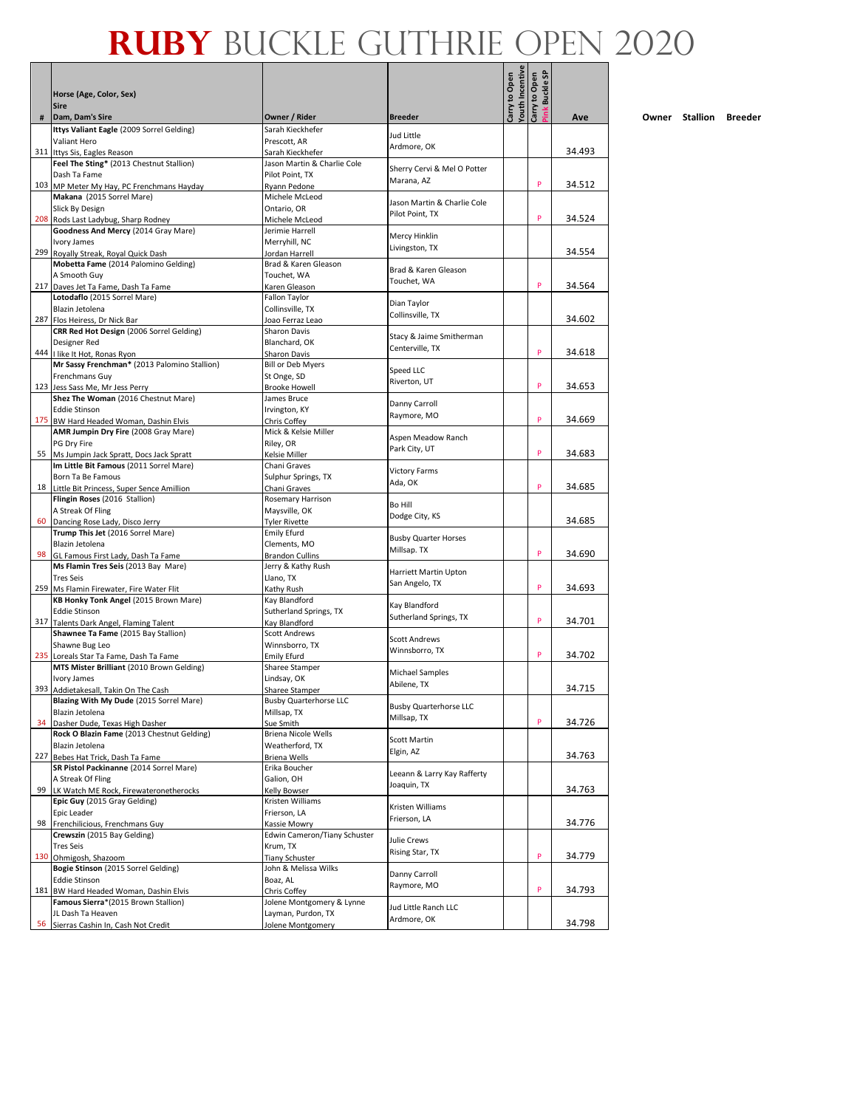Л - 1

|    |                                                                               |                                      |                                              | outh Incentive<br>Carry to Open | ink Buckle SP<br>Carry to Open |        |
|----|-------------------------------------------------------------------------------|--------------------------------------|----------------------------------------------|---------------------------------|--------------------------------|--------|
|    | Horse (Age, Color, Sex)<br><b>Sire</b>                                        |                                      |                                              |                                 |                                |        |
| #  | Dam, Dam's Sire                                                               | Owner / Rider                        | <b>Breeder</b>                               |                                 |                                | Ave    |
|    | Ittys Valiant Eagle (2009 Sorrel Gelding)<br>Valiant Hero                     | Sarah Kieckhefer<br>Prescott, AR     | Jud Little                                   |                                 |                                |        |
|    | 311 Ittys Sis, Eagles Reason                                                  | Sarah Kieckhefer                     | Ardmore, OK                                  |                                 |                                | 34.493 |
|    | Feel The Sting* (2013 Chestnut Stallion)                                      | Jason Martin & Charlie Cole          |                                              |                                 |                                |        |
|    | Dash Ta Fame                                                                  | Pilot Point, TX                      | Sherry Cervi & Mel O Potter<br>Marana, AZ    |                                 |                                |        |
|    | 103 MP Meter My Hay, PC Frenchmans Hayday                                     | Ryann Pedone                         |                                              |                                 | P                              | 34.512 |
|    | Makana (2015 Sorrel Mare)                                                     | Michele McLeod                       | Jason Martin & Charlie Cole                  |                                 |                                |        |
|    | Slick By Design<br>208 Rods Last Ladybug, Sharp Rodney                        | Ontario, OR                          | Pilot Point, TX                              |                                 | P                              | 34.524 |
|    | Goodness And Mercy (2014 Gray Mare)                                           | Michele McLeod<br>Jerimie Harrell    |                                              |                                 |                                |        |
|    | Ivory James                                                                   | Merryhill, NC                        | Mercy Hinklin                                |                                 |                                |        |
|    | 299 Royally Streak, Royal Quick Dash                                          | Jordan Harrell                       | Livingston, TX                               |                                 |                                | 34.554 |
|    | Mobetta Fame (2014 Palomino Gelding)                                          | Brad & Karen Gleason                 | Brad & Karen Gleason                         |                                 |                                |        |
|    | A Smooth Guy                                                                  | Touchet, WA                          | Touchet, WA                                  |                                 |                                |        |
|    | 217 Daves Jet Ta Fame, Dash Ta Fame                                           | Karen Gleason                        |                                              |                                 | P                              | 34.564 |
|    | Lotodaflo (2015 Sorrel Mare)<br>Blazin Jetolena                               | Fallon Taylor                        | Dian Taylor                                  |                                 |                                |        |
|    | 287 Flos Heiress, Dr Nick Bar                                                 | Collinsville, TX<br>Joao Ferraz Leao | Collinsville, TX                             |                                 |                                | 34.602 |
|    | CRR Red Hot Design (2006 Sorrel Gelding)                                      | Sharon Davis                         |                                              |                                 |                                |        |
|    | Designer Red                                                                  | Blanchard, OK                        | Stacy & Jaime Smitherman                     |                                 |                                |        |
|    | 444   like It Hot, Ronas Ryon                                                 | Sharon Davis                         | Centerville, TX                              |                                 | P                              | 34.618 |
|    | Mr Sassy Frenchman* (2013 Palomino Stallion)                                  | <b>Bill or Deb Myers</b>             | Speed LLC                                    |                                 |                                |        |
|    | Frenchmans Guy                                                                | St Onge, SD                          | Riverton, UT                                 |                                 | P                              |        |
|    | 123 Jess Sass Me, Mr Jess Perry<br>Shez The Woman (2016 Chestnut Mare)        | <b>Brooke Howell</b><br>James Bruce  |                                              |                                 |                                | 34.653 |
|    | <b>Eddie Stinson</b>                                                          | Irvington, KY                        | Danny Carroll                                |                                 |                                |        |
|    | 175 BW Hard Headed Woman, Dashin Elvis                                        | Chris Coffey                         | Raymore, MO                                  |                                 | P                              | 34.669 |
|    | AMR Jumpin Dry Fire (2008 Gray Mare)                                          | Mick & Kelsie Miller                 |                                              |                                 |                                |        |
|    | PG Dry Fire                                                                   | Riley, OR                            | Aspen Meadow Ranch                           |                                 |                                |        |
|    | 55 Ms Jumpin Jack Spratt, Docs Jack Spratt                                    | Kelsie Miller                        | Park City, UT                                |                                 | P                              | 34.683 |
|    | Im Little Bit Famous (2011 Sorrel Mare)                                       | Chani Graves                         | <b>Victory Farms</b>                         |                                 |                                |        |
|    | Born Ta Be Famous                                                             | Sulphur Springs, TX                  | Ada, OK                                      |                                 | P                              | 34.685 |
|    | 18 Little Bit Princess, Super Sence Amillion<br>Flingin Roses (2016 Stallion) | Chani Graves<br>Rosemary Harrison    |                                              |                                 |                                |        |
|    | A Streak Of Fling                                                             | Maysville, OK                        | Bo Hill                                      |                                 |                                |        |
|    | 60 Dancing Rose Lady, Disco Jerry                                             | <b>Tyler Rivette</b>                 | Dodge City, KS                               |                                 |                                | 34.685 |
|    | Trump This Jet (2016 Sorrel Mare)                                             | <b>Emily Efurd</b>                   |                                              |                                 |                                |        |
|    | Blazin Jetolena                                                               | Clements, MO                         | <b>Busby Quarter Horses</b><br>Millsap. TX   |                                 |                                |        |
|    | 98 GL Famous First Lady, Dash Ta Fame                                         | <b>Brandon Cullins</b>               |                                              |                                 | P                              | 34.690 |
|    | Ms Flamin Tres Seis (2013 Bay Mare)                                           | Jerry & Kathy Rush                   | Harriett Martin Upton                        |                                 |                                |        |
|    | <b>Tres Seis</b><br>259 Ms Flamin Firewater, Fire Water Flit                  | Llano, TX<br>Kathy Rush              | San Angelo, TX                               |                                 | P                              | 34.693 |
|    | KB Honky Tonk Angel (2015 Brown Mare)                                         | Kay Blandford                        |                                              |                                 |                                |        |
|    | <b>Eddie Stinson</b>                                                          | Sutherland Springs, TX               | Kay Blandford                                |                                 |                                |        |
|    | 317 Talents Dark Angel, Flaming Talent                                        | Kay Blandford                        | Sutherland Springs, TX                       |                                 | P                              | 34.701 |
|    | Shawnee Ta Fame (2015 Bay Stallion)                                           | <b>Scott Andrews</b>                 | <b>Scott Andrews</b>                         |                                 |                                |        |
|    | Shawne Bug Leo                                                                | Winnsborro, TX                       | Winnsborro, TX                               |                                 |                                |        |
|    | 235 Loreals Star Ta Fame, Dash Ta Fame                                        | <b>Emily Efurd</b>                   |                                              |                                 | P                              | 34.702 |
|    | MTS Mister Brilliant (2010 Brown Gelding)<br>Ivory James                      | Sharee Stamper<br>Lindsay, OK        | <b>Michael Samples</b>                       |                                 |                                |        |
|    | 393 Addietakesall, Takin On The Cash                                          | <b>Sharee Stamper</b>                | Abilene, TX                                  |                                 |                                | 34.715 |
|    | Blazing With My Dude (2015 Sorrel Mare)                                       | <b>Busby Quarterhorse LLC</b>        |                                              |                                 |                                |        |
|    | Blazin Jetolena                                                               | Millsap, TX                          | <b>Busby Quarterhorse LLC</b><br>Millsap, TX |                                 |                                |        |
| 34 | Dasher Dude, Texas High Dasher                                                | Sue Smith                            |                                              |                                 | P                              | 34.726 |
|    | Rock O Blazin Fame (2013 Chestnut Gelding)                                    | Briena Nicole Wells                  | Scott Martin                                 |                                 |                                |        |
|    | Blazin Jetolena                                                               | Weatherford, TX                      | Elgin, AZ                                    |                                 |                                | 34.763 |
|    | 227 Bebes Hat Trick, Dash Ta Fame<br>SR Pistol Packinanne (2014 Sorrel Mare)  | <b>Briena Wells</b><br>Erika Boucher |                                              |                                 |                                |        |
|    | A Streak Of Fling                                                             | Galion, OH                           | Leeann & Larry Kay Rafferty                  |                                 |                                |        |
| 99 | LK Watch ME Rock, Firewateronetherocks                                        | Kelly Bowser                         | Joaquin, TX                                  |                                 |                                | 34.763 |
|    | Epic Guy (2015 Gray Gelding)                                                  | Kristen Williams                     | Kristen Williams                             |                                 |                                |        |
|    | Epic Leader                                                                   | Frierson, LA                         | Frierson, LA                                 |                                 |                                |        |
| 98 | Frenchilicious, Frenchmans Guy                                                | Kassie Mowry                         |                                              |                                 |                                | 34.776 |
|    | Crewszin (2015 Bay Gelding)                                                   | Edwin Cameron/Tiany Schuster         | Julie Crews                                  |                                 |                                |        |
|    | <b>Tres Seis</b><br>130 Ohmigosh, Shazoom                                     | Krum, TX<br><b>Tiany Schuster</b>    | Rising Star, TX                              |                                 | P                              | 34.779 |
|    | Bogie Stinson (2015 Sorrel Gelding)                                           | John & Melissa Wilks                 |                                              |                                 |                                |        |
|    | <b>Eddie Stinson</b>                                                          | Boaz, AL                             | Danny Carroll                                |                                 |                                |        |
|    | 181 BW Hard Headed Woman, Dashin Elvis                                        | Chris Coffey                         | Raymore, MO                                  |                                 | P                              | 34.793 |
|    | Famous Sierra*(2015 Brown Stallion)                                           | Jolene Montgomery & Lynne            | Jud Little Ranch LLC                         |                                 |                                |        |
|    | JL Dash Ta Heaven                                                             | Layman, Purdon, TX                   | Ardmore, OK                                  |                                 |                                |        |
|    | 56 Sierras Cashin In, Cash Not Credit                                         | Jolene Montgomery                    |                                              |                                 |                                | 34.798 |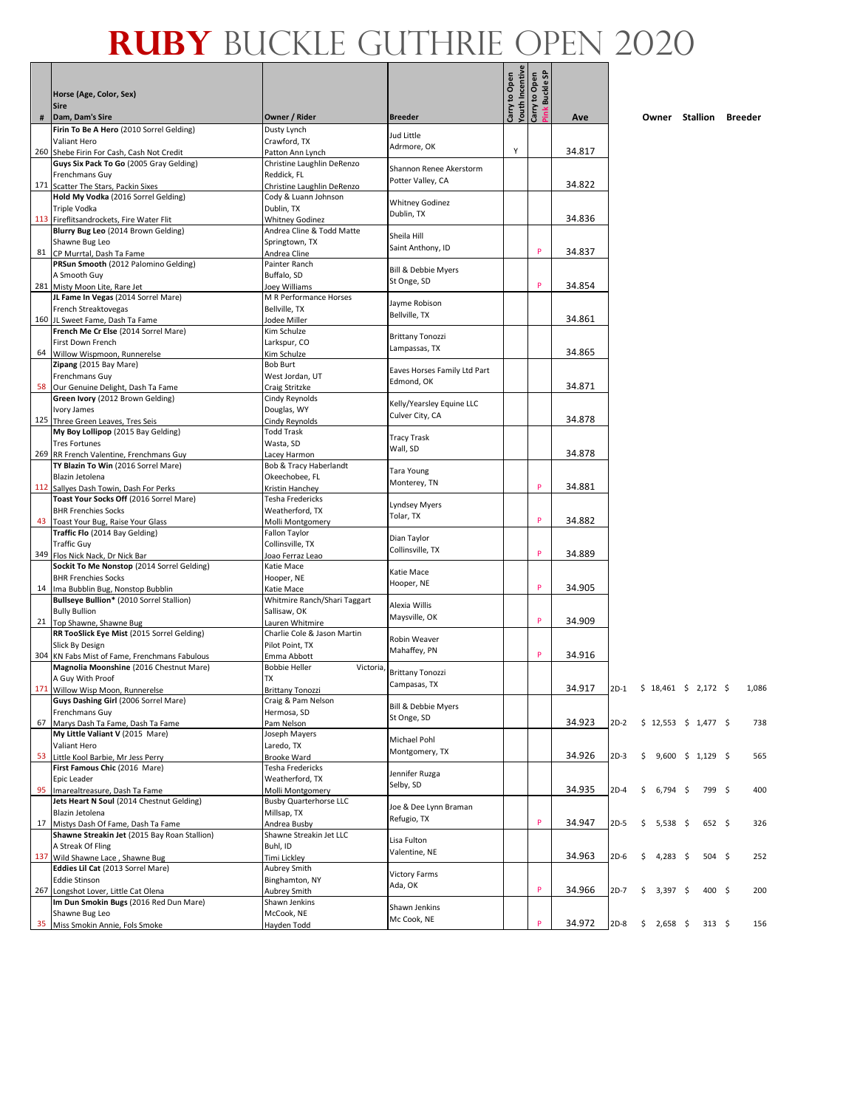Г - 1

|    |                                                                                          |                                                  |                                          | <b>Youth Incentive</b><br>Carry to Open |               |        |        |             |            |                            |               |       |
|----|------------------------------------------------------------------------------------------|--------------------------------------------------|------------------------------------------|-----------------------------------------|---------------|--------|--------|-------------|------------|----------------------------|---------------|-------|
|    | Horse (Age, Color, Sex)                                                                  |                                                  |                                          | Carry to Open                           | ink Buckle SP |        |        |             |            |                            |               |       |
| #  | <b>Sire</b><br>Dam, Dam's Sire                                                           | Owner / Rider                                    | <b>Breeder</b>                           |                                         |               | Ave    |        |             |            | Owner Stallion Breeder     |               |       |
|    | Firin To Be A Hero (2010 Sorrel Gelding)                                                 | Dusty Lynch                                      |                                          |                                         |               |        |        |             |            |                            |               |       |
|    | Valiant Hero                                                                             | Crawford, TX                                     | Jud Little<br>Adrmore, OK                |                                         |               |        |        |             |            |                            |               |       |
|    | 260 Shebe Firin For Cash, Cash Not Credit                                                | Patton Ann Lynch                                 |                                          | Υ                                       |               | 34.817 |        |             |            |                            |               |       |
|    | Guys Six Pack To Go (2005 Gray Gelding)<br>Frenchmans Guy                                | Christine Laughlin DeRenzo<br>Reddick, FL        | Shannon Renee Akerstorm                  |                                         |               |        |        |             |            |                            |               |       |
|    | 171 Scatter The Stars, Packin Sixes                                                      | Christine Laughlin DeRenzo                       | Potter Valley, CA                        |                                         |               | 34.822 |        |             |            |                            |               |       |
|    | Hold My Vodka (2016 Sorrel Gelding)                                                      | Cody & Luann Johnson                             | <b>Whitney Godinez</b>                   |                                         |               |        |        |             |            |                            |               |       |
|    | Triple Vodka<br>113 Fireflitsandrockets, Fire Water Flit                                 | Dublin, TX<br><b>Whitney Godinez</b>             | Dublin, TX                               |                                         |               | 34.836 |        |             |            |                            |               |       |
|    | Blurry Bug Leo (2014 Brown Gelding)                                                      | Andrea Cline & Todd Matte                        | Sheila Hill                              |                                         |               |        |        |             |            |                            |               |       |
|    | Shawne Bug Leo                                                                           | Springtown, TX                                   | Saint Anthony, ID                        |                                         | p             |        |        |             |            |                            |               |       |
|    | 81 CP Murrtal, Dash Ta Fame<br>PRSun Smooth (2012 Palomino Gelding)                      | Andrea Cline<br>Painter Ranch                    |                                          |                                         |               | 34.837 |        |             |            |                            |               |       |
|    | A Smooth Guy                                                                             | Buffalo, SD                                      | Bill & Debbie Myers                      |                                         |               |        |        |             |            |                            |               |       |
|    | 281 Misty Moon Lite, Rare Jet                                                            | Joey Williams                                    | St Onge, SD                              |                                         | p             | 34.854 |        |             |            |                            |               |       |
|    | JL Fame In Vegas (2014 Sorrel Mare)                                                      | M R Performance Horses                           | Jayme Robison                            |                                         |               |        |        |             |            |                            |               |       |
|    | French Streaktovegas<br>160 JL Sweet Fame, Dash Ta Fame                                  | Bellville, TX<br>Jodee Miller                    | Bellville, TX                            |                                         |               | 34.861 |        |             |            |                            |               |       |
|    | French Me Cr Else (2014 Sorrel Mare)                                                     | Kim Schulze                                      |                                          |                                         |               |        |        |             |            |                            |               |       |
|    | First Down French                                                                        | Larkspur, CO                                     | <b>Brittany Tonozzi</b><br>Lampassas, TX |                                         |               |        |        |             |            |                            |               |       |
|    | 64 Willow Wispmoon, Runnerelse<br>Zipang (2015 Bay Mare)                                 | Kim Schulze<br><b>Bob Burt</b>                   |                                          |                                         |               | 34.865 |        |             |            |                            |               |       |
|    | Frenchmans Guy                                                                           | West Jordan, UT                                  | Eaves Horses Family Ltd Part             |                                         |               |        |        |             |            |                            |               |       |
|    | 58 Our Genuine Delight, Dash Ta Fame                                                     | Craig Stritzke                                   | Edmond, OK                               |                                         |               | 34.871 |        |             |            |                            |               |       |
|    | Green Ivory (2012 Brown Gelding)                                                         | Cindy Reynolds                                   | Kelly/Yearsley Equine LLC                |                                         |               |        |        |             |            |                            |               |       |
|    | Ivory James<br>125 Three Green Leaves, Tres Seis                                         | Douglas, WY<br>Cindy Reynolds                    | Culver City, CA                          |                                         |               | 34.878 |        |             |            |                            |               |       |
|    | My Boy Lollipop (2015 Bay Gelding)                                                       | <b>Todd Trask</b>                                |                                          |                                         |               |        |        |             |            |                            |               |       |
|    | <b>Tres Fortunes</b>                                                                     | Wasta, SD                                        | <b>Tracy Trask</b><br>Wall, SD           |                                         |               |        |        |             |            |                            |               |       |
|    | 269 RR French Valentine, Frenchmans Guy<br>TY Blazin To Win (2016 Sorrel Mare)           | Lacey Harmon                                     |                                          |                                         |               | 34.878 |        |             |            |                            |               |       |
|    | Blazin Jetolena                                                                          | Bob & Tracy Haberlandt<br>Okeechobee, FL         | Tara Young                               |                                         |               |        |        |             |            |                            |               |       |
|    | 112 Sallyes Dash Towin, Dash For Perks                                                   | Kristin Hanchey                                  | Monterey, TN                             |                                         | P             | 34.881 |        |             |            |                            |               |       |
|    | Toast Your Socks Off (2016 Sorrel Mare)                                                  | Tesha Fredericks                                 | <b>Lyndsey Myers</b>                     |                                         |               |        |        |             |            |                            |               |       |
|    | <b>BHR Frenchies Socks</b><br>43 Toast Your Bug, Raise Your Glass                        | Weatherford, TX<br>Molli Montgomery              | Tolar, TX                                |                                         | p             | 34.882 |        |             |            |                            |               |       |
|    | Traffic Flo (2014 Bay Gelding)                                                           | Fallon Taylor                                    |                                          |                                         |               |        |        |             |            |                            |               |       |
|    | <b>Traffic Guy</b>                                                                       | Collinsville, TX                                 | Dian Taylor<br>Collinsville, TX          |                                         |               |        |        |             |            |                            |               |       |
|    | 349 Flos Nick Nack, Dr Nick Bar<br>Sockit To Me Nonstop (2014 Sorrel Gelding)            | Joao Ferraz Leao<br>Katie Mace                   |                                          |                                         | P             | 34.889 |        |             |            |                            |               |       |
|    | <b>BHR Frenchies Socks</b>                                                               | Hooper, NE                                       | Katie Mace                               |                                         |               |        |        |             |            |                            |               |       |
|    | 14 Ima Bubblin Bug, Nonstop Bubblin                                                      | Katie Mace                                       | Hooper, NE                               |                                         | P             | 34.905 |        |             |            |                            |               |       |
|    | Bullseye Bullion* (2010 Sorrel Stallion)                                                 | Whitmire Ranch/Shari Taggart                     | Alexia Willis                            |                                         |               |        |        |             |            |                            |               |       |
|    | <b>Bully Bullion</b><br>21 Top Shawne, Shawne Bug                                        | Sallisaw, OK<br>Lauren Whitmire                  | Maysville, OK                            |                                         | P             | 34.909 |        |             |            |                            |               |       |
|    | RR TooSlick Eye Mist (2015 Sorrel Gelding)                                               | Charlie Cole & Jason Martin                      | <b>Robin Weaver</b>                      |                                         |               |        |        |             |            |                            |               |       |
|    | Slick By Design                                                                          | Pilot Point, TX                                  | Mahaffey, PN                             |                                         | P             |        |        |             |            |                            |               |       |
|    | 304 KN Fabs Mist of Fame, Frenchmans Fabulous<br>Magnolia Moonshine (2016 Chestnut Mare) | Emma Abbott<br><b>Bobbie Heller</b><br>Victoria, |                                          |                                         |               | 34.916 |        |             |            |                            |               |       |
|    | A Guy With Proof                                                                         | <b>TX</b>                                        | <b>Brittany Tonozzi</b>                  |                                         |               |        |        |             |            |                            |               |       |
|    | 171 Willow Wisp Moon, Runnerelse                                                         | <b>Brittany Tonozzi</b>                          | Campasas, TX                             |                                         |               | 34.917 |        |             |            | 2D-1 \$ 18,461 \$ 2,172 \$ |               | 1,086 |
|    | Guys Dashing Girl (2006 Sorrel Mare)<br>Frenchmans Guy                                   | Craig & Pam Nelson<br>Hermosa, SD                | Bill & Debbie Myers                      |                                         |               |        |        |             |            |                            |               |       |
|    | 67 Marys Dash Ta Fame, Dash Ta Fame                                                      | Pam Nelson                                       | St Onge, SD                              |                                         |               | 34.923 | $2D-2$ |             |            | $$12,553$ $$1,477$ \$      |               | 738   |
|    | My Little Valiant V (2015 Mare)                                                          | Joseph Mayers                                    | Michael Pohl                             |                                         |               |        |        |             |            |                            |               |       |
|    | Valiant Hero                                                                             | Laredo, TX                                       | Montgomery, TX                           |                                         |               | 34.926 |        |             |            |                            |               |       |
|    | 53 Little Kool Barbie, Mr Jess Perry<br>First Famous Chic (2016 Mare)                    | Brooke Ward<br>Tesha Fredericks                  |                                          |                                         |               |        | $2D-3$ | \$          |            | $9,600 \div 1,129 \div$    |               | 565   |
|    | Epic Leader                                                                              | Weatherford, TX                                  | Jennifer Ruzga                           |                                         |               |        |        |             |            |                            |               |       |
| 95 | Imarealtreasure, Dash Ta Fame                                                            | Molli Montgomery                                 | Selby, SD                                |                                         |               | 34.935 | $2D-4$ | \$          | 6,794      | - \$                       | 799\$         | 400   |
|    | Jets Heart N Soul (2014 Chestnut Gelding)<br>Blazin Jetolena                             | <b>Busby Quarterhorse LLC</b><br>Millsap, TX     | Joe & Dee Lynn Braman                    |                                         |               |        |        |             |            |                            |               |       |
|    | 17 Mistys Dash Of Fame, Dash Ta Fame                                                     | Andrea Busby                                     | Refugio, TX                              |                                         | P             | 34.947 | $2D-5$ | \$          | $5,538$ \$ |                            | 652 \$        | 326   |
|    | Shawne Streakin Jet (2015 Bay Roan Stallion)                                             | Shawne Streakin Jet LLC                          | Lisa Fulton                              |                                         |               |        |        |             |            |                            |               |       |
|    | A Streak Of Fling                                                                        | Buhl, ID                                         | Valentine, NE                            |                                         |               |        |        |             |            |                            |               |       |
|    | 137 Wild Shawne Lace, Shawne Bug<br>Eddies Lil Cat (2013 Sorrel Mare)                    | Timi Lickley<br>Aubrey Smith                     |                                          |                                         |               | 34.963 | $2D-6$ | \$          | 4,283 \$   |                            | $504 \quad $$ | 252   |
|    | <b>Eddie Stinson</b>                                                                     | Binghamton, NY                                   | <b>Victory Farms</b>                     |                                         |               |        |        |             |            |                            |               |       |
|    | 267 Longshot Lover, Little Cat Olena                                                     | Aubrey Smith                                     | Ada, OK                                  |                                         | P             | 34.966 | $2D-7$ | \$          | 3,397 \$   |                            | 400 \$        | 200   |
|    | Im Dun Smokin Bugs (2016 Red Dun Mare)<br>Shawne Bug Leo                                 | Shawn Jenkins<br>McCook, NE                      | Shawn Jenkins                            |                                         |               |        |        |             |            |                            |               |       |
|    | 35 Miss Smokin Annie, Fols Smoke                                                         | Hayden Todd                                      | Mc Cook, NE                              |                                         | P             | 34.972 | $2D-8$ | $$2,658$ \$ |            |                            | 313 \$        | 156   |
|    |                                                                                          |                                                  |                                          |                                         |               |        |        |             |            |                            |               |       |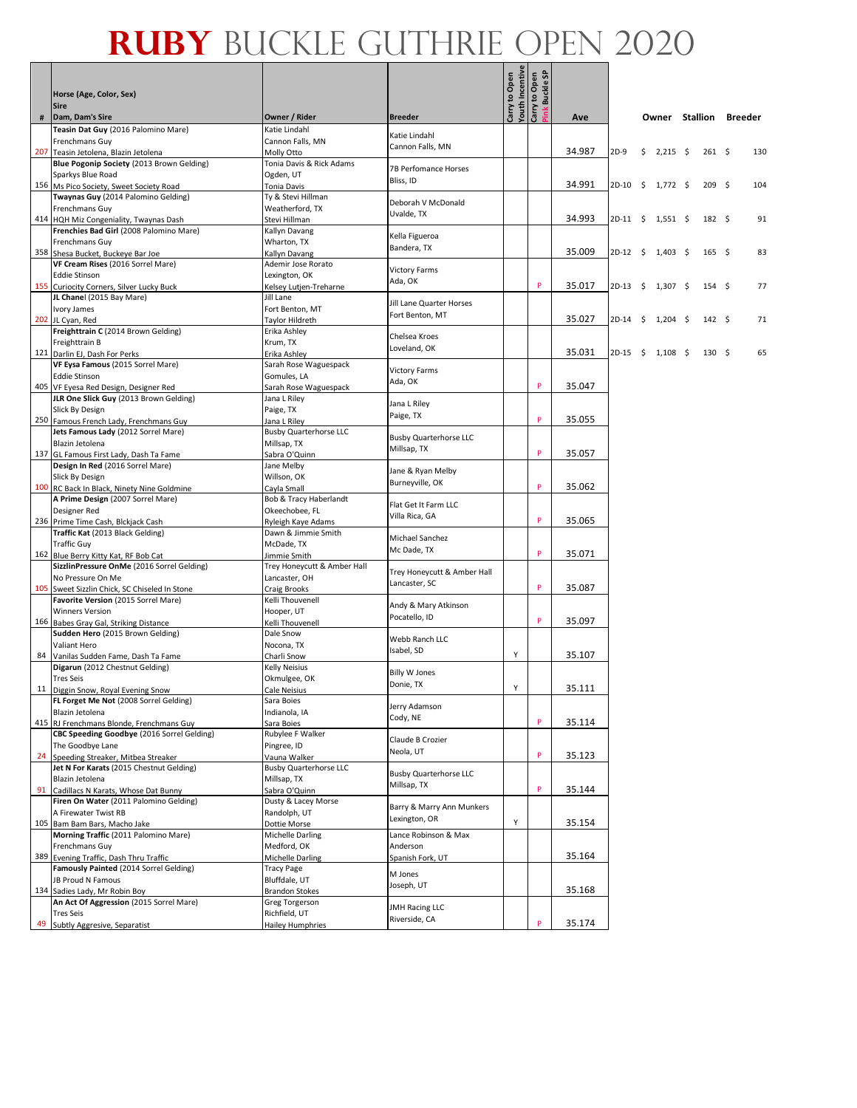|      | Horse (Age, Color, Sex)<br><b>Sire</b>                                        |                                               |                                              | Carry to Open<br>Youth Incentive<br>Carry to Open | Buckle SP |        |            |                        |                  |     |
|------|-------------------------------------------------------------------------------|-----------------------------------------------|----------------------------------------------|---------------------------------------------------|-----------|--------|------------|------------------------|------------------|-----|
| $\#$ | Dam, Dam's Sire                                                               | Owner / Rider                                 | <b>Breeder</b>                               |                                                   |           | Ave    |            | Owner Stallion Breeder |                  |     |
|      | Teasin Dat Guy (2016 Palomino Mare)                                           | Katie Lindahl                                 |                                              |                                                   |           |        |            |                        |                  |     |
|      | Frenchmans Guy                                                                | Cannon Falls, MN                              | Katie Lindahl<br>Cannon Falls, MN            |                                                   |           |        |            |                        |                  |     |
|      | 207 Teasin Jetolena, Blazin Jetolena                                          | Molly Otto                                    |                                              |                                                   |           | 34.987 | $2D-9$     | \$<br>$2,215$ \$       | $261 \quad $$    | 130 |
|      | Blue Pogonip Society (2013 Brown Gelding)<br>Sparkys Blue Road                | Tonia Davis & Rick Adams<br>Ogden, UT         | <b>7B Perfomance Horses</b>                  |                                                   |           |        |            |                        |                  |     |
|      | 156 Ms Pico Society, Sweet Society Road                                       | Tonia Davis                                   | Bliss, ID                                    |                                                   |           | 34.991 |            | $2D-10$ \$ 1,772 \$    | 209 <sup>5</sup> | 104 |
|      | Twaynas Guy (2014 Palomino Gelding)                                           | Ty & Stevi Hillman                            | Deborah V McDonald                           |                                                   |           |        |            |                        |                  |     |
|      | Frenchmans Guy                                                                | Weatherford, TX                               | Uvalde, TX                                   |                                                   |           |        |            |                        |                  |     |
|      | 414 HQH Miz Congeniality, Twaynas Dash                                        | Stevi Hillman                                 |                                              |                                                   |           | 34.993 |            | $2D-11$ \$ 1,551 \$    | $182 \quad 5$    | 91  |
|      | Frenchies Bad Girl (2008 Palomino Mare)<br>Frenchmans Guy                     | Kallyn Davang<br>Wharton, TX                  | Kella Figueroa                               |                                                   |           |        |            |                        |                  |     |
|      | 358 Shesa Bucket, Buckeye Bar Joe                                             | Kallyn Davang                                 | Bandera, TX                                  |                                                   |           | 35.009 | $2D-12$ \$ | $1,403 \quad$ \$       | $165 \quad$      | 83  |
|      | VF Cream Rises (2016 Sorrel Mare)                                             | Ademir Jose Rorato                            | <b>Victory Farms</b>                         |                                                   |           |        |            |                        |                  |     |
|      | <b>Eddie Stinson</b>                                                          | Lexington, OK                                 | Ada, OK                                      |                                                   |           |        |            |                        |                  |     |
|      | 155 Curiocity Corners, Silver Lucky Buck<br>JL Chanel (2015 Bay Mare)         | Kelsey Lutjen-Treharne<br>Jill Lane           |                                              |                                                   | P         | 35.017 | $2D-13$ \$ | $1,307$ \$             | 154 <sub>5</sub> | 77  |
|      | Ivory James                                                                   | Fort Benton, MT                               | Jill Lane Quarter Horses                     |                                                   |           |        |            |                        |                  |     |
|      | 202 JL Cyan, Red                                                              | Taylor Hildreth                               | Fort Benton, MT                              |                                                   |           | 35.027 | 2D-14      | \$<br>$1,204$ \$       | 142S             | 71  |
|      | Freighttrain C (2014 Brown Gelding)                                           | Erika Ashley                                  | Chelsea Kroes                                |                                                   |           |        |            |                        |                  |     |
|      | Freighttrain B                                                                | Krum, TX                                      | Loveland, OK                                 |                                                   |           |        |            |                        |                  |     |
|      | 121 Darlin EJ, Dash For Perks<br>VF Eysa Famous (2015 Sorrel Mare)            | Erika Ashley<br>Sarah Rose Waguespack         |                                              |                                                   |           | 35.031 | $2D-15$ \$ | $1,108$ \$             | 130S             | 65  |
|      | <b>Eddie Stinson</b>                                                          | Gomules, LA                                   | <b>Victory Farms</b>                         |                                                   |           |        |            |                        |                  |     |
|      | 405 VF Eyesa Red Design, Designer Red                                         | Sarah Rose Waguespack                         | Ada, OK                                      |                                                   | P         | 35.047 |            |                        |                  |     |
|      | JLR One Slick Guy (2013 Brown Gelding)                                        | Jana L Riley                                  | Jana L Riley                                 |                                                   |           |        |            |                        |                  |     |
|      | Slick By Design                                                               | Paige, TX                                     | Paige, TX                                    |                                                   | P         | 35.055 |            |                        |                  |     |
|      | 250 Famous French Lady, Frenchmans Guy<br>Jets Famous Lady (2012 Sorrel Mare) | Jana L Riley<br><b>Busby Quarterhorse LLC</b> |                                              |                                                   |           |        |            |                        |                  |     |
|      | Blazin Jetolena                                                               | Millsap, TX                                   | <b>Busby Quarterhorse LLC</b>                |                                                   |           |        |            |                        |                  |     |
|      | 137 GL Famous First Lady, Dash Ta Fame                                        | Sabra O'Quinn                                 | Millsap, TX                                  |                                                   | P         | 35.057 |            |                        |                  |     |
|      | Design In Red (2016 Sorrel Mare)                                              | Jane Melby                                    | Jane & Ryan Melby                            |                                                   |           |        |            |                        |                  |     |
|      | Slick By Design<br>100 RC Back In Black, Ninety Nine Goldmine                 | Willson, OK<br>Cayla Small                    | Burneyville, OK                              |                                                   | P         | 35.062 |            |                        |                  |     |
|      | A Prime Design (2007 Sorrel Mare)                                             | Bob & Tracy Haberlandt                        |                                              |                                                   |           |        |            |                        |                  |     |
|      | Designer Red                                                                  | Okeechobee, FL                                | Flat Get It Farm LLC<br>Villa Rica, GA       |                                                   |           |        |            |                        |                  |     |
|      | 236 Prime Time Cash, Blckjack Cash                                            | Ryleigh Kaye Adams                            |                                              |                                                   | P         | 35.065 |            |                        |                  |     |
|      | Traffic Kat (2013 Black Gelding)<br><b>Traffic Guy</b>                        | Dawn & Jimmie Smith<br>McDade, TX             | Michael Sanchez                              |                                                   |           |        |            |                        |                  |     |
|      | 162 Blue Berry Kitty Kat, RF Bob Cat                                          | Jimmie Smith                                  | Mc Dade, TX                                  |                                                   | P         | 35.071 |            |                        |                  |     |
|      | SizzlinPressure OnMe (2016 Sorrel Gelding)                                    | Trey Honeycutt & Amber Hall                   |                                              |                                                   |           |        |            |                        |                  |     |
|      | No Pressure On Me                                                             | Lancaster, OH                                 | Trey Honeycutt & Amber Hall<br>Lancaster, SC |                                                   |           |        |            |                        |                  |     |
|      | 105 Sweet Sizzlin Chick, SC Chiseled In Stone                                 | <b>Craig Brooks</b>                           |                                              |                                                   | P         | 35.087 |            |                        |                  |     |
|      | Favorite Version (2015 Sorrel Mare)<br><b>Winners Version</b>                 | Kelli Thouvenell<br>Hooper, UT                | Andy & Mary Atkinson                         |                                                   |           |        |            |                        |                  |     |
|      | 166 Babes Gray Gal, Striking Distance                                         | Kelli Thouvenell                              | Pocatello, ID                                |                                                   | P         | 35.097 |            |                        |                  |     |
|      | Sudden Hero (2015 Brown Gelding)                                              | Dale Snow                                     | Webb Ranch LLC                               |                                                   |           |        |            |                        |                  |     |
|      | Valiant Hero                                                                  | Nocona, TX                                    | Isabel, SD                                   | Υ                                                 |           | 35.107 |            |                        |                  |     |
|      | 84 Vanilas Sudden Fame, Dash Ta Fame<br>Digarun (2012 Chestnut Gelding)       | Charli Snow<br>Kelly Neisius                  |                                              |                                                   |           |        |            |                        |                  |     |
|      | <b>Tres Seis</b>                                                              | Okmulgee, OK                                  | <b>Billy W Jones</b>                         |                                                   |           |        |            |                        |                  |     |
|      | 11 Diggin Snow, Royal Evening Snow                                            | Cale Neisius                                  | Donie, TX                                    | Υ                                                 |           | 35.111 |            |                        |                  |     |
|      | FL Forget Me Not (2008 Sorrel Gelding)                                        | Sara Boies                                    | Jerry Adamson                                |                                                   |           |        |            |                        |                  |     |
|      | Blazin Jetolena<br>415 RJ Frenchmans Blonde, Frenchmans Guy                   | Indianola, IA<br>Sara Boies                   | Cody, NE                                     |                                                   | P         | 35.114 |            |                        |                  |     |
|      | CBC Speeding Goodbye (2016 Sorrel Gelding)                                    | Rubylee F Walker                              |                                              |                                                   |           |        |            |                        |                  |     |
|      | The Goodbye Lane                                                              | Pingree, ID                                   | Claude B Crozier<br>Neola, UT                |                                                   |           |        |            |                        |                  |     |
|      | 24 Speeding Streaker, Mitbea Streaker                                         | Vauna Walker                                  |                                              |                                                   | P         | 35.123 |            |                        |                  |     |
|      | Jet N For Karats (2015 Chestnut Gelding)<br>Blazin Jetolena                   | <b>Busby Quarterhorse LLC</b><br>Millsap, TX  | <b>Busby Quarterhorse LLC</b>                |                                                   |           |        |            |                        |                  |     |
|      | 91 Cadillacs N Karats, Whose Dat Bunny                                        | Sabra O'Quinn                                 | Millsap, TX                                  |                                                   | P         | 35.144 |            |                        |                  |     |
|      | Firen On Water (2011 Palomino Gelding)                                        | Dusty & Lacey Morse                           | Barry & Marry Ann Munkers                    |                                                   |           |        |            |                        |                  |     |
|      | A Firewater Twist RB                                                          | Randolph, UT                                  | Lexington, OR                                |                                                   |           |        |            |                        |                  |     |
|      | 105 Bam Bam Bars, Macho Jake<br>Morning Traffic (2011 Palomino Mare)          | Dottie Morse<br>Michelle Darling              | Lance Robinson & Max                         | Υ                                                 |           | 35.154 |            |                        |                  |     |
|      | Frenchmans Guy                                                                | Medford, OK                                   | Anderson                                     |                                                   |           |        |            |                        |                  |     |
|      | 389 Evening Traffic, Dash Thru Traffic                                        | Michelle Darling                              | Spanish Fork, UT                             |                                                   |           | 35.164 |            |                        |                  |     |
|      | Famously Painted (2014 Sorrel Gelding)                                        | <b>Tracy Page</b>                             | M Jones                                      |                                                   |           |        |            |                        |                  |     |
|      | JB Proud N Famous                                                             | Bluffdale, UT                                 | Joseph, UT                                   |                                                   |           | 35.168 |            |                        |                  |     |
|      | 134 Sadies Lady, Mr Robin Boy<br>An Act Of Aggression (2015 Sorrel Mare)      | <b>Brandon Stokes</b><br>Greg Torgerson       |                                              |                                                   |           |        |            |                        |                  |     |
|      | <b>Tres Seis</b>                                                              | Richfield, UT                                 | <b>JMH Racing LLC</b>                        |                                                   |           |        |            |                        |                  |     |
|      | 49 Subtly Aggresive, Separatist                                               | <b>Hailey Humphries</b>                       | Riverside, CA                                |                                                   |           | 35.174 |            |                        |                  |     |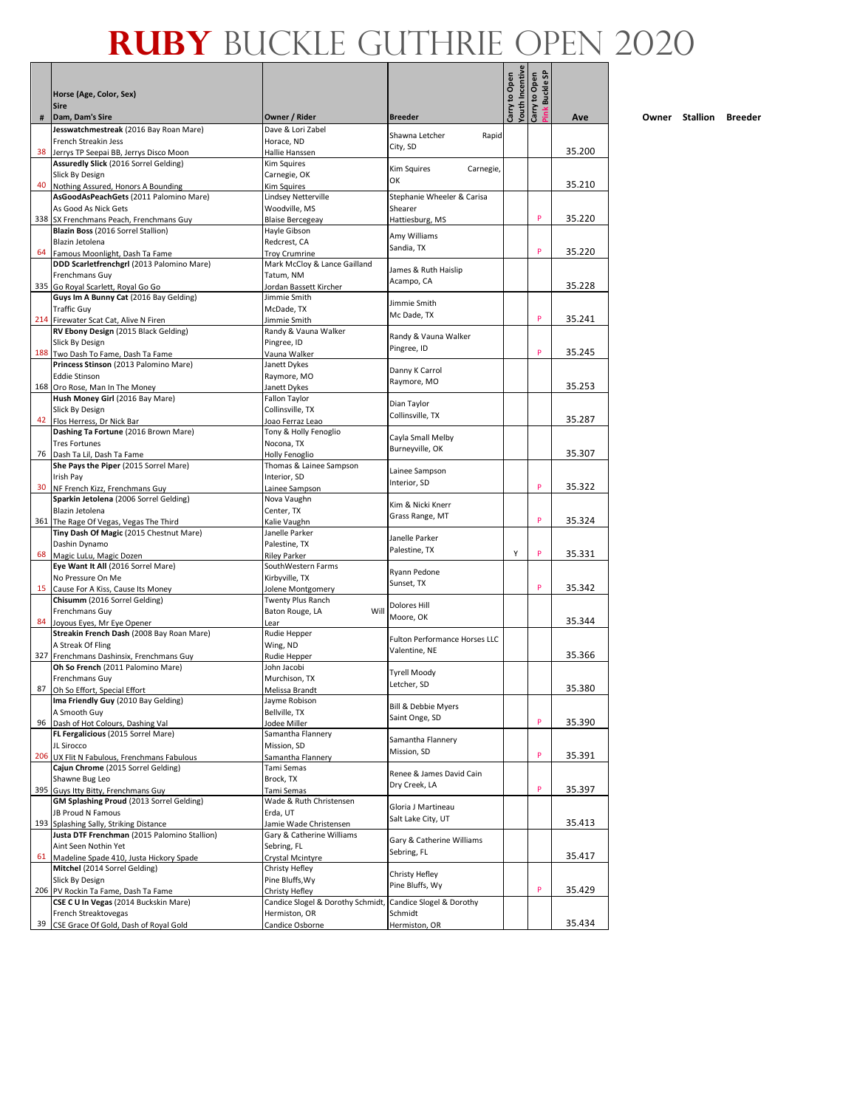Л - 1

|    | Horse (Age, Color, Sex)                                                           |                                                    |                                                | <b>/outh Incentive</b><br>Carry to Open | ink Buckle SP<br>Carry to Open |        |
|----|-----------------------------------------------------------------------------------|----------------------------------------------------|------------------------------------------------|-----------------------------------------|--------------------------------|--------|
| #  | <b>Sire</b><br>Dam, Dam's Sire                                                    | Owner / Rider                                      | <b>Breeder</b>                                 |                                         |                                | Ave    |
|    | Jesswatchmestreak (2016 Bay Roan Mare)                                            | Dave & Lori Zabel                                  | Shawna Letcher<br>Rapid                        |                                         |                                |        |
| 38 | French Streakin Jess<br>Jerrys TP Seepai BB, Jerrys Disco Moon                    | Horace, ND<br>Hallie Hanssen                       | City, SD                                       |                                         |                                | 35.200 |
|    | Assuredly Slick (2016 Sorrel Gelding)                                             | Kim Squires                                        |                                                |                                         |                                |        |
|    | Slick By Design                                                                   | Carnegie, OK                                       | <b>Kim Squires</b><br>Carnegie,<br>OK          |                                         |                                |        |
|    | 40 Nothing Assured, Honors A Bounding<br>AsGoodAsPeachGets (2011 Palomino Mare)   | Kim Squires<br>Lindsey Netterville                 | Stephanie Wheeler & Carisa                     |                                         |                                | 35.210 |
|    | As Good As Nick Gets                                                              | Woodville, MS                                      | Shearer                                        |                                         |                                |        |
|    | 338 SX Frenchmans Peach, Frenchmans Guy                                           | <b>Blaise Bercegeay</b>                            | Hattiesburg, MS                                |                                         | P                              | 35.220 |
|    | Blazin Boss (2016 Sorrel Stallion)<br>Blazin Jetolena                             | Hayle Gibson<br>Redcrest, CA                       | Amy Williams                                   |                                         |                                |        |
|    | 64 Famous Moonlight, Dash Ta Fame                                                 | <b>Troy Crumrine</b>                               | Sandia, TX                                     |                                         | P                              | 35.220 |
|    | DDD Scarletfrenchgrl (2013 Palomino Mare)                                         | Mark McCloy & Lance Gailland                       | James & Ruth Haislip                           |                                         |                                |        |
|    | Frenchmans Guy                                                                    | Tatum, NM                                          | Acampo, CA                                     |                                         |                                | 35.228 |
|    | 335 Go Royal Scarlett, Royal Go Go<br>Guys Im A Bunny Cat (2016 Bay Gelding)      | Jordan Bassett Kircher<br>Jimmie Smith             |                                                |                                         |                                |        |
|    | <b>Traffic Guy</b>                                                                | McDade, TX                                         | Jimmie Smith<br>Mc Dade, TX                    |                                         |                                |        |
|    | 214 Firewater Scat Cat, Alive N Firen                                             | Jimmie Smith                                       |                                                |                                         | P                              | 35.241 |
|    | RV Ebony Design (2015 Black Gelding)<br>Slick By Design                           | Randy & Vauna Walker<br>Pingree, ID                | Randy & Vauna Walker                           |                                         |                                |        |
|    | 188 Two Dash To Fame, Dash Ta Fame                                                | Vauna Walker                                       | Pingree, ID                                    |                                         | P                              | 35.245 |
|    | Princess Stinson (2013 Palomino Mare)                                             | Janett Dykes                                       | Danny K Carrol                                 |                                         |                                |        |
|    | <b>Eddie Stinson</b><br>168 Oro Rose, Man In The Money                            | Raymore, MO<br>Janett Dykes                        | Raymore, MO                                    |                                         |                                | 35.253 |
|    | Hush Money Girl (2016 Bay Mare)                                                   | Fallon Taylor                                      |                                                |                                         |                                |        |
|    | Slick By Design                                                                   | Collinsville, TX                                   | Dian Taylor<br>Collinsville, TX                |                                         |                                |        |
|    | 42 Flos Herress, Dr Nick Bar                                                      | Joao Ferraz Leao                                   |                                                |                                         |                                | 35.287 |
|    | Dashing Ta Fortune (2016 Brown Mare)<br><b>Tres Fortunes</b>                      | Tony & Holly Fenoglio<br>Nocona, TX                | Cayla Small Melby                              |                                         |                                |        |
|    | 76 Dash Ta Lil, Dash Ta Fame                                                      | Holly Fenoglio                                     | Burneyville, OK                                |                                         |                                | 35.307 |
|    | She Pays the Piper (2015 Sorrel Mare)                                             | Thomas & Lainee Sampson                            | Lainee Sampson                                 |                                         |                                |        |
|    | Irish Pay<br>30 NF French Kizz, Frenchmans Guy                                    | Interior, SD<br>Lainee Sampson                     | Interior, SD                                   |                                         | P                              | 35.322 |
|    | Sparkin Jetolena (2006 Sorrel Gelding)                                            | Nova Vaughn                                        |                                                |                                         |                                |        |
|    | Blazin Jetolena                                                                   | Center, TX                                         | Kim & Nicki Knerr<br>Grass Range, MT           |                                         |                                |        |
|    | 361 The Rage Of Vegas, Vegas The Third<br>Tiny Dash Of Magic (2015 Chestnut Mare) | Kalie Vaughn<br>Janelle Parker                     |                                                |                                         | P                              | 35.324 |
|    | Dashin Dynamo                                                                     | Palestine, TX                                      | Janelle Parker                                 |                                         |                                |        |
|    | 68 Magic LuLu, Magic Dozen                                                        | Riley Parker                                       | Palestine, TX                                  | Υ                                       | P                              | 35.331 |
|    | Eye Want It All (2016 Sorrel Mare)<br>No Pressure On Me                           | SouthWestern Farms                                 | Ryann Pedone                                   |                                         |                                |        |
|    | 15 Cause For A Kiss, Cause Its Money                                              | Kirbyville, TX<br>Jolene Montgomery                | Sunset, TX                                     |                                         | P                              | 35.342 |
|    | Chisumm (2016 Sorrel Gelding)                                                     | Twenty Plus Ranch                                  | Dolores Hill                                   |                                         |                                |        |
|    | Frenchmans Guy                                                                    | Will<br>Baton Rouge, LA                            | Moore, OK                                      |                                         |                                | 35.344 |
|    | 84 Joyous Eyes, Mr Eye Opener<br>Streakin French Dash (2008 Bay Roan Mare)        | Lear<br>Rudie Hepper                               |                                                |                                         |                                |        |
|    | A Streak Of Fling                                                                 | Wing, ND                                           | Fulton Performance Horses LLC<br>Valentine, NE |                                         |                                |        |
|    | 327 Frenchmans Dashinsix, Frenchmans Guy                                          | Rudie Hepper                                       |                                                |                                         |                                | 35.366 |
|    | Oh So French (2011 Palomino Mare)<br>Frenchmans Guy                               | John Jacobi<br>Murchison. TX                       | <b>Tyrell Moody</b>                            |                                         |                                |        |
|    | 87 Oh So Effort, Special Effort                                                   | <b>Melissa Brandt</b>                              | Letcher, SD                                    |                                         |                                | 35.380 |
|    | Ima Friendly Guy (2010 Bay Gelding)                                               | Jayme Robison                                      | <b>Bill &amp; Debbie Myers</b>                 |                                         |                                |        |
| 96 | A Smooth Guy<br>Dash of Hot Colours, Dashing Val                                  | Bellville, TX<br>Jodee Miller                      | Saint Onge, SD                                 |                                         | P                              | 35.390 |
|    | FL Fergalicious (2015 Sorrel Mare)                                                | Samantha Flannery                                  |                                                |                                         |                                |        |
|    | JL Sirocco                                                                        | Mission, SD                                        | Samantha Flannery<br>Mission, SD               |                                         |                                |        |
|    | 206 UX Flit N Fabulous, Frenchmans Fabulous<br>Cajun Chrome (2015 Sorrel Gelding) | Samantha Flannery<br>Tami Semas                    |                                                |                                         | P                              | 35.391 |
|    | Shawne Bug Leo                                                                    | Brock. TX                                          | Renee & James David Cain                       |                                         |                                |        |
|    | 395 Guys Itty Bitty, Frenchmans Guy                                               | Tami Semas                                         | Dry Creek, LA                                  |                                         | P                              | 35.397 |
|    | GM Splashing Proud (2013 Sorrel Gelding)<br>JB Proud N Famous                     | Wade & Ruth Christensen                            | Gloria J Martineau                             |                                         |                                |        |
|    | 193 Splashing Sally, Striking Distance                                            | Erda, UT<br>Jamie Wade Christensen                 | Salt Lake City, UT                             |                                         |                                | 35.413 |
|    | Justa DTF Frenchman (2015 Palomino Stallion)                                      | Gary & Catherine Williams                          | Gary & Catherine Williams                      |                                         |                                |        |
|    | Aint Seen Nothin Yet                                                              | Sebring, FL                                        | Sebring, FL                                    |                                         |                                |        |
| 61 | Madeline Spade 410, Justa Hickory Spade<br>Mitchel (2014 Sorrel Gelding)          | Crystal Mcintyre<br>Christy Hefley                 |                                                |                                         |                                | 35.417 |
|    | Slick By Design                                                                   | Pine Bluffs, Wy                                    | Christy Hefley                                 |                                         |                                |        |
|    | 206 PV Rockin Ta Fame, Dash Ta Fame                                               | Christy Hefley                                     | Pine Bluffs, Wy                                |                                         | P                              | 35.429 |
|    | CSE C U In Vegas (2014 Buckskin Mare)<br>French Streaktovegas                     | Candice Slogel & Dorothy Schmidt,<br>Hermiston, OR | Candice Slogel & Dorothy<br>Schmidt            |                                         |                                |        |
|    | 39 CSE Grace Of Gold, Dash of Royal Gold                                          | Candice Osborne                                    | Hermiston, OR                                  |                                         |                                | 35.434 |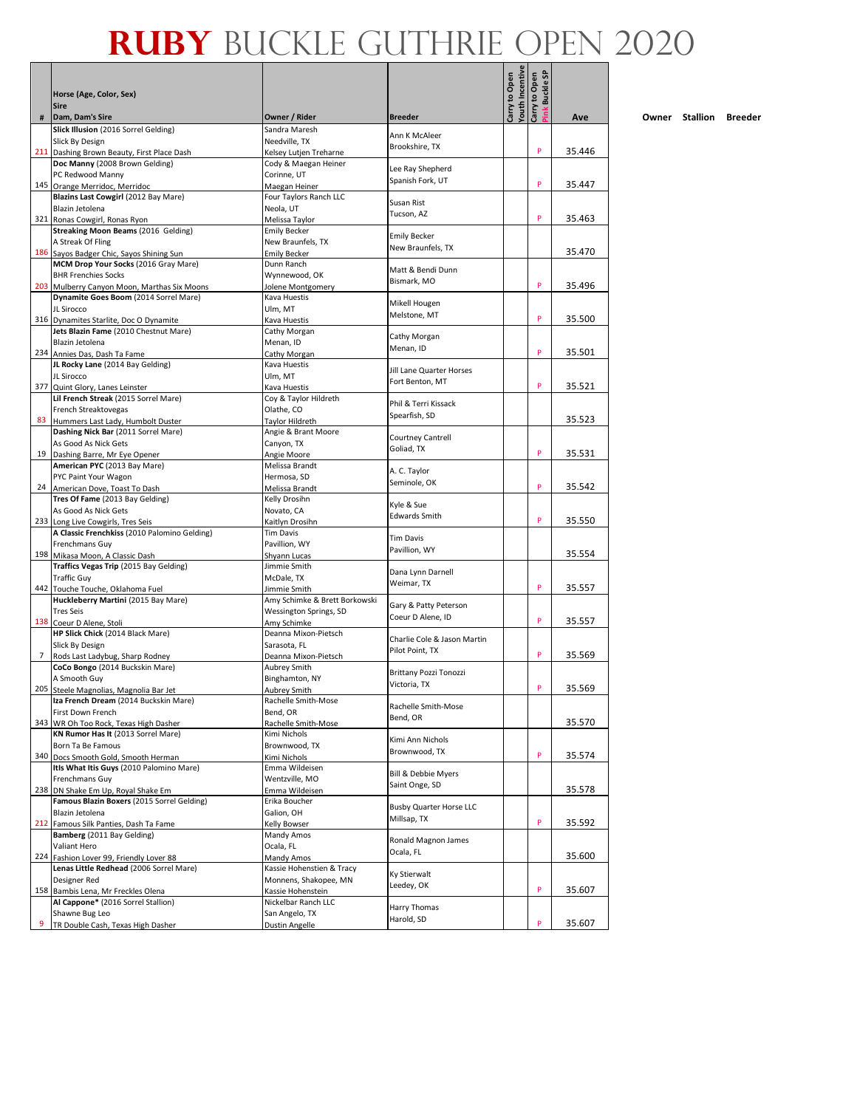Л - 1

|             | Horse (Age, Color, Sex)<br><b>Sire</b>                                               |                                                    |                                          | outh Incentive<br>Carry to Open | ink Buckle SP<br>Carry to Open |        |
|-------------|--------------------------------------------------------------------------------------|----------------------------------------------------|------------------------------------------|---------------------------------|--------------------------------|--------|
| #           | Dam, Dam's Sire                                                                      | Owner / Rider                                      | <b>Breeder</b>                           |                                 |                                | Ave    |
|             | Slick Illusion (2016 Sorrel Gelding)                                                 | Sandra Maresh<br>Needville, TX                     | Ann K McAleer                            |                                 |                                |        |
|             | Slick By Design<br>211 Dashing Brown Beauty, First Place Dash                        | Kelsey Lutjen Treharne                             | Brookshire, TX                           |                                 | P                              | 35.446 |
|             | Doc Manny (2008 Brown Gelding)                                                       | Cody & Maegan Heiner                               |                                          |                                 |                                |        |
|             | PC Redwood Manny                                                                     | Corinne, UT                                        | Lee Ray Shepherd<br>Spanish Fork, UT     |                                 |                                |        |
|             | 145 Orange Merridoc, Merridoc                                                        | Maegan Heiner                                      |                                          |                                 | P                              | 35.447 |
|             | Blazins Last Cowgirl (2012 Bay Mare)                                                 | Four Taylors Ranch LLC                             | Susan Rist                               |                                 |                                |        |
|             | Blazin Jetolena<br>321 Ronas Cowgirl, Ronas Ryon                                     | Neola, UT<br>Melissa Taylor                        | Tucson, AZ                               |                                 | P                              | 35.463 |
|             | Streaking Moon Beams (2016 Gelding)                                                  | <b>Emily Becker</b>                                |                                          |                                 |                                |        |
|             | A Streak Of Fling                                                                    | New Braunfels, TX                                  | <b>Emily Becker</b><br>New Braunfels, TX |                                 |                                |        |
|             | 186 Sayos Badger Chic, Sayos Shining Sun                                             | <b>Emily Becker</b>                                |                                          |                                 |                                | 35.470 |
|             | MCM Drop Your Socks (2016 Gray Mare)                                                 | Dunn Ranch                                         | Matt & Bendi Dunn                        |                                 |                                |        |
|             | <b>BHR Frenchies Socks</b>                                                           | Wynnewood, OK                                      | Bismark, MO                              |                                 | P                              | 35.496 |
|             | 203 Mulberry Canyon Moon, Marthas Six Moons<br>Dynamite Goes Boom (2014 Sorrel Mare) | Jolene Montgomery<br>Kava Huestis                  |                                          |                                 |                                |        |
|             | JL Sirocco                                                                           | Ulm, MT                                            | Mikell Hougen                            |                                 |                                |        |
|             | 316 Dynamites Starlite, Doc O Dynamite                                               | Kava Huestis                                       | Melstone, MT                             |                                 | P                              | 35.500 |
|             | Jets Blazin Fame (2010 Chestnut Mare)                                                | Cathy Morgan                                       | Cathy Morgan                             |                                 |                                |        |
|             | Blazin Jetolena                                                                      | Menan, ID                                          | Menan, ID                                |                                 | P                              |        |
|             | 234 Annies Das, Dash Ta Fame<br>JL Rocky Lane (2014 Bay Gelding)                     | Cathy Morgan<br>Kava Huestis                       |                                          |                                 |                                | 35.501 |
|             | JL Sirocco                                                                           | Ulm, MT                                            | Jill Lane Quarter Horses                 |                                 |                                |        |
|             | 377 Quint Glory, Lanes Leinster                                                      | Kava Huestis                                       | Fort Benton, MT                          |                                 | P                              | 35.521 |
|             | Lil French Streak (2015 Sorrel Mare)                                                 | Coy & Taylor Hildreth                              | Phil & Terri Kissack                     |                                 |                                |        |
|             | French Streaktovegas                                                                 | Olathe, CO                                         | Spearfish, SD                            |                                 |                                |        |
|             | 83 Hummers Last Lady, Humbolt Duster                                                 | <b>Taylor Hildreth</b>                             |                                          |                                 |                                | 35.523 |
|             | Dashing Nick Bar (2011 Sorrel Mare)<br>As Good As Nick Gets                          | Angie & Brant Moore<br>Canyon, TX                  | <b>Courtney Cantrell</b>                 |                                 |                                |        |
|             | 19 Dashing Barre, Mr Eye Opener                                                      | Angie Moore                                        | Goliad, TX                               |                                 | P                              | 35.531 |
|             | American PYC (2013 Bay Mare)                                                         | Melissa Brandt                                     |                                          |                                 |                                |        |
|             | PYC Paint Your Wagon                                                                 | Hermosa, SD                                        | A. C. Taylor<br>Seminole, OK             |                                 |                                |        |
|             | 24 American Dove, Toast To Dash                                                      | Melissa Brandt                                     |                                          |                                 | P                              | 35.542 |
|             | Tres Of Fame (2013 Bay Gelding)                                                      | Kelly Drosihn                                      | Kyle & Sue                               |                                 |                                |        |
|             | As Good As Nick Gets<br>233 Long Live Cowgirls, Tres Seis                            | Novato, CA<br>Kaitlyn Drosihn                      | <b>Edwards Smith</b>                     |                                 | P                              | 35.550 |
|             | A Classic Frenchkiss (2010 Palomino Gelding)                                         | <b>Tim Davis</b>                                   |                                          |                                 |                                |        |
|             | Frenchmans Guy                                                                       | Pavillion, WY                                      | Tim Davis                                |                                 |                                |        |
|             | 198 Mikasa Moon, A Classic Dash                                                      | Shyann Lucas                                       | Pavillion, WY                            |                                 |                                | 35.554 |
|             | Traffics Vegas Trip (2015 Bay Gelding)                                               | Jimmie Smith                                       | Dana Lynn Darnell                        |                                 |                                |        |
|             | <b>Traffic Guy</b><br>442 Touche Touche, Oklahoma Fuel                               | McDale, TX<br>Jimmie Smith                         | Weimar, TX                               |                                 | P                              | 35.557 |
|             | Huckleberry Martini (2015 Bay Mare)                                                  | Amy Schimke & Brett Borkowski                      |                                          |                                 |                                |        |
|             | <b>Tres Seis</b>                                                                     | Wessington Springs, SD                             | Gary & Patty Peterson                    |                                 |                                |        |
|             | 138 Coeur D Alene, Stoli                                                             | Amy Schimke                                        | Coeur D Alene, ID                        |                                 | P                              | 35.557 |
|             | HP Slick Chick (2014 Black Mare)                                                     | Deanna Mixon-Pietsch                               | Charlie Cole & Jason Martin              |                                 |                                |        |
| $7^{\circ}$ | Slick By Design                                                                      | Sarasota, FL                                       | Pilot Point, TX                          |                                 | P                              | 35.569 |
|             | Rods Last Ladybug, Sharp Rodney<br>CoCo Bongo (2014 Buckskin Mare)                   | Deanna Mixon-Pietsch<br>Aubrey Smith               |                                          |                                 |                                |        |
|             | A Smooth Guy                                                                         | Binghamton, NY                                     | Brittany Pozzi Tonozzi                   |                                 |                                |        |
|             | 205 Steele Magnolias, Magnolia Bar Jet                                               | <b>Aubrey Smith</b>                                | Victoria, TX                             |                                 | P                              | 35.569 |
|             | Iza French Dream (2014 Buckskin Mare)                                                | Rachelle Smith-Mose                                | Rachelle Smith-Mose                      |                                 |                                |        |
|             | First Down French                                                                    | Bend, OR<br>Rachelle Smith-Mose                    | Bend, OR                                 |                                 |                                | 35.570 |
|             | 343 WR Oh Too Rock, Texas High Dasher<br>KN Rumor Has It (2013 Sorrel Mare)          | Kimi Nichols                                       |                                          |                                 |                                |        |
|             | Born Ta Be Famous                                                                    | Brownwood, TX                                      | Kimi Ann Nichols                         |                                 |                                |        |
|             | 340 Docs Smooth Gold, Smooth Herman                                                  | Kimi Nichols                                       | Brownwood, TX                            |                                 | P                              | 35.574 |
|             | ItIs What Itis Guys (2010 Palomino Mare)                                             | Emma Wildeisen                                     | <b>Bill &amp; Debbie Myers</b>           |                                 |                                |        |
|             | Frenchmans Guy                                                                       | Wentzville, MO                                     | Saint Onge, SD                           |                                 |                                |        |
|             | 238 DN Shake Em Up, Royal Shake Em<br>Famous Blazin Boxers (2015 Sorrel Gelding)     | Emma Wildeisen<br>Erika Boucher                    |                                          |                                 |                                | 35.578 |
|             | Blazin Jetolena                                                                      | Galion, OH                                         | <b>Busby Quarter Horse LLC</b>           |                                 |                                |        |
|             | 212 Famous Silk Panties, Dash Ta Fame                                                | Kelly Bowser                                       | Millsap, TX                              |                                 | P                              | 35.592 |
|             | Bamberg (2011 Bay Gelding)                                                           | Mandy Amos                                         | Ronald Magnon James                      |                                 |                                |        |
|             | Valiant Hero                                                                         | Ocala, FL                                          | Ocala, FL                                |                                 |                                |        |
|             | 224 Fashion Lover 99, Friendly Lover 88                                              | Mandy Amos                                         |                                          |                                 |                                | 35.600 |
|             | Lenas Little Redhead (2006 Sorrel Mare)<br>Designer Red                              | Kassie Hohenstien & Tracy<br>Monnens, Shakopee, MN | Ky Stierwalt                             |                                 |                                |        |
|             | 158 Bambis Lena, Mr Freckles Olena                                                   | Kassie Hohenstein                                  | Leedey, OK                               |                                 | P                              | 35.607 |
|             | Al Cappone* (2016 Sorrel Stallion)                                                   | Nickelbar Ranch LLC                                |                                          |                                 |                                |        |
|             | Shawne Bug Leo                                                                       | San Angelo, TX                                     | Harry Thomas<br>Harold, SD               |                                 |                                |        |
| 9           | TR Double Cash, Texas High Dasher                                                    | <b>Dustin Angelle</b>                              |                                          |                                 | P                              | 35.607 |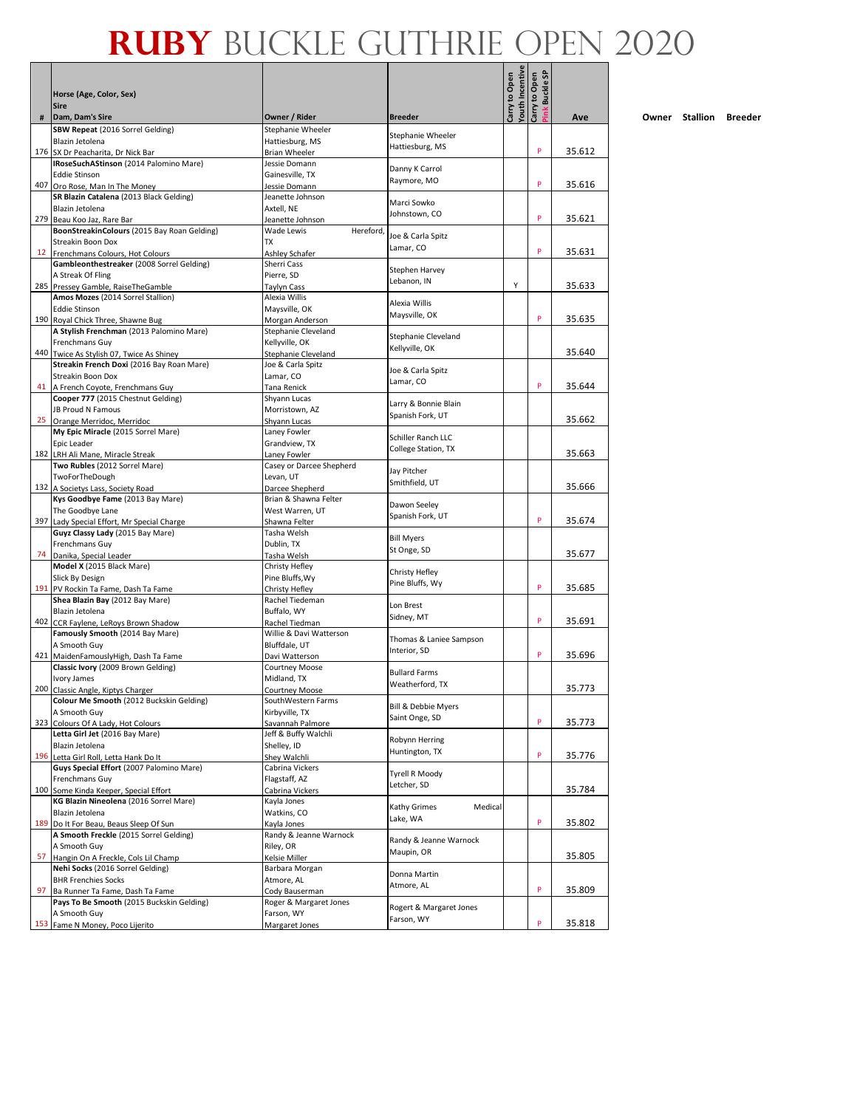Л - 1

|    |                                                                                       |                                          |                                                  | outh Incentive | ink Buckle SP |        |
|----|---------------------------------------------------------------------------------------|------------------------------------------|--------------------------------------------------|----------------|---------------|--------|
|    | Horse (Age, Color, Sex)<br><b>Sire</b>                                                |                                          |                                                  | Carry to Open  | Carry to Open |        |
| #  | Dam, Dam's Sire                                                                       | Owner / Rider                            | <b>Breeder</b>                                   |                |               | Ave    |
|    | SBW Repeat (2016 Sorrel Gelding)<br>Blazin Jetolena                                   | Stephanie Wheeler<br>Hattiesburg, MS     | Stephanie Wheeler                                |                |               |        |
|    | 176 SX Dr Peacharita, Dr Nick Bar                                                     | <b>Brian Wheeler</b>                     | Hattiesburg, MS                                  |                | P             | 35.612 |
|    | IRoseSuchAStinson (2014 Palomino Mare)                                                | Jessie Domann                            | Danny K Carrol                                   |                |               |        |
|    | <b>Eddie Stinson</b>                                                                  | Gainesville, TX                          | Raymore, MO                                      |                | P             |        |
|    | 407 Oro Rose, Man In The Money                                                        | Jessie Domann                            |                                                  |                |               | 35.616 |
|    | SR Blazin Catalena (2013 Black Gelding)<br>Blazin Jetolena                            | Jeanette Johnson<br>Axtell. NE           | Marci Sowko                                      |                |               |        |
|    | 279 Beau Koo Jaz, Rare Bar                                                            | Jeanette Johnson                         | Johnstown, CO                                    |                | P             | 35.621 |
|    | BoonStreakinColours (2015 Bay Roan Gelding)                                           | Wade Lewis<br>Hereford,                  |                                                  |                |               |        |
|    | <b>Streakin Boon Dox</b>                                                              | <b>TX</b>                                | Joe & Carla Spitz<br>Lamar, CO                   |                |               |        |
|    | 12 Frenchmans Colours, Hot Colours                                                    | Ashley Schafer                           |                                                  |                | P             | 35.631 |
|    | Gambleonthestreaker (2008 Sorrel Gelding)                                             | Sherri Cass                              | Stephen Harvey                                   |                |               |        |
|    | A Streak Of Fling<br>285 Pressey Gamble, RaiseTheGamble                               | Pierre, SD<br><b>Taylyn Cass</b>         | Lebanon, IN                                      | Y              |               | 35.633 |
|    | Amos Mozes (2014 Sorrel Stallion)                                                     | Alexia Willis                            |                                                  |                |               |        |
|    | <b>Eddie Stinson</b>                                                                  | Maysville, OK                            | Alexia Willis                                    |                |               |        |
|    | 190 Royal Chick Three, Shawne Bug                                                     | Morgan Anderson                          | Maysville, OK                                    |                | P             | 35.635 |
|    | A Stylish Frenchman (2013 Palomino Mare)                                              | Stephanie Cleveland                      | Stephanie Cleveland                              |                |               |        |
|    | Frenchmans Guy                                                                        | Kellyville, OK                           | Kellyville, OK                                   |                |               | 35.640 |
|    | 440 Twice As Stylish 07, Twice As Shiney<br>Streakin French Doxi (2016 Bay Roan Mare) | Stephanie Cleveland<br>Joe & Carla Spitz |                                                  |                |               |        |
|    | Streakin Boon Dox                                                                     | Lamar, CO                                | Joe & Carla Spitz                                |                |               |        |
|    | 41 A French Coyote, Frenchmans Guy                                                    | Tana Renick                              | Lamar, CO                                        |                | P             | 35.644 |
|    | Cooper 777 (2015 Chestnut Gelding)                                                    | Shyann Lucas                             | Larry & Bonnie Blain                             |                |               |        |
|    | JB Proud N Famous                                                                     | Morristown, AZ                           | Spanish Fork, UT                                 |                |               |        |
|    | 25 Orange Merridoc, Merridoc                                                          | Shyann Lucas                             |                                                  |                |               | 35.662 |
|    | My Epic Miracle (2015 Sorrel Mare)<br>Epic Leader                                     | Laney Fowler<br>Grandview, TX            | Schiller Ranch LLC                               |                |               |        |
|    | 182 LRH Ali Mane, Miracle Streak                                                      | Laney Fowler                             | College Station, TX                              |                |               | 35.663 |
|    | Two Rubles (2012 Sorrel Mare)                                                         | Casey or Darcee Shepherd                 |                                                  |                |               |        |
|    | TwoForTheDough                                                                        | Levan, UT                                | Jay Pitcher<br>Smithfield, UT                    |                |               |        |
|    | 132 A Societys Lass, Society Road                                                     | Darcee Shepherd                          |                                                  |                |               | 35.666 |
|    | Kys Goodbye Fame (2013 Bay Mare)                                                      | Brian & Shawna Felter                    | Dawon Seeley                                     |                |               |        |
|    | The Goodbye Lane<br>397 Lady Special Effort, Mr Special Charge                        | West Warren, UT                          | Spanish Fork, UT                                 |                | P             | 35.674 |
|    | Guyz Classy Lady (2015 Bay Mare)                                                      | Shawna Felter<br>Tasha Welsh             |                                                  |                |               |        |
|    | Frenchmans Guy                                                                        | Dublin, TX                               | <b>Bill Myers</b>                                |                |               |        |
|    | 74 Danika, Special Leader                                                             | Tasha Welsh                              | St Onge, SD                                      |                |               | 35.677 |
|    | Model X (2015 Black Mare)                                                             | Christy Hefley                           | Christy Hefley                                   |                |               |        |
|    | Slick By Design                                                                       | Pine Bluffs, Wy                          | Pine Bluffs, Wy                                  |                | P             |        |
|    | 191 PV Rockin Ta Fame, Dash Ta Fame<br>Shea Blazin Bay (2012 Bay Mare)                | Christy Hefley<br>Rachel Tiedeman        |                                                  |                |               | 35.685 |
|    | Blazin Jetolena                                                                       | Buffalo, WY                              | Lon Brest                                        |                |               |        |
|    | 402 CCR Faylene, LeRoys Brown Shadow                                                  | Rachel Tiedman                           | Sidney, MT                                       |                | P             | 35.691 |
|    | Famously Smooth (2014 Bay Mare)                                                       | Willie & Davi Watterson                  |                                                  |                |               |        |
|    | A Smooth Guy                                                                          | Bluffdale, UT                            | Thomas & Laniee Sampson<br>Interior, SD          |                |               |        |
|    | 421 MaidenFamouslyHigh, Dash Ta Fame                                                  | Davi Watterson                           |                                                  |                | P             | 35.696 |
|    | Classic Ivory (2009 Brown Gelding)<br>Ivory James                                     | <b>Courtney Moose</b><br>Midland, TX     | <b>Bullard Farms</b>                             |                |               |        |
|    | 200 Classic Angle, Kiptys Charger                                                     | <b>Courtney Moose</b>                    | Weatherford, TX                                  |                |               | 35.773 |
|    | Colour Me Smooth (2012 Buckskin Gelding)                                              | SouthWestern Farms                       |                                                  |                |               |        |
|    | A Smooth Guy                                                                          | Kirbyville, TX                           | <b>Bill &amp; Debbie Myers</b><br>Saint Onge, SD |                |               |        |
|    | 323 Colours Of A Lady, Hot Colours                                                    | Savannah Palmore                         |                                                  |                | P             | 35.773 |
|    | Letta Girl Jet (2016 Bay Mare)                                                        | Jeff & Buffy Walchli                     | Robynn Herring                                   |                |               |        |
|    | Blazin Jetolena<br>196 Letta Girl Roll, Letta Hank Do It                              | Shelley, ID<br>Shey Walchli              | Huntington, TX                                   |                | P             | 35.776 |
|    | Guys Special Effort (2007 Palomino Mare)                                              | Cabrina Vickers                          |                                                  |                |               |        |
|    | Frenchmans Guy                                                                        | Flagstaff, AZ                            | <b>Tyrell R Moody</b>                            |                |               |        |
|    | 100 Some Kinda Keeper, Special Effort                                                 | Cabrina Vickers                          | Letcher, SD                                      |                |               | 35.784 |
|    | KG Blazin Nineolena (2016 Sorrel Mare)                                                | Kayla Jones                              | Kathy Grimes<br>Medical                          |                |               |        |
|    | Blazin Jetolena                                                                       | Watkins, CO                              | Lake, WA                                         |                | P             | 35.802 |
|    | 189 Do It For Beau, Beaus Sleep Of Sun<br>A Smooth Freckle (2015 Sorrel Gelding)      | Kayla Jones<br>Randy & Jeanne Warnock    |                                                  |                |               |        |
|    | A Smooth Guy                                                                          | Riley, OR                                | Randy & Jeanne Warnock                           |                |               |        |
| 57 | Hangin On A Freckle, Cols Lil Champ                                                   | Kelsie Miller                            | Maupin, OR                                       |                |               | 35.805 |
|    | Nehi Socks (2016 Sorrel Gelding)                                                      | Barbara Morgan                           | Donna Martin                                     |                |               |        |
|    | <b>BHR Frenchies Socks</b>                                                            | Atmore, AL                               | Atmore, AL                                       |                |               |        |
| 97 | Ba Runner Ta Fame, Dash Ta Fame<br>Pays To Be Smooth (2015 Buckskin Gelding)          | Cody Bauserman<br>Roger & Margaret Jones |                                                  |                | P             | 35.809 |
|    | A Smooth Guy                                                                          | Farson, WY                               | Rogert & Margaret Jones                          |                |               |        |
|    | 153 Fame N Money, Poco Lijerito                                                       | Margaret Jones                           | Farson, WY                                       |                | P             | 35.818 |
|    |                                                                                       |                                          |                                                  |                |               |        |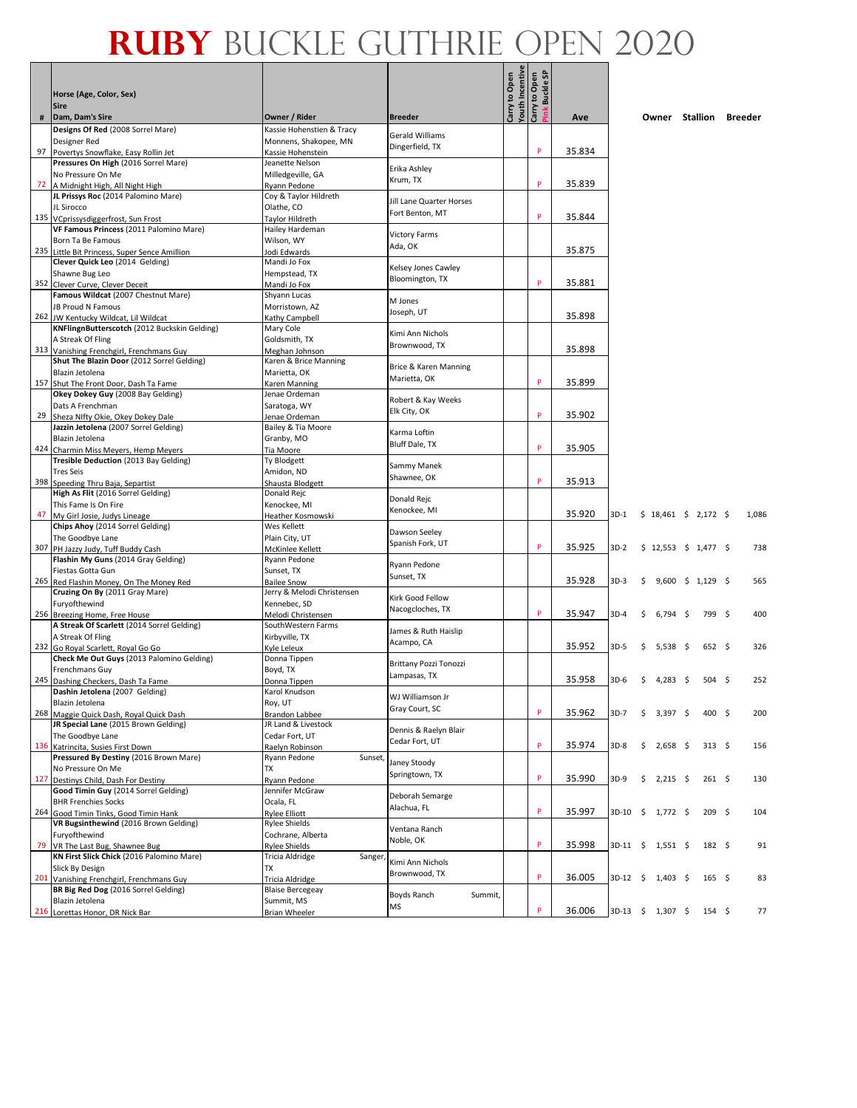|     | Horse (Age, Color, Sex)<br><b>Sire</b>                                          |                                              |                                             | Carry to Open | <b>Youth Incentive</b><br>Carry to Open<br>link Buckle SP |        |        |    |                         |                  |       |
|-----|---------------------------------------------------------------------------------|----------------------------------------------|---------------------------------------------|---------------|-----------------------------------------------------------|--------|--------|----|-------------------------|------------------|-------|
| #   | Dam, Dam's Sire                                                                 | Owner / Rider                                | <b>Breeder</b>                              |               |                                                           | Ave    |        |    | Owner Stallion Breeder  |                  |       |
|     | Designs Of Red (2008 Sorrel Mare)                                               | Kassie Hohenstien & Tracy                    |                                             |               |                                                           |        |        |    |                         |                  |       |
|     | Designer Red                                                                    | Monnens, Shakopee, MN                        | <b>Gerald Williams</b><br>Dingerfield, TX   |               |                                                           |        |        |    |                         |                  |       |
| 97  | Povertys Snowflake, Easy Rollin Jet                                             | Kassie Hohenstein                            |                                             |               | p                                                         | 35.834 |        |    |                         |                  |       |
|     | Pressures On High (2016 Sorrel Mare)<br>No Pressure On Me                       | Jeanette Nelson<br>Milledgeville, GA         | Erika Ashley                                |               |                                                           |        |        |    |                         |                  |       |
| 72  | A Midnight High, All Night High                                                 | Ryann Pedone                                 | Krum, TX                                    |               | p                                                         | 35.839 |        |    |                         |                  |       |
|     | JL Prissys Roc (2014 Palomino Mare)                                             | Coy & Taylor Hildreth                        |                                             |               |                                                           |        |        |    |                         |                  |       |
|     | JL Sirocco                                                                      | Olathe, CO                                   | Jill Lane Quarter Horses<br>Fort Benton, MT |               |                                                           |        |        |    |                         |                  |       |
|     | 135 VCprissysdiggerfrost, Sun Frost                                             | Taylor Hildreth                              |                                             |               | p                                                         | 35.844 |        |    |                         |                  |       |
|     | VF Famous Princess (2011 Palomino Mare)<br>Born Ta Be Famous                    | Hailey Hardeman<br>Wilson, WY                | <b>Victory Farms</b>                        |               |                                                           |        |        |    |                         |                  |       |
|     | 235 Little Bit Princess, Super Sence Amillion                                   | <b>Jodi Edwards</b>                          | Ada, OK                                     |               |                                                           | 35.875 |        |    |                         |                  |       |
|     | Clever Quick Leo (2014 Gelding)                                                 | Mandi Jo Fox                                 | Kelsey Jones Cawley                         |               |                                                           |        |        |    |                         |                  |       |
|     | Shawne Bug Leo                                                                  | Hempstead, TX                                | Bloomington, TX                             |               |                                                           |        |        |    |                         |                  |       |
| 352 | Clever Curve, Clever Deceit                                                     | Mandi Jo Fox                                 |                                             |               | p                                                         | 35.881 |        |    |                         |                  |       |
|     | Famous Wildcat (2007 Chestnut Mare)<br>JB Proud N Famous                        | Shyann Lucas<br>Morristown, AZ               | M Jones                                     |               |                                                           |        |        |    |                         |                  |       |
| 262 | JW Kentucky Wildcat, Lil Wildcat                                                | Kathy Campbell                               | Joseph, UT                                  |               |                                                           | 35.898 |        |    |                         |                  |       |
|     | KNFlingnButterscotch (2012 Buckskin Gelding)                                    | Mary Cole                                    | Kimi Ann Nichols                            |               |                                                           |        |        |    |                         |                  |       |
|     | A Streak Of Fling                                                               | Goldsmith, TX                                | Brownwood, TX                               |               |                                                           |        |        |    |                         |                  |       |
|     | 313 Vanishing Frenchgirl, Frenchmans Guy                                        | Meghan Johnson                               |                                             |               |                                                           | 35.898 |        |    |                         |                  |       |
|     | Shut The Blazin Door (2012 Sorrel Gelding)<br>Blazin Jetolena                   | Karen & Brice Manning<br>Marietta, OK        | Brice & Karen Manning                       |               |                                                           |        |        |    |                         |                  |       |
|     | 157 Shut The Front Door, Dash Ta Fame                                           | Karen Manning                                | Marietta, OK                                |               | P                                                         | 35.899 |        |    |                         |                  |       |
|     | Okey Dokey Guy (2008 Bay Gelding)                                               | Jenae Ordeman                                | Robert & Kay Weeks                          |               |                                                           |        |        |    |                         |                  |       |
|     | Dats A Frenchman                                                                | Saratoga, WY                                 | Elk City, OK                                |               | p                                                         |        |        |    |                         |                  |       |
| 29  | Sheza Nifty Okie, Okey Dokey Dale<br>Jazzin Jetolena (2007 Sorrel Gelding)      | Jenae Ordeman                                |                                             |               |                                                           | 35.902 |        |    |                         |                  |       |
|     | Blazin Jetolena                                                                 | Bailey & Tia Moore<br>Granby, MO             | Karma Loftin                                |               |                                                           |        |        |    |                         |                  |       |
| 424 | Charmin Miss Meyers, Hemp Meyers                                                | Tia Moore                                    | Bluff Dale, TX                              |               | P                                                         | 35.905 |        |    |                         |                  |       |
|     | Tresible Deduction (2013 Bay Gelding)                                           | Ty Blodgett                                  | Sammy Manek                                 |               |                                                           |        |        |    |                         |                  |       |
|     | <b>Tres Seis</b>                                                                | Amidon, ND                                   | Shawnee, OK                                 |               | P                                                         | 35.913 |        |    |                         |                  |       |
| 398 | Speeding Thru Baja, Separtist<br>High As Flit (2016 Sorrel Gelding)             | Shausta Blodgett<br>Donald Rejc              |                                             |               |                                                           |        |        |    |                         |                  |       |
|     | This Fame Is On Fire                                                            | Kenockee, MI                                 | Donald Rejc                                 |               |                                                           |        |        |    |                         |                  |       |
| 47  | My Girl Josie, Judys Lineage                                                    | Heather Kosmowski                            | Kenockee, MI                                |               |                                                           | 35.920 | 3D-1   |    | $$18,461 \t$2,172 \t$$  |                  | 1,086 |
|     | Chips Ahoy (2014 Sorrel Gelding)                                                | Wes Kellett                                  | Dawson Seeley                               |               |                                                           |        |        |    |                         |                  |       |
|     | The Goodbye Lane<br>307 PH Jazzy Judy, Tuff Buddy Cash                          | Plain City, UT<br>McKinlee Kellett           | Spanish Fork, UT                            |               | P                                                         | 35.925 | $3D-2$ |    | $$12,553$ $$1,477$ \$   |                  | 738   |
|     | Flashin My Guns (2014 Gray Gelding)                                             | Ryann Pedone                                 |                                             |               |                                                           |        |        |    |                         |                  |       |
|     | Fiestas Gotta Gun                                                               | Sunset, TX                                   | Ryann Pedone<br>Sunset, TX                  |               |                                                           |        |        |    |                         |                  |       |
|     | 265 Red Flashin Money, On The Money Red                                         | <b>Bailee Snow</b>                           |                                             |               |                                                           | 35.928 | $3D-3$ | \$ | $9,600 \div 1,129 \div$ |                  | 565   |
|     | Cruzing On By (2011 Gray Mare)                                                  | Jerry & Melodi Christensen                   | Kirk Good Fellow                            |               |                                                           |        |        |    |                         |                  |       |
|     | Furyofthewind<br>256 Breezing Home, Free House                                  | Kennebec, SD<br>Melodi Christensen           | Nacogcloches, TX                            |               | P                                                         | 35.947 | 3D-4   | Ś. | $6,794$ \$              | 799 \$           | 400   |
|     | A Streak Of Scarlett (2014 Sorrel Gelding)                                      | SouthWestern Farms                           |                                             |               |                                                           |        |        |    |                         |                  |       |
|     | A Streak Of Fling                                                               | Kirbyville, TX                               | James & Ruth Haislip<br>Acampo, CA          |               |                                                           |        |        |    |                         |                  |       |
|     | 232 Go Royal Scarlett, Royal Go Go                                              | Kyle Leleux                                  |                                             |               |                                                           | 35.952 | 3D-5   | \$ | $5,538$ \$              | 652 <sup>5</sup> | 326   |
|     | Check Me Out Guys (2013 Palomino Gelding)<br>Frenchmans Guy                     | Donna Tippen<br>Boyd, TX                     | <b>Brittany Pozzi Tonozzi</b>               |               |                                                           |        |        |    |                         |                  |       |
|     | 245 Dashing Checkers, Dash Ta Fame                                              | Donna Tippen                                 | Lampasas, TX                                |               |                                                           | 35.958 | $3D-6$ | \$ | 4,283 \$                | $504 \quad$ \$   | 252   |
|     | Dashin Jetolena (2007 Gelding)                                                  | Karol Knudson                                | WJ Williamson Jr                            |               |                                                           |        |        |    |                         |                  |       |
|     | Blazin Jetolena                                                                 | Roy, UT                                      | Gray Court, SC                              |               | P                                                         |        |        |    |                         |                  |       |
|     | 268 Maggie Quick Dash, Royal Quick Dash<br>JR Special Lane (2015 Brown Gelding) | <b>Brandon Labbee</b><br>JR Land & Livestock |                                             |               |                                                           | 35.962 | $3D-7$ | \$ | 3,397 \$                | 400 <sup>5</sup> | 200   |
|     | The Goodbye Lane                                                                | Cedar Fort, UT                               | Dennis & Raelyn Blair                       |               |                                                           |        |        |    |                         |                  |       |
|     | 136 Katrincita, Susies First Down                                               | Raelyn Robinson                              | Cedar Fort, UT                              |               | P                                                         | 35.974 | $3D-8$ |    | $$2,658$ \$             | $313 \quad $5$   | 156   |
|     | Pressured By Destiny (2016 Brown Mare)                                          | Ryann Pedone<br>Sunset,                      | Janey Stoody                                |               |                                                           |        |        |    |                         |                  |       |
|     | No Pressure On Me<br>127 Destinys Child, Dash For Destiny                       | TX<br>Ryann Pedone                           | Springtown, TX                              |               | P                                                         | 35.990 | $3D-9$ | \$ | $2,215$ \$              | $261 \quad $$    | 130   |
|     | Good Timin Guy (2014 Sorrel Gelding)                                            | Jennifer McGraw                              |                                             |               |                                                           |        |        |    |                         |                  |       |
|     | <b>BHR Frenchies Socks</b>                                                      | Ocala, FL                                    | Deborah Semarge                             |               |                                                           |        |        |    |                         |                  |       |
| 264 | Good Timin Tinks, Good Timin Hank                                               | <b>Rylee Elliott</b>                         | Alachua, FL                                 |               | P                                                         | 35.997 |        |    | 3D-10 \$ 1,772 \$       | $209 \quad$ \$   | 104   |
|     | VR Bugsinthewind (2016 Brown Gelding)<br>Furyofthewind                          | Rylee Shields                                | Ventana Ranch                               |               |                                                           |        |        |    |                         |                  |       |
| 79  | VR The Last Bug, Shawnee Bug                                                    | Cochrane, Alberta<br>Rylee Shields           | Noble, OK                                   |               | P                                                         | 35.998 |        |    | 3D-11 \$ 1,551 \$       | $182 \quad 5$    | 91    |
|     | KN First Slick Chick (2016 Palomino Mare)                                       | Tricia Aldridge<br>Sanger,                   |                                             |               |                                                           |        |        |    |                         |                  |       |
|     | Slick By Design                                                                 | TX                                           | Kimi Ann Nichols<br>Brownwood, TX           |               |                                                           |        |        |    |                         |                  |       |
|     | 201 Vanishing Frenchgirl, Frenchmans Guy                                        | Tricia Aldridge                              |                                             |               | P                                                         | 36.005 |        |    | 3D-12 \$ 1,403 \$       | $165 \div$       | 83    |
|     | BR Big Red Dog (2016 Sorrel Gelding)<br>Blazin Jetolena                         | <b>Blaise Bercegeay</b><br>Summit, MS        | Boyds Ranch<br>Summit,                      |               |                                                           |        |        |    |                         |                  |       |
|     | 216 Lorettas Honor, DR Nick Bar                                                 | Brian Wheeler                                | MS                                          |               | P                                                         | 36.006 |        |    | 3D-13 \$ 1,307 \$       | $154 \quad$ \$   | 77    |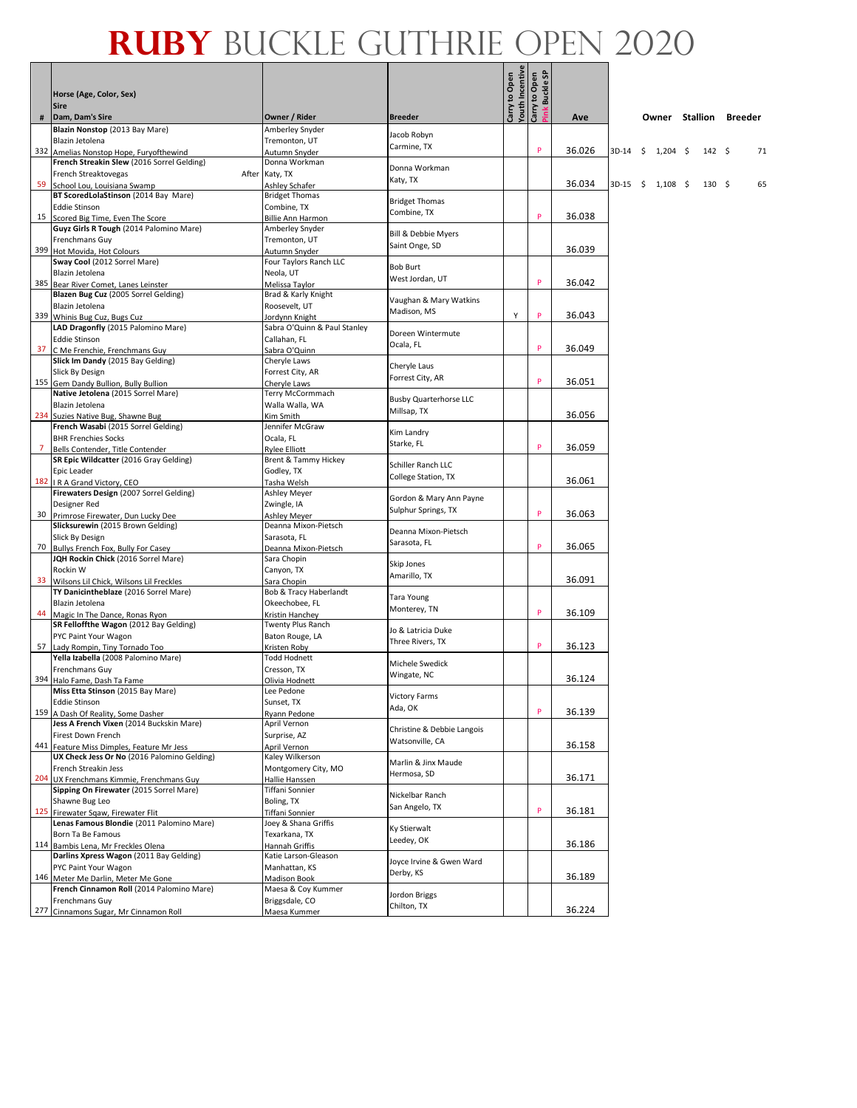|                | Horse (Age, Color, Sex)<br><b>Sire</b>                                                   |                                             |                               | Youth Incentive<br>Carry to Open<br>Carry to Open | Buckle SP |        |                     |                  |      |                        |    |
|----------------|------------------------------------------------------------------------------------------|---------------------------------------------|-------------------------------|---------------------------------------------------|-----------|--------|---------------------|------------------|------|------------------------|----|
| #              | Dam, Dam's Sire                                                                          | Owner / Rider                               | <b>Breeder</b>                |                                                   |           | Ave    |                     |                  |      | Owner Stallion Breeder |    |
|                | Blazin Nonstop (2013 Bay Mare)                                                           | Amberley Snyder                             | Jacob Robyn                   |                                                   |           |        |                     |                  |      |                        |    |
|                | Blazin Jetolena                                                                          | Tremonton, UT                               | Carmine, TX                   |                                                   | P         | 36.026 | 3D-14               | \$<br>$1,204$ \$ | 142S |                        | 71 |
|                | 332 Amelias Nonstop Hope, Furyofthewind<br>French Streakin Slew (2016 Sorrel Gelding)    | Autumn Snyder<br>Donna Workman              |                               |                                                   |           |        |                     |                  |      |                        |    |
|                | French Streaktovegas<br>After                                                            | Katy, TX                                    | Donna Workman                 |                                                   |           |        |                     |                  |      |                        |    |
| 59             | School Lou, Louisiana Swamp                                                              | Ashley Schafer                              | Katy, TX                      |                                                   |           | 36.034 | $3D-15$ \$ 1,108 \$ |                  | 130S |                        | 65 |
|                | BT ScoredLolaStinson (2014 Bay Mare)                                                     | <b>Bridget Thomas</b>                       | <b>Bridget Thomas</b>         |                                                   |           |        |                     |                  |      |                        |    |
|                | <b>Eddie Stinson</b>                                                                     | Combine, TX                                 | Combine, TX                   |                                                   | P         | 36.038 |                     |                  |      |                        |    |
|                | 15 Scored Big Time, Even The Score<br>Guyz Girls R Tough (2014 Palomino Mare)            | <b>Billie Ann Harmon</b><br>Amberley Snyder |                               |                                                   |           |        |                     |                  |      |                        |    |
|                | <b>Frenchmans Guy</b>                                                                    | Tremonton, UT                               | Bill & Debbie Myers           |                                                   |           |        |                     |                  |      |                        |    |
|                | 399 Hot Movida, Hot Colours                                                              | Autumn Snyder                               | Saint Onge, SD                |                                                   |           | 36.039 |                     |                  |      |                        |    |
|                | Sway Cool (2012 Sorrel Mare)                                                             | Four Taylors Ranch LLC                      | <b>Bob Burt</b>               |                                                   |           |        |                     |                  |      |                        |    |
|                | Blazin Jetolena                                                                          | Neola, UT                                   | West Jordan, UT               |                                                   | P         |        |                     |                  |      |                        |    |
|                | 385 Bear River Comet, Lanes Leinster<br>Blazen Bug Cuz (2005 Sorrel Gelding)             | Melissa Taylor<br>Brad & Karly Knight       |                               |                                                   |           | 36.042 |                     |                  |      |                        |    |
|                | Blazin Jetolena                                                                          | Roosevelt, UT                               | Vaughan & Mary Watkins        |                                                   |           |        |                     |                  |      |                        |    |
|                | 339 Whinis Bug Cuz, Bugs Cuz                                                             | Jordynn Knight                              | Madison, MS                   | Υ                                                 | P         | 36.043 |                     |                  |      |                        |    |
|                | LAD Dragonfly (2015 Palomino Mare)                                                       | Sabra O'Quinn & Paul Stanley                | Doreen Wintermute             |                                                   |           |        |                     |                  |      |                        |    |
|                | <b>Eddie Stinson</b>                                                                     | Callahan, FL                                | Ocala, FL                     |                                                   |           |        |                     |                  |      |                        |    |
|                | 37 C Me Frenchie, Frenchmans Guy<br>Slick Im Dandy (2015 Bay Gelding)                    | Sabra O'Quinn                               |                               |                                                   | P         | 36.049 |                     |                  |      |                        |    |
|                | Slick By Design                                                                          | Cheryle Laws<br>Forrest City, AR            | Cheryle Laus                  |                                                   |           |        |                     |                  |      |                        |    |
|                | 155 Gem Dandy Bullion, Bully Bullion                                                     | Cheryle Laws                                | Forrest City, AR              |                                                   | P         | 36.051 |                     |                  |      |                        |    |
|                | Native Jetolena (2015 Sorrel Mare)                                                       | Terry McCormmach                            | <b>Busby Quarterhorse LLC</b> |                                                   |           |        |                     |                  |      |                        |    |
|                | Blazin Jetolena                                                                          | Walla Walla, WA                             | Millsap, TX                   |                                                   |           |        |                     |                  |      |                        |    |
|                | 234 Suzies Native Bug, Shawne Bug                                                        | Kim Smith                                   |                               |                                                   |           | 36.056 |                     |                  |      |                        |    |
|                | French Wasabi (2015 Sorrel Gelding)<br><b>BHR Frenchies Socks</b>                        | Jennifer McGraw<br>Ocala, FL                | Kim Landry                    |                                                   |           |        |                     |                  |      |                        |    |
| $\overline{7}$ | Bells Contender, Title Contender                                                         | Rylee Elliott                               | Starke, FL                    |                                                   | P         | 36.059 |                     |                  |      |                        |    |
|                | SR Epic Wildcatter (2016 Gray Gelding)                                                   | Brent & Tammy Hickey                        | Schiller Ranch LLC            |                                                   |           |        |                     |                  |      |                        |    |
|                | Epic Leader                                                                              | Godley, TX                                  | College Station, TX           |                                                   |           |        |                     |                  |      |                        |    |
|                | 182   R A Grand Victory, CEO                                                             | Tasha Welsh                                 |                               |                                                   |           | 36.061 |                     |                  |      |                        |    |
|                | Firewaters Design (2007 Sorrel Gelding)<br>Designer Red                                  | Ashley Meyer<br>Zwingle, IA                 | Gordon & Mary Ann Payne       |                                                   |           |        |                     |                  |      |                        |    |
|                | 30 Primrose Firewater, Dun Lucky Dee                                                     | Ashley Meyer                                | Sulphur Springs, TX           |                                                   | P         | 36.063 |                     |                  |      |                        |    |
|                | Slicksurewin (2015 Brown Gelding)                                                        | Deanna Mixon-Pietsch                        | Deanna Mixon-Pietsch          |                                                   |           |        |                     |                  |      |                        |    |
|                | Slick By Design                                                                          | Sarasota, FL                                | Sarasota, FL                  |                                                   | P         |        |                     |                  |      |                        |    |
|                | 70 Bullys French Fox, Bully For Casey<br>JQH Rockin Chick (2016 Sorrel Mare)             | Deanna Mixon-Pietsch<br>Sara Chopin         |                               |                                                   |           | 36.065 |                     |                  |      |                        |    |
|                | Rockin W                                                                                 | Canyon, TX                                  | Skip Jones                    |                                                   |           |        |                     |                  |      |                        |    |
|                | 33 Wilsons Lil Chick, Wilsons Lil Freckles                                               | Sara Chopin                                 | Amarillo, TX                  |                                                   |           | 36.091 |                     |                  |      |                        |    |
|                | TY Danicintheblaze (2016 Sorrel Mare)                                                    | Bob & Tracy Haberlandt                      | Tara Young                    |                                                   |           |        |                     |                  |      |                        |    |
|                | Blazin Jetolena                                                                          | Okeechobee, FL                              | Monterey, TN                  |                                                   | P         |        |                     |                  |      |                        |    |
|                | 44 Magic In The Dance, Ronas Ryon<br>SR Felloffthe Wagon (2012 Bay Gelding)              | Kristin Hanchey                             |                               |                                                   |           | 36.109 |                     |                  |      |                        |    |
|                | PYC Paint Your Wagon                                                                     | Twenty Plus Ranch<br>Baton Rouge, LA        | Jo & Latricia Duke            |                                                   |           |        |                     |                  |      |                        |    |
|                | 57 Lady Rompin, Tiny Tornado Too                                                         | Kristen Roby                                | Three Rivers, TX              |                                                   | P         | 36.123 |                     |                  |      |                        |    |
|                | Yella Izabella (2008 Palomino Mare)                                                      | <b>Todd Hodnett</b>                         | Michele Swedick               |                                                   |           |        |                     |                  |      |                        |    |
|                | Frenchmans Guy                                                                           | Cresson, TX                                 | Wingate, NC                   |                                                   |           |        |                     |                  |      |                        |    |
|                | 394 Halo Fame, Dash Ta Fame<br>Miss Etta Stinson (2015 Bay Mare)                         | Olivia Hodnett<br>Lee Pedone                |                               |                                                   |           | 36.124 |                     |                  |      |                        |    |
|                | <b>Eddie Stinson</b>                                                                     | Sunset, TX                                  | Victory Farms                 |                                                   |           |        |                     |                  |      |                        |    |
|                | 159 A Dash Of Reality, Some Dasher                                                       | Ryann Pedone                                | Ada, OK                       |                                                   | P         | 36.139 |                     |                  |      |                        |    |
|                | Jess A French Vixen (2014 Buckskin Mare)                                                 | April Vernon                                | Christine & Debbie Langois    |                                                   |           |        |                     |                  |      |                        |    |
|                | Firest Down French                                                                       | Surprise, AZ                                | Watsonville, CA               |                                                   |           | 36.158 |                     |                  |      |                        |    |
|                | 441 Feature Miss Dimples, Feature Mr Jess<br>UX Check Jess Or No (2016 Palomino Gelding) | April Vernon<br>Kaley Wilkerson             |                               |                                                   |           |        |                     |                  |      |                        |    |
|                | French Streakin Jess                                                                     | Montgomery City, MO                         | Marlin & Jinx Maude           |                                                   |           |        |                     |                  |      |                        |    |
|                | 204 UX Frenchmans Kimmie, Frenchmans Guy                                                 | Hallie Hanssen                              | Hermosa, SD                   |                                                   |           | 36.171 |                     |                  |      |                        |    |
|                | Sipping On Firewater (2015 Sorrel Mare)                                                  | Tiffani Sonnier                             | Nickelbar Ranch               |                                                   |           |        |                     |                  |      |                        |    |
|                | Shawne Bug Leo                                                                           | Boling, TX                                  | San Angelo, TX                |                                                   | P         | 36.181 |                     |                  |      |                        |    |
|                | 125 Firewater Sqaw, Firewater Flit<br>Lenas Famous Blondie (2011 Palomino Mare)          | Tiffani Sonnier<br>Joey & Shana Griffis     |                               |                                                   |           |        |                     |                  |      |                        |    |
|                | Born Ta Be Famous                                                                        | Texarkana, TX                               | Ky Stierwalt                  |                                                   |           |        |                     |                  |      |                        |    |
|                | 114 Bambis Lena, Mr Freckles Olena                                                       | Hannah Griffis                              | Leedey, OK                    |                                                   |           | 36.186 |                     |                  |      |                        |    |
|                | Darlins Xpress Wagon (2011 Bay Gelding)                                                  | Katie Larson-Gleason                        | Joyce Irvine & Gwen Ward      |                                                   |           |        |                     |                  |      |                        |    |
|                | PYC Paint Your Wagon<br>146 Meter Me Darlin, Meter Me Gone                               | Manhattan, KS<br>Madison Book               | Derby, KS                     |                                                   |           | 36.189 |                     |                  |      |                        |    |
|                | French Cinnamon Roll (2014 Palomino Mare)                                                | Maesa & Coy Kummer                          |                               |                                                   |           |        |                     |                  |      |                        |    |
|                | Frenchmans Guy                                                                           | Briggsdale, CO                              | Jordon Briggs                 |                                                   |           |        |                     |                  |      |                        |    |
|                | 277 Cinnamons Sugar, Mr Cinnamon Roll                                                    | Maesa Kummer                                | Chilton, TX                   |                                                   |           | 36.224 |                     |                  |      |                        |    |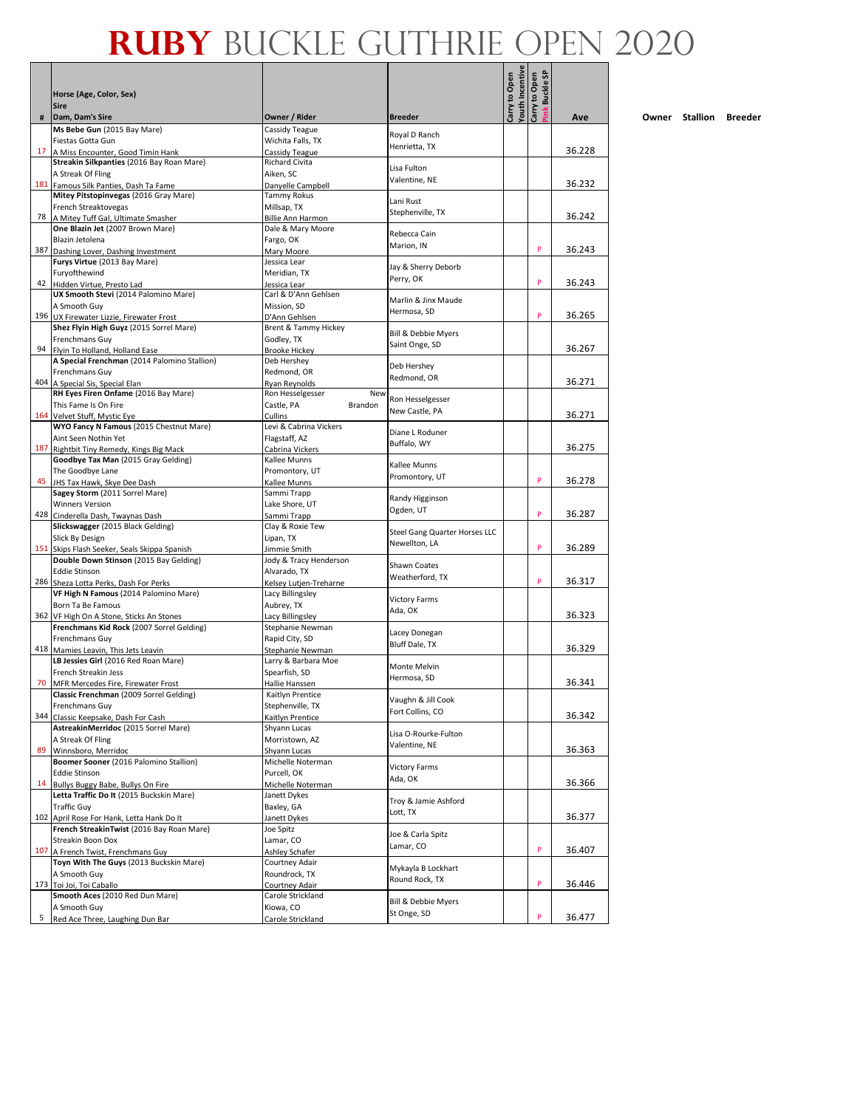| Ms Bebe Gun (2015 Bay Mare)<br>Cassidy Teague<br>Royal D Ranch<br>Fiestas Gotta Gun<br>Wichita Falls, TX<br>Henrietta, TX<br>36.228<br>17<br>A Miss Encounter, Good Timin Hank<br>Cassidy Teague<br>Streakin Silkpanties (2016 Bay Roan Mare)<br>Richard Civita<br>Lisa Fulton<br>A Streak Of Fling<br>Aiken, SC<br>Valentine, NE<br>36.232<br>181 Famous Silk Panties, Dash Ta Fame<br>Danyelle Campbell<br>Mitey Pitstopinvegas (2016 Gray Mare)<br><b>Tammy Rokus</b><br>Lani Rust<br>French Streaktovegas<br>Millsap, TX<br>Stephenville, TX<br>36.242<br>78<br>A Mitey Tuff Gal, Ultimate Smasher<br>Billie Ann Harmon<br>One Blazin Jet (2007 Brown Mare)<br>Dale & Mary Moore<br>Rebecca Cain<br>Blazin Jetolena<br>Fargo, OK<br>Marion, IN<br>P<br>387<br>36.243<br>Dashing Lover, Dashing Investment<br>Mary Moore<br>Furys Virtue (2013 Bay Mare)<br>Jessica Lear<br>Jay & Sherry Deborb<br>Furyofthewind<br>Meridian, TX<br>Perry, OK<br>P<br>36.243<br>42 Hidden Virtue, Presto Lad<br>Jessica Lear<br>UX Smooth Stevi (2014 Palomino Mare)<br>Carl & D'Ann Gehlsen<br>Marlin & Jinx Maude<br>A Smooth Guy<br>Mission, SD<br>Hermosa, SD<br>P<br>196 UX Firewater Lizzie, Firewater Frost<br>36.265<br>D'Ann Gehlsen<br>Shez Flyin High Guyz (2015 Sorrel Mare)<br>Brent & Tammy Hickey<br><b>Bill &amp; Debbie Myers</b><br>Frenchmans Guy<br>Godley, TX<br>Saint Onge, SD<br>36.267<br>94 Flyin To Holland, Holland Ease<br><b>Brooke Hickey</b><br>A Special Frenchman (2014 Palomino Stallion)<br>Deb Hershey<br>Deb Hershey<br>Frenchmans Guy<br>Redmond, OR<br>Redmond, OR<br>36.271<br>404 A Special Sis, Special Elan<br>Ryan Reynolds<br>RH Eyes Firen Onfame (2016 Bay Mare)<br>Ron Hesselgesser<br>New<br>Ron Hesselgesser<br>Castle, PA<br>Brandon<br>This Fame Is On Fire<br>New Castle, PA<br>36.271<br>164 Velvet Stuff, Mystic Eye<br>Cullins<br>WYO Fancy N Famous (2015 Chestnut Mare)<br>Levi & Cabrina Vickers<br>Diane L Roduner<br>Aint Seen Nothin Yet<br>Flagstaff, AZ<br>Buffalo. WY<br>36.275<br>187<br>Rightbit Tiny Remedy, Kings Big Mack<br>Cabrina Vickers<br>Goodbye Tax Man (2015 Gray Gelding)<br>Kallee Munns<br>Kallee Munns<br>The Goodbye Lane<br>Promontory, UT<br>Promontory, UT<br>P<br>36.278<br>45<br>JHS Tax Hawk, Skye Dee Dash<br>Kallee Munns<br>Sagey Storm (2011 Sorrel Mare)<br>Sammi Trapp<br>Randy Higginson<br><b>Winners Version</b><br>Lake Shore, UT<br>Ogden, UT<br>P<br>36.287<br>428 Cinderella Dash, Twaynas Dash<br>Sammi Trapp<br>Slickswagger (2015 Black Gelding)<br>Clay & Roxie Tew<br>Steel Gang Quarter Horses LLC<br>Lipan, TX<br>Slick By Design<br>Newellton, LA<br>P<br>36.289<br>151 Skips Flash Seeker, Seals Skippa Spanish<br>Jimmie Smith<br>Double Down Stinson (2015 Bay Gelding)<br>Jody & Tracy Henderson<br>Shawn Coates<br><b>Eddie Stinson</b><br>Alvarado, TX<br>Weatherford, TX<br>P<br>36.317<br>286 Sheza Lotta Perks, Dash For Perks<br>Kelsey Lutjen-Treharne<br>VF High N Famous (2014 Palomino Mare)<br>Lacy Billingsley<br><b>Victory Farms</b><br>Born Ta Be Famous<br>Aubrey, TX<br>Ada, OK<br>36.323<br>362 VF High On A Stone, Sticks An Stones<br>Lacy Billingsley<br>Frenchmans Kid Rock (2007 Sorrel Gelding)<br>Stephanie Newman<br>Lacey Donegan<br>Frenchmans Guv<br>Rapid City, SD<br>Bluff Dale, TX<br>36.329<br>418 Mamies Leavin, This Jets Leavin<br>Stephanie Newman<br>LB Jessies Girl (2016 Red Roan Mare)<br>Larry & Barbara Moe<br>Monte Melvin<br>French Streakin Jess<br>Spearfish, SD<br>Hermosa, SD<br>36.341<br>70<br>MFR Mercedes Fire, Firewater Frost<br>Hallie Hanssen<br>Classic Frenchman (2009 Sorrel Gelding)<br>Kaitlyn Prentice<br>Vaughn & Jill Cook<br>Frenchmans Guy<br>Stephenville, TX<br>Fort Collins, CO<br>36.342<br>344<br>Classic Keepsake, Dash For Cash<br>Kaitlyn Prentice<br>AstreakinMerridoc (2015 Sorrel Mare)<br>Shyann Lucas<br>Lisa O-Rourke-Fulton<br>Morristown, AZ<br>A Streak Of Fling<br>Valentine, NE<br>36.363<br>89<br>Winnsboro, Merridoc<br>Shyann Lucas<br>Boomer Sooner (2016 Palomino Stallion)<br>Michelle Noterman<br><b>Victory Farms</b><br><b>Eddie Stinson</b><br>Purcell, OK<br>Ada, OK<br>36.366<br>14<br>Bullys Buggy Babe, Bullys On Fire<br>Michelle Noterman<br>Letta Traffic Do It (2015 Buckskin Mare)<br>Janett Dykes<br>Troy & Jamie Ashford<br><b>Traffic Guy</b><br>Baxley, GA<br>Lott, TX<br>36.377<br>102 April Rose For Hank, Letta Hank Do It<br>Janett Dykes<br>French StreakinTwist (2016 Bay Roan Mare)<br>Joe Spitz<br>Joe & Carla Spitz<br>Streakin Boon Dox<br>Lamar, CO<br>Lamar, CO<br>P<br>36.407<br>107 A French Twist, Frenchmans Guy<br>Ashley Schafer<br>Toyn With The Guys (2013 Buckskin Mare)<br>Courtney Adair<br>Mykayla B Lockhart<br>A Smooth Guy<br>Roundrock, TX<br>Round Rock, TX<br>P<br>36.446<br>173 Toi Joi, Toi Caballo<br>Courtney Adair<br>Smooth Aces (2010 Red Dun Mare)<br>Carole Strickland<br>Bill & Debbie Myers<br>A Smooth Guy<br>Kiowa, CO<br>St Onge, SD<br>P<br>36.477<br>5<br>Red Ace Three, Laughing Dun Bar<br>Carole Strickland |   | Horse (Age, Color, Sex)<br><b>Sire</b> |               |                | fouth Incentive<br>Carry to Open | link Buckle SP<br>Carry to Open |     |
|---------------------------------------------------------------------------------------------------------------------------------------------------------------------------------------------------------------------------------------------------------------------------------------------------------------------------------------------------------------------------------------------------------------------------------------------------------------------------------------------------------------------------------------------------------------------------------------------------------------------------------------------------------------------------------------------------------------------------------------------------------------------------------------------------------------------------------------------------------------------------------------------------------------------------------------------------------------------------------------------------------------------------------------------------------------------------------------------------------------------------------------------------------------------------------------------------------------------------------------------------------------------------------------------------------------------------------------------------------------------------------------------------------------------------------------------------------------------------------------------------------------------------------------------------------------------------------------------------------------------------------------------------------------------------------------------------------------------------------------------------------------------------------------------------------------------------------------------------------------------------------------------------------------------------------------------------------------------------------------------------------------------------------------------------------------------------------------------------------------------------------------------------------------------------------------------------------------------------------------------------------------------------------------------------------------------------------------------------------------------------------------------------------------------------------------------------------------------------------------------------------------------------------------------------------------------------------------------------------------------------------------------------------------------------------------------------------------------------------------------------------------------------------------------------------------------------------------------------------------------------------------------------------------------------------------------------------------------------------------------------------------------------------------------------------------------------------------------------------------------------------------------------------------------------------------------------------------------------------------------------------------------------------------------------------------------------------------------------------------------------------------------------------------------------------------------------------------------------------------------------------------------------------------------------------------------------------------------------------------------------------------------------------------------------------------------------------------------------------------------------------------------------------------------------------------------------------------------------------------------------------------------------------------------------------------------------------------------------------------------------------------------------------------------------------------------------------------------------------------------------------------------------------------------------------------------------------------------------------------------------------------------------------------------------------------------------------------------------------------------------------------------------------------------------------------------------------------------------------------------------------------------------------------------------------------------------------------------------------------------------------------------------------------------------------------------------------------------------------------------------------------------------------------------------------------------------------------------------------------------------------------------------------------------------------------------------------------------------------------------------------------------------------------------------------------------------------|---|----------------------------------------|---------------|----------------|----------------------------------|---------------------------------|-----|
|                                                                                                                                                                                                                                                                                                                                                                                                                                                                                                                                                                                                                                                                                                                                                                                                                                                                                                                                                                                                                                                                                                                                                                                                                                                                                                                                                                                                                                                                                                                                                                                                                                                                                                                                                                                                                                                                                                                                                                                                                                                                                                                                                                                                                                                                                                                                                                                                                                                                                                                                                                                                                                                                                                                                                                                                                                                                                                                                                                                                                                                                                                                                                                                                                                                                                                                                                                                                                                                                                                                                                                                                                                                                                                                                                                                                                                                                                                                                                                                                                                                                                                                                                                                                                                                                                                                                                                                                                                                                                                                                                                                                                                                                                                                                                                                                                                                                                                                                                                                                                                                                                 | # | Dam, Dam's Sire                        | Owner / Rider | <b>Breeder</b> |                                  |                                 | Ave |
|                                                                                                                                                                                                                                                                                                                                                                                                                                                                                                                                                                                                                                                                                                                                                                                                                                                                                                                                                                                                                                                                                                                                                                                                                                                                                                                                                                                                                                                                                                                                                                                                                                                                                                                                                                                                                                                                                                                                                                                                                                                                                                                                                                                                                                                                                                                                                                                                                                                                                                                                                                                                                                                                                                                                                                                                                                                                                                                                                                                                                                                                                                                                                                                                                                                                                                                                                                                                                                                                                                                                                                                                                                                                                                                                                                                                                                                                                                                                                                                                                                                                                                                                                                                                                                                                                                                                                                                                                                                                                                                                                                                                                                                                                                                                                                                                                                                                                                                                                                                                                                                                                 |   |                                        |               |                |                                  |                                 |     |
|                                                                                                                                                                                                                                                                                                                                                                                                                                                                                                                                                                                                                                                                                                                                                                                                                                                                                                                                                                                                                                                                                                                                                                                                                                                                                                                                                                                                                                                                                                                                                                                                                                                                                                                                                                                                                                                                                                                                                                                                                                                                                                                                                                                                                                                                                                                                                                                                                                                                                                                                                                                                                                                                                                                                                                                                                                                                                                                                                                                                                                                                                                                                                                                                                                                                                                                                                                                                                                                                                                                                                                                                                                                                                                                                                                                                                                                                                                                                                                                                                                                                                                                                                                                                                                                                                                                                                                                                                                                                                                                                                                                                                                                                                                                                                                                                                                                                                                                                                                                                                                                                                 |   |                                        |               |                |                                  |                                 |     |
|                                                                                                                                                                                                                                                                                                                                                                                                                                                                                                                                                                                                                                                                                                                                                                                                                                                                                                                                                                                                                                                                                                                                                                                                                                                                                                                                                                                                                                                                                                                                                                                                                                                                                                                                                                                                                                                                                                                                                                                                                                                                                                                                                                                                                                                                                                                                                                                                                                                                                                                                                                                                                                                                                                                                                                                                                                                                                                                                                                                                                                                                                                                                                                                                                                                                                                                                                                                                                                                                                                                                                                                                                                                                                                                                                                                                                                                                                                                                                                                                                                                                                                                                                                                                                                                                                                                                                                                                                                                                                                                                                                                                                                                                                                                                                                                                                                                                                                                                                                                                                                                                                 |   |                                        |               |                |                                  |                                 |     |
|                                                                                                                                                                                                                                                                                                                                                                                                                                                                                                                                                                                                                                                                                                                                                                                                                                                                                                                                                                                                                                                                                                                                                                                                                                                                                                                                                                                                                                                                                                                                                                                                                                                                                                                                                                                                                                                                                                                                                                                                                                                                                                                                                                                                                                                                                                                                                                                                                                                                                                                                                                                                                                                                                                                                                                                                                                                                                                                                                                                                                                                                                                                                                                                                                                                                                                                                                                                                                                                                                                                                                                                                                                                                                                                                                                                                                                                                                                                                                                                                                                                                                                                                                                                                                                                                                                                                                                                                                                                                                                                                                                                                                                                                                                                                                                                                                                                                                                                                                                                                                                                                                 |   |                                        |               |                |                                  |                                 |     |
|                                                                                                                                                                                                                                                                                                                                                                                                                                                                                                                                                                                                                                                                                                                                                                                                                                                                                                                                                                                                                                                                                                                                                                                                                                                                                                                                                                                                                                                                                                                                                                                                                                                                                                                                                                                                                                                                                                                                                                                                                                                                                                                                                                                                                                                                                                                                                                                                                                                                                                                                                                                                                                                                                                                                                                                                                                                                                                                                                                                                                                                                                                                                                                                                                                                                                                                                                                                                                                                                                                                                                                                                                                                                                                                                                                                                                                                                                                                                                                                                                                                                                                                                                                                                                                                                                                                                                                                                                                                                                                                                                                                                                                                                                                                                                                                                                                                                                                                                                                                                                                                                                 |   |                                        |               |                |                                  |                                 |     |
|                                                                                                                                                                                                                                                                                                                                                                                                                                                                                                                                                                                                                                                                                                                                                                                                                                                                                                                                                                                                                                                                                                                                                                                                                                                                                                                                                                                                                                                                                                                                                                                                                                                                                                                                                                                                                                                                                                                                                                                                                                                                                                                                                                                                                                                                                                                                                                                                                                                                                                                                                                                                                                                                                                                                                                                                                                                                                                                                                                                                                                                                                                                                                                                                                                                                                                                                                                                                                                                                                                                                                                                                                                                                                                                                                                                                                                                                                                                                                                                                                                                                                                                                                                                                                                                                                                                                                                                                                                                                                                                                                                                                                                                                                                                                                                                                                                                                                                                                                                                                                                                                                 |   |                                        |               |                |                                  |                                 |     |
|                                                                                                                                                                                                                                                                                                                                                                                                                                                                                                                                                                                                                                                                                                                                                                                                                                                                                                                                                                                                                                                                                                                                                                                                                                                                                                                                                                                                                                                                                                                                                                                                                                                                                                                                                                                                                                                                                                                                                                                                                                                                                                                                                                                                                                                                                                                                                                                                                                                                                                                                                                                                                                                                                                                                                                                                                                                                                                                                                                                                                                                                                                                                                                                                                                                                                                                                                                                                                                                                                                                                                                                                                                                                                                                                                                                                                                                                                                                                                                                                                                                                                                                                                                                                                                                                                                                                                                                                                                                                                                                                                                                                                                                                                                                                                                                                                                                                                                                                                                                                                                                                                 |   |                                        |               |                |                                  |                                 |     |
|                                                                                                                                                                                                                                                                                                                                                                                                                                                                                                                                                                                                                                                                                                                                                                                                                                                                                                                                                                                                                                                                                                                                                                                                                                                                                                                                                                                                                                                                                                                                                                                                                                                                                                                                                                                                                                                                                                                                                                                                                                                                                                                                                                                                                                                                                                                                                                                                                                                                                                                                                                                                                                                                                                                                                                                                                                                                                                                                                                                                                                                                                                                                                                                                                                                                                                                                                                                                                                                                                                                                                                                                                                                                                                                                                                                                                                                                                                                                                                                                                                                                                                                                                                                                                                                                                                                                                                                                                                                                                                                                                                                                                                                                                                                                                                                                                                                                                                                                                                                                                                                                                 |   |                                        |               |                |                                  |                                 |     |
|                                                                                                                                                                                                                                                                                                                                                                                                                                                                                                                                                                                                                                                                                                                                                                                                                                                                                                                                                                                                                                                                                                                                                                                                                                                                                                                                                                                                                                                                                                                                                                                                                                                                                                                                                                                                                                                                                                                                                                                                                                                                                                                                                                                                                                                                                                                                                                                                                                                                                                                                                                                                                                                                                                                                                                                                                                                                                                                                                                                                                                                                                                                                                                                                                                                                                                                                                                                                                                                                                                                                                                                                                                                                                                                                                                                                                                                                                                                                                                                                                                                                                                                                                                                                                                                                                                                                                                                                                                                                                                                                                                                                                                                                                                                                                                                                                                                                                                                                                                                                                                                                                 |   |                                        |               |                |                                  |                                 |     |
|                                                                                                                                                                                                                                                                                                                                                                                                                                                                                                                                                                                                                                                                                                                                                                                                                                                                                                                                                                                                                                                                                                                                                                                                                                                                                                                                                                                                                                                                                                                                                                                                                                                                                                                                                                                                                                                                                                                                                                                                                                                                                                                                                                                                                                                                                                                                                                                                                                                                                                                                                                                                                                                                                                                                                                                                                                                                                                                                                                                                                                                                                                                                                                                                                                                                                                                                                                                                                                                                                                                                                                                                                                                                                                                                                                                                                                                                                                                                                                                                                                                                                                                                                                                                                                                                                                                                                                                                                                                                                                                                                                                                                                                                                                                                                                                                                                                                                                                                                                                                                                                                                 |   |                                        |               |                |                                  |                                 |     |
|                                                                                                                                                                                                                                                                                                                                                                                                                                                                                                                                                                                                                                                                                                                                                                                                                                                                                                                                                                                                                                                                                                                                                                                                                                                                                                                                                                                                                                                                                                                                                                                                                                                                                                                                                                                                                                                                                                                                                                                                                                                                                                                                                                                                                                                                                                                                                                                                                                                                                                                                                                                                                                                                                                                                                                                                                                                                                                                                                                                                                                                                                                                                                                                                                                                                                                                                                                                                                                                                                                                                                                                                                                                                                                                                                                                                                                                                                                                                                                                                                                                                                                                                                                                                                                                                                                                                                                                                                                                                                                                                                                                                                                                                                                                                                                                                                                                                                                                                                                                                                                                                                 |   |                                        |               |                |                                  |                                 |     |
|                                                                                                                                                                                                                                                                                                                                                                                                                                                                                                                                                                                                                                                                                                                                                                                                                                                                                                                                                                                                                                                                                                                                                                                                                                                                                                                                                                                                                                                                                                                                                                                                                                                                                                                                                                                                                                                                                                                                                                                                                                                                                                                                                                                                                                                                                                                                                                                                                                                                                                                                                                                                                                                                                                                                                                                                                                                                                                                                                                                                                                                                                                                                                                                                                                                                                                                                                                                                                                                                                                                                                                                                                                                                                                                                                                                                                                                                                                                                                                                                                                                                                                                                                                                                                                                                                                                                                                                                                                                                                                                                                                                                                                                                                                                                                                                                                                                                                                                                                                                                                                                                                 |   |                                        |               |                |                                  |                                 |     |
|                                                                                                                                                                                                                                                                                                                                                                                                                                                                                                                                                                                                                                                                                                                                                                                                                                                                                                                                                                                                                                                                                                                                                                                                                                                                                                                                                                                                                                                                                                                                                                                                                                                                                                                                                                                                                                                                                                                                                                                                                                                                                                                                                                                                                                                                                                                                                                                                                                                                                                                                                                                                                                                                                                                                                                                                                                                                                                                                                                                                                                                                                                                                                                                                                                                                                                                                                                                                                                                                                                                                                                                                                                                                                                                                                                                                                                                                                                                                                                                                                                                                                                                                                                                                                                                                                                                                                                                                                                                                                                                                                                                                                                                                                                                                                                                                                                                                                                                                                                                                                                                                                 |   |                                        |               |                |                                  |                                 |     |
|                                                                                                                                                                                                                                                                                                                                                                                                                                                                                                                                                                                                                                                                                                                                                                                                                                                                                                                                                                                                                                                                                                                                                                                                                                                                                                                                                                                                                                                                                                                                                                                                                                                                                                                                                                                                                                                                                                                                                                                                                                                                                                                                                                                                                                                                                                                                                                                                                                                                                                                                                                                                                                                                                                                                                                                                                                                                                                                                                                                                                                                                                                                                                                                                                                                                                                                                                                                                                                                                                                                                                                                                                                                                                                                                                                                                                                                                                                                                                                                                                                                                                                                                                                                                                                                                                                                                                                                                                                                                                                                                                                                                                                                                                                                                                                                                                                                                                                                                                                                                                                                                                 |   |                                        |               |                |                                  |                                 |     |
|                                                                                                                                                                                                                                                                                                                                                                                                                                                                                                                                                                                                                                                                                                                                                                                                                                                                                                                                                                                                                                                                                                                                                                                                                                                                                                                                                                                                                                                                                                                                                                                                                                                                                                                                                                                                                                                                                                                                                                                                                                                                                                                                                                                                                                                                                                                                                                                                                                                                                                                                                                                                                                                                                                                                                                                                                                                                                                                                                                                                                                                                                                                                                                                                                                                                                                                                                                                                                                                                                                                                                                                                                                                                                                                                                                                                                                                                                                                                                                                                                                                                                                                                                                                                                                                                                                                                                                                                                                                                                                                                                                                                                                                                                                                                                                                                                                                                                                                                                                                                                                                                                 |   |                                        |               |                |                                  |                                 |     |
|                                                                                                                                                                                                                                                                                                                                                                                                                                                                                                                                                                                                                                                                                                                                                                                                                                                                                                                                                                                                                                                                                                                                                                                                                                                                                                                                                                                                                                                                                                                                                                                                                                                                                                                                                                                                                                                                                                                                                                                                                                                                                                                                                                                                                                                                                                                                                                                                                                                                                                                                                                                                                                                                                                                                                                                                                                                                                                                                                                                                                                                                                                                                                                                                                                                                                                                                                                                                                                                                                                                                                                                                                                                                                                                                                                                                                                                                                                                                                                                                                                                                                                                                                                                                                                                                                                                                                                                                                                                                                                                                                                                                                                                                                                                                                                                                                                                                                                                                                                                                                                                                                 |   |                                        |               |                |                                  |                                 |     |
|                                                                                                                                                                                                                                                                                                                                                                                                                                                                                                                                                                                                                                                                                                                                                                                                                                                                                                                                                                                                                                                                                                                                                                                                                                                                                                                                                                                                                                                                                                                                                                                                                                                                                                                                                                                                                                                                                                                                                                                                                                                                                                                                                                                                                                                                                                                                                                                                                                                                                                                                                                                                                                                                                                                                                                                                                                                                                                                                                                                                                                                                                                                                                                                                                                                                                                                                                                                                                                                                                                                                                                                                                                                                                                                                                                                                                                                                                                                                                                                                                                                                                                                                                                                                                                                                                                                                                                                                                                                                                                                                                                                                                                                                                                                                                                                                                                                                                                                                                                                                                                                                                 |   |                                        |               |                |                                  |                                 |     |
|                                                                                                                                                                                                                                                                                                                                                                                                                                                                                                                                                                                                                                                                                                                                                                                                                                                                                                                                                                                                                                                                                                                                                                                                                                                                                                                                                                                                                                                                                                                                                                                                                                                                                                                                                                                                                                                                                                                                                                                                                                                                                                                                                                                                                                                                                                                                                                                                                                                                                                                                                                                                                                                                                                                                                                                                                                                                                                                                                                                                                                                                                                                                                                                                                                                                                                                                                                                                                                                                                                                                                                                                                                                                                                                                                                                                                                                                                                                                                                                                                                                                                                                                                                                                                                                                                                                                                                                                                                                                                                                                                                                                                                                                                                                                                                                                                                                                                                                                                                                                                                                                                 |   |                                        |               |                |                                  |                                 |     |
|                                                                                                                                                                                                                                                                                                                                                                                                                                                                                                                                                                                                                                                                                                                                                                                                                                                                                                                                                                                                                                                                                                                                                                                                                                                                                                                                                                                                                                                                                                                                                                                                                                                                                                                                                                                                                                                                                                                                                                                                                                                                                                                                                                                                                                                                                                                                                                                                                                                                                                                                                                                                                                                                                                                                                                                                                                                                                                                                                                                                                                                                                                                                                                                                                                                                                                                                                                                                                                                                                                                                                                                                                                                                                                                                                                                                                                                                                                                                                                                                                                                                                                                                                                                                                                                                                                                                                                                                                                                                                                                                                                                                                                                                                                                                                                                                                                                                                                                                                                                                                                                                                 |   |                                        |               |                |                                  |                                 |     |
|                                                                                                                                                                                                                                                                                                                                                                                                                                                                                                                                                                                                                                                                                                                                                                                                                                                                                                                                                                                                                                                                                                                                                                                                                                                                                                                                                                                                                                                                                                                                                                                                                                                                                                                                                                                                                                                                                                                                                                                                                                                                                                                                                                                                                                                                                                                                                                                                                                                                                                                                                                                                                                                                                                                                                                                                                                                                                                                                                                                                                                                                                                                                                                                                                                                                                                                                                                                                                                                                                                                                                                                                                                                                                                                                                                                                                                                                                                                                                                                                                                                                                                                                                                                                                                                                                                                                                                                                                                                                                                                                                                                                                                                                                                                                                                                                                                                                                                                                                                                                                                                                                 |   |                                        |               |                |                                  |                                 |     |
|                                                                                                                                                                                                                                                                                                                                                                                                                                                                                                                                                                                                                                                                                                                                                                                                                                                                                                                                                                                                                                                                                                                                                                                                                                                                                                                                                                                                                                                                                                                                                                                                                                                                                                                                                                                                                                                                                                                                                                                                                                                                                                                                                                                                                                                                                                                                                                                                                                                                                                                                                                                                                                                                                                                                                                                                                                                                                                                                                                                                                                                                                                                                                                                                                                                                                                                                                                                                                                                                                                                                                                                                                                                                                                                                                                                                                                                                                                                                                                                                                                                                                                                                                                                                                                                                                                                                                                                                                                                                                                                                                                                                                                                                                                                                                                                                                                                                                                                                                                                                                                                                                 |   |                                        |               |                |                                  |                                 |     |
|                                                                                                                                                                                                                                                                                                                                                                                                                                                                                                                                                                                                                                                                                                                                                                                                                                                                                                                                                                                                                                                                                                                                                                                                                                                                                                                                                                                                                                                                                                                                                                                                                                                                                                                                                                                                                                                                                                                                                                                                                                                                                                                                                                                                                                                                                                                                                                                                                                                                                                                                                                                                                                                                                                                                                                                                                                                                                                                                                                                                                                                                                                                                                                                                                                                                                                                                                                                                                                                                                                                                                                                                                                                                                                                                                                                                                                                                                                                                                                                                                                                                                                                                                                                                                                                                                                                                                                                                                                                                                                                                                                                                                                                                                                                                                                                                                                                                                                                                                                                                                                                                                 |   |                                        |               |                |                                  |                                 |     |
|                                                                                                                                                                                                                                                                                                                                                                                                                                                                                                                                                                                                                                                                                                                                                                                                                                                                                                                                                                                                                                                                                                                                                                                                                                                                                                                                                                                                                                                                                                                                                                                                                                                                                                                                                                                                                                                                                                                                                                                                                                                                                                                                                                                                                                                                                                                                                                                                                                                                                                                                                                                                                                                                                                                                                                                                                                                                                                                                                                                                                                                                                                                                                                                                                                                                                                                                                                                                                                                                                                                                                                                                                                                                                                                                                                                                                                                                                                                                                                                                                                                                                                                                                                                                                                                                                                                                                                                                                                                                                                                                                                                                                                                                                                                                                                                                                                                                                                                                                                                                                                                                                 |   |                                        |               |                |                                  |                                 |     |
|                                                                                                                                                                                                                                                                                                                                                                                                                                                                                                                                                                                                                                                                                                                                                                                                                                                                                                                                                                                                                                                                                                                                                                                                                                                                                                                                                                                                                                                                                                                                                                                                                                                                                                                                                                                                                                                                                                                                                                                                                                                                                                                                                                                                                                                                                                                                                                                                                                                                                                                                                                                                                                                                                                                                                                                                                                                                                                                                                                                                                                                                                                                                                                                                                                                                                                                                                                                                                                                                                                                                                                                                                                                                                                                                                                                                                                                                                                                                                                                                                                                                                                                                                                                                                                                                                                                                                                                                                                                                                                                                                                                                                                                                                                                                                                                                                                                                                                                                                                                                                                                                                 |   |                                        |               |                |                                  |                                 |     |
|                                                                                                                                                                                                                                                                                                                                                                                                                                                                                                                                                                                                                                                                                                                                                                                                                                                                                                                                                                                                                                                                                                                                                                                                                                                                                                                                                                                                                                                                                                                                                                                                                                                                                                                                                                                                                                                                                                                                                                                                                                                                                                                                                                                                                                                                                                                                                                                                                                                                                                                                                                                                                                                                                                                                                                                                                                                                                                                                                                                                                                                                                                                                                                                                                                                                                                                                                                                                                                                                                                                                                                                                                                                                                                                                                                                                                                                                                                                                                                                                                                                                                                                                                                                                                                                                                                                                                                                                                                                                                                                                                                                                                                                                                                                                                                                                                                                                                                                                                                                                                                                                                 |   |                                        |               |                |                                  |                                 |     |
|                                                                                                                                                                                                                                                                                                                                                                                                                                                                                                                                                                                                                                                                                                                                                                                                                                                                                                                                                                                                                                                                                                                                                                                                                                                                                                                                                                                                                                                                                                                                                                                                                                                                                                                                                                                                                                                                                                                                                                                                                                                                                                                                                                                                                                                                                                                                                                                                                                                                                                                                                                                                                                                                                                                                                                                                                                                                                                                                                                                                                                                                                                                                                                                                                                                                                                                                                                                                                                                                                                                                                                                                                                                                                                                                                                                                                                                                                                                                                                                                                                                                                                                                                                                                                                                                                                                                                                                                                                                                                                                                                                                                                                                                                                                                                                                                                                                                                                                                                                                                                                                                                 |   |                                        |               |                |                                  |                                 |     |
|                                                                                                                                                                                                                                                                                                                                                                                                                                                                                                                                                                                                                                                                                                                                                                                                                                                                                                                                                                                                                                                                                                                                                                                                                                                                                                                                                                                                                                                                                                                                                                                                                                                                                                                                                                                                                                                                                                                                                                                                                                                                                                                                                                                                                                                                                                                                                                                                                                                                                                                                                                                                                                                                                                                                                                                                                                                                                                                                                                                                                                                                                                                                                                                                                                                                                                                                                                                                                                                                                                                                                                                                                                                                                                                                                                                                                                                                                                                                                                                                                                                                                                                                                                                                                                                                                                                                                                                                                                                                                                                                                                                                                                                                                                                                                                                                                                                                                                                                                                                                                                                                                 |   |                                        |               |                |                                  |                                 |     |
|                                                                                                                                                                                                                                                                                                                                                                                                                                                                                                                                                                                                                                                                                                                                                                                                                                                                                                                                                                                                                                                                                                                                                                                                                                                                                                                                                                                                                                                                                                                                                                                                                                                                                                                                                                                                                                                                                                                                                                                                                                                                                                                                                                                                                                                                                                                                                                                                                                                                                                                                                                                                                                                                                                                                                                                                                                                                                                                                                                                                                                                                                                                                                                                                                                                                                                                                                                                                                                                                                                                                                                                                                                                                                                                                                                                                                                                                                                                                                                                                                                                                                                                                                                                                                                                                                                                                                                                                                                                                                                                                                                                                                                                                                                                                                                                                                                                                                                                                                                                                                                                                                 |   |                                        |               |                |                                  |                                 |     |
|                                                                                                                                                                                                                                                                                                                                                                                                                                                                                                                                                                                                                                                                                                                                                                                                                                                                                                                                                                                                                                                                                                                                                                                                                                                                                                                                                                                                                                                                                                                                                                                                                                                                                                                                                                                                                                                                                                                                                                                                                                                                                                                                                                                                                                                                                                                                                                                                                                                                                                                                                                                                                                                                                                                                                                                                                                                                                                                                                                                                                                                                                                                                                                                                                                                                                                                                                                                                                                                                                                                                                                                                                                                                                                                                                                                                                                                                                                                                                                                                                                                                                                                                                                                                                                                                                                                                                                                                                                                                                                                                                                                                                                                                                                                                                                                                                                                                                                                                                                                                                                                                                 |   |                                        |               |                |                                  |                                 |     |
|                                                                                                                                                                                                                                                                                                                                                                                                                                                                                                                                                                                                                                                                                                                                                                                                                                                                                                                                                                                                                                                                                                                                                                                                                                                                                                                                                                                                                                                                                                                                                                                                                                                                                                                                                                                                                                                                                                                                                                                                                                                                                                                                                                                                                                                                                                                                                                                                                                                                                                                                                                                                                                                                                                                                                                                                                                                                                                                                                                                                                                                                                                                                                                                                                                                                                                                                                                                                                                                                                                                                                                                                                                                                                                                                                                                                                                                                                                                                                                                                                                                                                                                                                                                                                                                                                                                                                                                                                                                                                                                                                                                                                                                                                                                                                                                                                                                                                                                                                                                                                                                                                 |   |                                        |               |                |                                  |                                 |     |
|                                                                                                                                                                                                                                                                                                                                                                                                                                                                                                                                                                                                                                                                                                                                                                                                                                                                                                                                                                                                                                                                                                                                                                                                                                                                                                                                                                                                                                                                                                                                                                                                                                                                                                                                                                                                                                                                                                                                                                                                                                                                                                                                                                                                                                                                                                                                                                                                                                                                                                                                                                                                                                                                                                                                                                                                                                                                                                                                                                                                                                                                                                                                                                                                                                                                                                                                                                                                                                                                                                                                                                                                                                                                                                                                                                                                                                                                                                                                                                                                                                                                                                                                                                                                                                                                                                                                                                                                                                                                                                                                                                                                                                                                                                                                                                                                                                                                                                                                                                                                                                                                                 |   |                                        |               |                |                                  |                                 |     |
|                                                                                                                                                                                                                                                                                                                                                                                                                                                                                                                                                                                                                                                                                                                                                                                                                                                                                                                                                                                                                                                                                                                                                                                                                                                                                                                                                                                                                                                                                                                                                                                                                                                                                                                                                                                                                                                                                                                                                                                                                                                                                                                                                                                                                                                                                                                                                                                                                                                                                                                                                                                                                                                                                                                                                                                                                                                                                                                                                                                                                                                                                                                                                                                                                                                                                                                                                                                                                                                                                                                                                                                                                                                                                                                                                                                                                                                                                                                                                                                                                                                                                                                                                                                                                                                                                                                                                                                                                                                                                                                                                                                                                                                                                                                                                                                                                                                                                                                                                                                                                                                                                 |   |                                        |               |                |                                  |                                 |     |
|                                                                                                                                                                                                                                                                                                                                                                                                                                                                                                                                                                                                                                                                                                                                                                                                                                                                                                                                                                                                                                                                                                                                                                                                                                                                                                                                                                                                                                                                                                                                                                                                                                                                                                                                                                                                                                                                                                                                                                                                                                                                                                                                                                                                                                                                                                                                                                                                                                                                                                                                                                                                                                                                                                                                                                                                                                                                                                                                                                                                                                                                                                                                                                                                                                                                                                                                                                                                                                                                                                                                                                                                                                                                                                                                                                                                                                                                                                                                                                                                                                                                                                                                                                                                                                                                                                                                                                                                                                                                                                                                                                                                                                                                                                                                                                                                                                                                                                                                                                                                                                                                                 |   |                                        |               |                |                                  |                                 |     |
|                                                                                                                                                                                                                                                                                                                                                                                                                                                                                                                                                                                                                                                                                                                                                                                                                                                                                                                                                                                                                                                                                                                                                                                                                                                                                                                                                                                                                                                                                                                                                                                                                                                                                                                                                                                                                                                                                                                                                                                                                                                                                                                                                                                                                                                                                                                                                                                                                                                                                                                                                                                                                                                                                                                                                                                                                                                                                                                                                                                                                                                                                                                                                                                                                                                                                                                                                                                                                                                                                                                                                                                                                                                                                                                                                                                                                                                                                                                                                                                                                                                                                                                                                                                                                                                                                                                                                                                                                                                                                                                                                                                                                                                                                                                                                                                                                                                                                                                                                                                                                                                                                 |   |                                        |               |                |                                  |                                 |     |
|                                                                                                                                                                                                                                                                                                                                                                                                                                                                                                                                                                                                                                                                                                                                                                                                                                                                                                                                                                                                                                                                                                                                                                                                                                                                                                                                                                                                                                                                                                                                                                                                                                                                                                                                                                                                                                                                                                                                                                                                                                                                                                                                                                                                                                                                                                                                                                                                                                                                                                                                                                                                                                                                                                                                                                                                                                                                                                                                                                                                                                                                                                                                                                                                                                                                                                                                                                                                                                                                                                                                                                                                                                                                                                                                                                                                                                                                                                                                                                                                                                                                                                                                                                                                                                                                                                                                                                                                                                                                                                                                                                                                                                                                                                                                                                                                                                                                                                                                                                                                                                                                                 |   |                                        |               |                |                                  |                                 |     |
|                                                                                                                                                                                                                                                                                                                                                                                                                                                                                                                                                                                                                                                                                                                                                                                                                                                                                                                                                                                                                                                                                                                                                                                                                                                                                                                                                                                                                                                                                                                                                                                                                                                                                                                                                                                                                                                                                                                                                                                                                                                                                                                                                                                                                                                                                                                                                                                                                                                                                                                                                                                                                                                                                                                                                                                                                                                                                                                                                                                                                                                                                                                                                                                                                                                                                                                                                                                                                                                                                                                                                                                                                                                                                                                                                                                                                                                                                                                                                                                                                                                                                                                                                                                                                                                                                                                                                                                                                                                                                                                                                                                                                                                                                                                                                                                                                                                                                                                                                                                                                                                                                 |   |                                        |               |                |                                  |                                 |     |
|                                                                                                                                                                                                                                                                                                                                                                                                                                                                                                                                                                                                                                                                                                                                                                                                                                                                                                                                                                                                                                                                                                                                                                                                                                                                                                                                                                                                                                                                                                                                                                                                                                                                                                                                                                                                                                                                                                                                                                                                                                                                                                                                                                                                                                                                                                                                                                                                                                                                                                                                                                                                                                                                                                                                                                                                                                                                                                                                                                                                                                                                                                                                                                                                                                                                                                                                                                                                                                                                                                                                                                                                                                                                                                                                                                                                                                                                                                                                                                                                                                                                                                                                                                                                                                                                                                                                                                                                                                                                                                                                                                                                                                                                                                                                                                                                                                                                                                                                                                                                                                                                                 |   |                                        |               |                |                                  |                                 |     |
|                                                                                                                                                                                                                                                                                                                                                                                                                                                                                                                                                                                                                                                                                                                                                                                                                                                                                                                                                                                                                                                                                                                                                                                                                                                                                                                                                                                                                                                                                                                                                                                                                                                                                                                                                                                                                                                                                                                                                                                                                                                                                                                                                                                                                                                                                                                                                                                                                                                                                                                                                                                                                                                                                                                                                                                                                                                                                                                                                                                                                                                                                                                                                                                                                                                                                                                                                                                                                                                                                                                                                                                                                                                                                                                                                                                                                                                                                                                                                                                                                                                                                                                                                                                                                                                                                                                                                                                                                                                                                                                                                                                                                                                                                                                                                                                                                                                                                                                                                                                                                                                                                 |   |                                        |               |                |                                  |                                 |     |
|                                                                                                                                                                                                                                                                                                                                                                                                                                                                                                                                                                                                                                                                                                                                                                                                                                                                                                                                                                                                                                                                                                                                                                                                                                                                                                                                                                                                                                                                                                                                                                                                                                                                                                                                                                                                                                                                                                                                                                                                                                                                                                                                                                                                                                                                                                                                                                                                                                                                                                                                                                                                                                                                                                                                                                                                                                                                                                                                                                                                                                                                                                                                                                                                                                                                                                                                                                                                                                                                                                                                                                                                                                                                                                                                                                                                                                                                                                                                                                                                                                                                                                                                                                                                                                                                                                                                                                                                                                                                                                                                                                                                                                                                                                                                                                                                                                                                                                                                                                                                                                                                                 |   |                                        |               |                |                                  |                                 |     |
|                                                                                                                                                                                                                                                                                                                                                                                                                                                                                                                                                                                                                                                                                                                                                                                                                                                                                                                                                                                                                                                                                                                                                                                                                                                                                                                                                                                                                                                                                                                                                                                                                                                                                                                                                                                                                                                                                                                                                                                                                                                                                                                                                                                                                                                                                                                                                                                                                                                                                                                                                                                                                                                                                                                                                                                                                                                                                                                                                                                                                                                                                                                                                                                                                                                                                                                                                                                                                                                                                                                                                                                                                                                                                                                                                                                                                                                                                                                                                                                                                                                                                                                                                                                                                                                                                                                                                                                                                                                                                                                                                                                                                                                                                                                                                                                                                                                                                                                                                                                                                                                                                 |   |                                        |               |                |                                  |                                 |     |
|                                                                                                                                                                                                                                                                                                                                                                                                                                                                                                                                                                                                                                                                                                                                                                                                                                                                                                                                                                                                                                                                                                                                                                                                                                                                                                                                                                                                                                                                                                                                                                                                                                                                                                                                                                                                                                                                                                                                                                                                                                                                                                                                                                                                                                                                                                                                                                                                                                                                                                                                                                                                                                                                                                                                                                                                                                                                                                                                                                                                                                                                                                                                                                                                                                                                                                                                                                                                                                                                                                                                                                                                                                                                                                                                                                                                                                                                                                                                                                                                                                                                                                                                                                                                                                                                                                                                                                                                                                                                                                                                                                                                                                                                                                                                                                                                                                                                                                                                                                                                                                                                                 |   |                                        |               |                |                                  |                                 |     |
|                                                                                                                                                                                                                                                                                                                                                                                                                                                                                                                                                                                                                                                                                                                                                                                                                                                                                                                                                                                                                                                                                                                                                                                                                                                                                                                                                                                                                                                                                                                                                                                                                                                                                                                                                                                                                                                                                                                                                                                                                                                                                                                                                                                                                                                                                                                                                                                                                                                                                                                                                                                                                                                                                                                                                                                                                                                                                                                                                                                                                                                                                                                                                                                                                                                                                                                                                                                                                                                                                                                                                                                                                                                                                                                                                                                                                                                                                                                                                                                                                                                                                                                                                                                                                                                                                                                                                                                                                                                                                                                                                                                                                                                                                                                                                                                                                                                                                                                                                                                                                                                                                 |   |                                        |               |                |                                  |                                 |     |
|                                                                                                                                                                                                                                                                                                                                                                                                                                                                                                                                                                                                                                                                                                                                                                                                                                                                                                                                                                                                                                                                                                                                                                                                                                                                                                                                                                                                                                                                                                                                                                                                                                                                                                                                                                                                                                                                                                                                                                                                                                                                                                                                                                                                                                                                                                                                                                                                                                                                                                                                                                                                                                                                                                                                                                                                                                                                                                                                                                                                                                                                                                                                                                                                                                                                                                                                                                                                                                                                                                                                                                                                                                                                                                                                                                                                                                                                                                                                                                                                                                                                                                                                                                                                                                                                                                                                                                                                                                                                                                                                                                                                                                                                                                                                                                                                                                                                                                                                                                                                                                                                                 |   |                                        |               |                |                                  |                                 |     |
|                                                                                                                                                                                                                                                                                                                                                                                                                                                                                                                                                                                                                                                                                                                                                                                                                                                                                                                                                                                                                                                                                                                                                                                                                                                                                                                                                                                                                                                                                                                                                                                                                                                                                                                                                                                                                                                                                                                                                                                                                                                                                                                                                                                                                                                                                                                                                                                                                                                                                                                                                                                                                                                                                                                                                                                                                                                                                                                                                                                                                                                                                                                                                                                                                                                                                                                                                                                                                                                                                                                                                                                                                                                                                                                                                                                                                                                                                                                                                                                                                                                                                                                                                                                                                                                                                                                                                                                                                                                                                                                                                                                                                                                                                                                                                                                                                                                                                                                                                                                                                                                                                 |   |                                        |               |                |                                  |                                 |     |
|                                                                                                                                                                                                                                                                                                                                                                                                                                                                                                                                                                                                                                                                                                                                                                                                                                                                                                                                                                                                                                                                                                                                                                                                                                                                                                                                                                                                                                                                                                                                                                                                                                                                                                                                                                                                                                                                                                                                                                                                                                                                                                                                                                                                                                                                                                                                                                                                                                                                                                                                                                                                                                                                                                                                                                                                                                                                                                                                                                                                                                                                                                                                                                                                                                                                                                                                                                                                                                                                                                                                                                                                                                                                                                                                                                                                                                                                                                                                                                                                                                                                                                                                                                                                                                                                                                                                                                                                                                                                                                                                                                                                                                                                                                                                                                                                                                                                                                                                                                                                                                                                                 |   |                                        |               |                |                                  |                                 |     |
|                                                                                                                                                                                                                                                                                                                                                                                                                                                                                                                                                                                                                                                                                                                                                                                                                                                                                                                                                                                                                                                                                                                                                                                                                                                                                                                                                                                                                                                                                                                                                                                                                                                                                                                                                                                                                                                                                                                                                                                                                                                                                                                                                                                                                                                                                                                                                                                                                                                                                                                                                                                                                                                                                                                                                                                                                                                                                                                                                                                                                                                                                                                                                                                                                                                                                                                                                                                                                                                                                                                                                                                                                                                                                                                                                                                                                                                                                                                                                                                                                                                                                                                                                                                                                                                                                                                                                                                                                                                                                                                                                                                                                                                                                                                                                                                                                                                                                                                                                                                                                                                                                 |   |                                        |               |                |                                  |                                 |     |
|                                                                                                                                                                                                                                                                                                                                                                                                                                                                                                                                                                                                                                                                                                                                                                                                                                                                                                                                                                                                                                                                                                                                                                                                                                                                                                                                                                                                                                                                                                                                                                                                                                                                                                                                                                                                                                                                                                                                                                                                                                                                                                                                                                                                                                                                                                                                                                                                                                                                                                                                                                                                                                                                                                                                                                                                                                                                                                                                                                                                                                                                                                                                                                                                                                                                                                                                                                                                                                                                                                                                                                                                                                                                                                                                                                                                                                                                                                                                                                                                                                                                                                                                                                                                                                                                                                                                                                                                                                                                                                                                                                                                                                                                                                                                                                                                                                                                                                                                                                                                                                                                                 |   |                                        |               |                |                                  |                                 |     |
|                                                                                                                                                                                                                                                                                                                                                                                                                                                                                                                                                                                                                                                                                                                                                                                                                                                                                                                                                                                                                                                                                                                                                                                                                                                                                                                                                                                                                                                                                                                                                                                                                                                                                                                                                                                                                                                                                                                                                                                                                                                                                                                                                                                                                                                                                                                                                                                                                                                                                                                                                                                                                                                                                                                                                                                                                                                                                                                                                                                                                                                                                                                                                                                                                                                                                                                                                                                                                                                                                                                                                                                                                                                                                                                                                                                                                                                                                                                                                                                                                                                                                                                                                                                                                                                                                                                                                                                                                                                                                                                                                                                                                                                                                                                                                                                                                                                                                                                                                                                                                                                                                 |   |                                        |               |                |                                  |                                 |     |
|                                                                                                                                                                                                                                                                                                                                                                                                                                                                                                                                                                                                                                                                                                                                                                                                                                                                                                                                                                                                                                                                                                                                                                                                                                                                                                                                                                                                                                                                                                                                                                                                                                                                                                                                                                                                                                                                                                                                                                                                                                                                                                                                                                                                                                                                                                                                                                                                                                                                                                                                                                                                                                                                                                                                                                                                                                                                                                                                                                                                                                                                                                                                                                                                                                                                                                                                                                                                                                                                                                                                                                                                                                                                                                                                                                                                                                                                                                                                                                                                                                                                                                                                                                                                                                                                                                                                                                                                                                                                                                                                                                                                                                                                                                                                                                                                                                                                                                                                                                                                                                                                                 |   |                                        |               |                |                                  |                                 |     |
|                                                                                                                                                                                                                                                                                                                                                                                                                                                                                                                                                                                                                                                                                                                                                                                                                                                                                                                                                                                                                                                                                                                                                                                                                                                                                                                                                                                                                                                                                                                                                                                                                                                                                                                                                                                                                                                                                                                                                                                                                                                                                                                                                                                                                                                                                                                                                                                                                                                                                                                                                                                                                                                                                                                                                                                                                                                                                                                                                                                                                                                                                                                                                                                                                                                                                                                                                                                                                                                                                                                                                                                                                                                                                                                                                                                                                                                                                                                                                                                                                                                                                                                                                                                                                                                                                                                                                                                                                                                                                                                                                                                                                                                                                                                                                                                                                                                                                                                                                                                                                                                                                 |   |                                        |               |                |                                  |                                 |     |
|                                                                                                                                                                                                                                                                                                                                                                                                                                                                                                                                                                                                                                                                                                                                                                                                                                                                                                                                                                                                                                                                                                                                                                                                                                                                                                                                                                                                                                                                                                                                                                                                                                                                                                                                                                                                                                                                                                                                                                                                                                                                                                                                                                                                                                                                                                                                                                                                                                                                                                                                                                                                                                                                                                                                                                                                                                                                                                                                                                                                                                                                                                                                                                                                                                                                                                                                                                                                                                                                                                                                                                                                                                                                                                                                                                                                                                                                                                                                                                                                                                                                                                                                                                                                                                                                                                                                                                                                                                                                                                                                                                                                                                                                                                                                                                                                                                                                                                                                                                                                                                                                                 |   |                                        |               |                |                                  |                                 |     |
|                                                                                                                                                                                                                                                                                                                                                                                                                                                                                                                                                                                                                                                                                                                                                                                                                                                                                                                                                                                                                                                                                                                                                                                                                                                                                                                                                                                                                                                                                                                                                                                                                                                                                                                                                                                                                                                                                                                                                                                                                                                                                                                                                                                                                                                                                                                                                                                                                                                                                                                                                                                                                                                                                                                                                                                                                                                                                                                                                                                                                                                                                                                                                                                                                                                                                                                                                                                                                                                                                                                                                                                                                                                                                                                                                                                                                                                                                                                                                                                                                                                                                                                                                                                                                                                                                                                                                                                                                                                                                                                                                                                                                                                                                                                                                                                                                                                                                                                                                                                                                                                                                 |   |                                        |               |                |                                  |                                 |     |
|                                                                                                                                                                                                                                                                                                                                                                                                                                                                                                                                                                                                                                                                                                                                                                                                                                                                                                                                                                                                                                                                                                                                                                                                                                                                                                                                                                                                                                                                                                                                                                                                                                                                                                                                                                                                                                                                                                                                                                                                                                                                                                                                                                                                                                                                                                                                                                                                                                                                                                                                                                                                                                                                                                                                                                                                                                                                                                                                                                                                                                                                                                                                                                                                                                                                                                                                                                                                                                                                                                                                                                                                                                                                                                                                                                                                                                                                                                                                                                                                                                                                                                                                                                                                                                                                                                                                                                                                                                                                                                                                                                                                                                                                                                                                                                                                                                                                                                                                                                                                                                                                                 |   |                                        |               |                |                                  |                                 |     |
|                                                                                                                                                                                                                                                                                                                                                                                                                                                                                                                                                                                                                                                                                                                                                                                                                                                                                                                                                                                                                                                                                                                                                                                                                                                                                                                                                                                                                                                                                                                                                                                                                                                                                                                                                                                                                                                                                                                                                                                                                                                                                                                                                                                                                                                                                                                                                                                                                                                                                                                                                                                                                                                                                                                                                                                                                                                                                                                                                                                                                                                                                                                                                                                                                                                                                                                                                                                                                                                                                                                                                                                                                                                                                                                                                                                                                                                                                                                                                                                                                                                                                                                                                                                                                                                                                                                                                                                                                                                                                                                                                                                                                                                                                                                                                                                                                                                                                                                                                                                                                                                                                 |   |                                        |               |                |                                  |                                 |     |
|                                                                                                                                                                                                                                                                                                                                                                                                                                                                                                                                                                                                                                                                                                                                                                                                                                                                                                                                                                                                                                                                                                                                                                                                                                                                                                                                                                                                                                                                                                                                                                                                                                                                                                                                                                                                                                                                                                                                                                                                                                                                                                                                                                                                                                                                                                                                                                                                                                                                                                                                                                                                                                                                                                                                                                                                                                                                                                                                                                                                                                                                                                                                                                                                                                                                                                                                                                                                                                                                                                                                                                                                                                                                                                                                                                                                                                                                                                                                                                                                                                                                                                                                                                                                                                                                                                                                                                                                                                                                                                                                                                                                                                                                                                                                                                                                                                                                                                                                                                                                                                                                                 |   |                                        |               |                |                                  |                                 |     |
|                                                                                                                                                                                                                                                                                                                                                                                                                                                                                                                                                                                                                                                                                                                                                                                                                                                                                                                                                                                                                                                                                                                                                                                                                                                                                                                                                                                                                                                                                                                                                                                                                                                                                                                                                                                                                                                                                                                                                                                                                                                                                                                                                                                                                                                                                                                                                                                                                                                                                                                                                                                                                                                                                                                                                                                                                                                                                                                                                                                                                                                                                                                                                                                                                                                                                                                                                                                                                                                                                                                                                                                                                                                                                                                                                                                                                                                                                                                                                                                                                                                                                                                                                                                                                                                                                                                                                                                                                                                                                                                                                                                                                                                                                                                                                                                                                                                                                                                                                                                                                                                                                 |   |                                        |               |                |                                  |                                 |     |
|                                                                                                                                                                                                                                                                                                                                                                                                                                                                                                                                                                                                                                                                                                                                                                                                                                                                                                                                                                                                                                                                                                                                                                                                                                                                                                                                                                                                                                                                                                                                                                                                                                                                                                                                                                                                                                                                                                                                                                                                                                                                                                                                                                                                                                                                                                                                                                                                                                                                                                                                                                                                                                                                                                                                                                                                                                                                                                                                                                                                                                                                                                                                                                                                                                                                                                                                                                                                                                                                                                                                                                                                                                                                                                                                                                                                                                                                                                                                                                                                                                                                                                                                                                                                                                                                                                                                                                                                                                                                                                                                                                                                                                                                                                                                                                                                                                                                                                                                                                                                                                                                                 |   |                                        |               |                |                                  |                                 |     |
|                                                                                                                                                                                                                                                                                                                                                                                                                                                                                                                                                                                                                                                                                                                                                                                                                                                                                                                                                                                                                                                                                                                                                                                                                                                                                                                                                                                                                                                                                                                                                                                                                                                                                                                                                                                                                                                                                                                                                                                                                                                                                                                                                                                                                                                                                                                                                                                                                                                                                                                                                                                                                                                                                                                                                                                                                                                                                                                                                                                                                                                                                                                                                                                                                                                                                                                                                                                                                                                                                                                                                                                                                                                                                                                                                                                                                                                                                                                                                                                                                                                                                                                                                                                                                                                                                                                                                                                                                                                                                                                                                                                                                                                                                                                                                                                                                                                                                                                                                                                                                                                                                 |   |                                        |               |                |                                  |                                 |     |
|                                                                                                                                                                                                                                                                                                                                                                                                                                                                                                                                                                                                                                                                                                                                                                                                                                                                                                                                                                                                                                                                                                                                                                                                                                                                                                                                                                                                                                                                                                                                                                                                                                                                                                                                                                                                                                                                                                                                                                                                                                                                                                                                                                                                                                                                                                                                                                                                                                                                                                                                                                                                                                                                                                                                                                                                                                                                                                                                                                                                                                                                                                                                                                                                                                                                                                                                                                                                                                                                                                                                                                                                                                                                                                                                                                                                                                                                                                                                                                                                                                                                                                                                                                                                                                                                                                                                                                                                                                                                                                                                                                                                                                                                                                                                                                                                                                                                                                                                                                                                                                                                                 |   |                                        |               |                |                                  |                                 |     |
|                                                                                                                                                                                                                                                                                                                                                                                                                                                                                                                                                                                                                                                                                                                                                                                                                                                                                                                                                                                                                                                                                                                                                                                                                                                                                                                                                                                                                                                                                                                                                                                                                                                                                                                                                                                                                                                                                                                                                                                                                                                                                                                                                                                                                                                                                                                                                                                                                                                                                                                                                                                                                                                                                                                                                                                                                                                                                                                                                                                                                                                                                                                                                                                                                                                                                                                                                                                                                                                                                                                                                                                                                                                                                                                                                                                                                                                                                                                                                                                                                                                                                                                                                                                                                                                                                                                                                                                                                                                                                                                                                                                                                                                                                                                                                                                                                                                                                                                                                                                                                                                                                 |   |                                        |               |                |                                  |                                 |     |
|                                                                                                                                                                                                                                                                                                                                                                                                                                                                                                                                                                                                                                                                                                                                                                                                                                                                                                                                                                                                                                                                                                                                                                                                                                                                                                                                                                                                                                                                                                                                                                                                                                                                                                                                                                                                                                                                                                                                                                                                                                                                                                                                                                                                                                                                                                                                                                                                                                                                                                                                                                                                                                                                                                                                                                                                                                                                                                                                                                                                                                                                                                                                                                                                                                                                                                                                                                                                                                                                                                                                                                                                                                                                                                                                                                                                                                                                                                                                                                                                                                                                                                                                                                                                                                                                                                                                                                                                                                                                                                                                                                                                                                                                                                                                                                                                                                                                                                                                                                                                                                                                                 |   |                                        |               |                |                                  |                                 |     |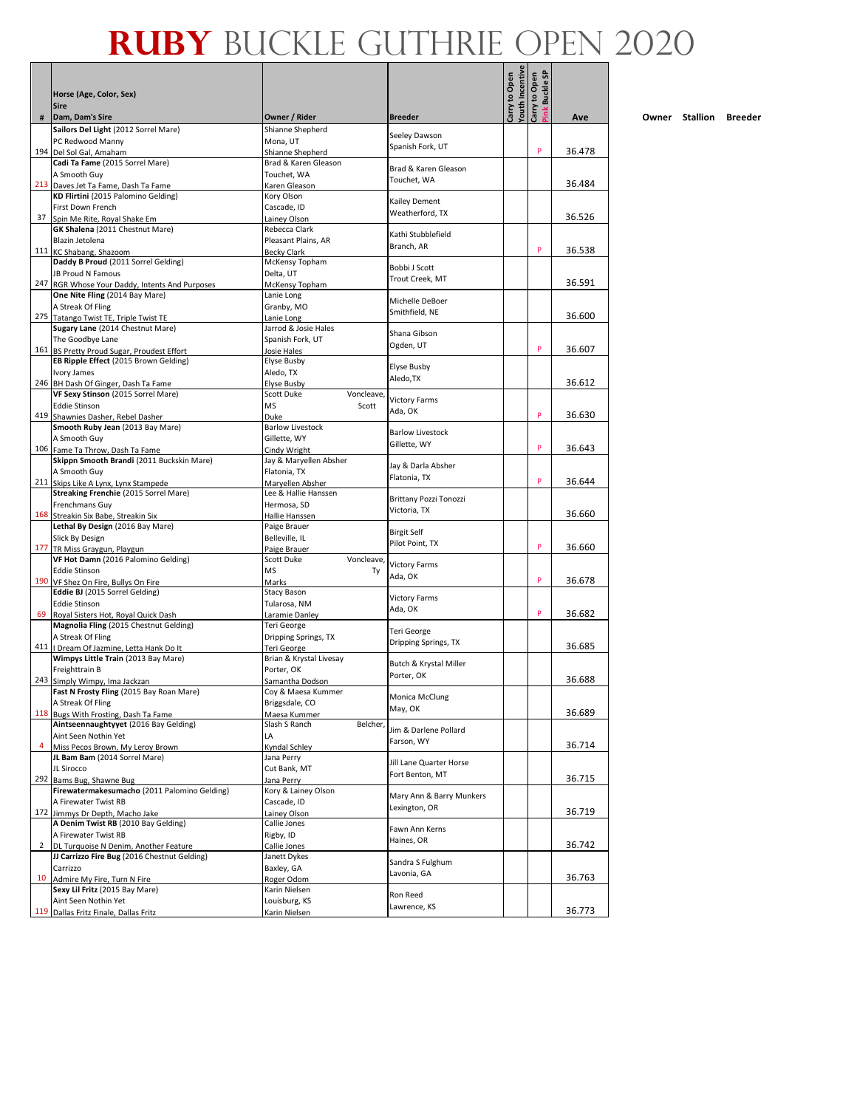|    | Horse (Age, Color, Sex)                                                               |                                          |                                   | outh Incentive<br>Carry to Open | Buckle SP<br>Carry to Open |        |
|----|---------------------------------------------------------------------------------------|------------------------------------------|-----------------------------------|---------------------------------|----------------------------|--------|
| #  | <b>Sire</b><br>Dam, Dam's Sire                                                        | Owner / Rider                            | <b>Breeder</b>                    |                                 | Ĕ                          | Ave    |
|    | Sailors Del Light (2012 Sorrel Mare)                                                  | Shianne Shepherd                         |                                   |                                 |                            |        |
|    | PC Redwood Manny                                                                      | Mona, UT                                 | Seeley Dawson<br>Spanish Fork, UT |                                 |                            |        |
|    | 194 Del Sol Gal, Amaham                                                               | Shianne Shepherd                         |                                   |                                 | P                          | 36.478 |
|    | Cadi Ta Fame (2015 Sorrel Mare)<br>A Smooth Guy                                       | Brad & Karen Gleason                     | Brad & Karen Gleason              |                                 |                            |        |
|    | 213 Daves Jet Ta Fame, Dash Ta Fame                                                   | Touchet, WA<br>Karen Gleason             | Touchet, WA                       |                                 |                            | 36.484 |
|    | KD Flirtini (2015 Palomino Gelding)                                                   | Kory Olson                               |                                   |                                 |                            |        |
|    | First Down French                                                                     | Cascade, ID                              | Kailey Dement<br>Weatherford, TX  |                                 |                            |        |
| 37 | Spin Me Rite, Roval Shake Em                                                          | Lainey Olson                             |                                   |                                 |                            | 36.526 |
|    | <b>GK Shalena</b> (2011 Chestnut Mare)<br>Blazin Jetolena                             | Rebecca Clark<br>Pleasant Plains, AR     | Kathi Stubblefield                |                                 |                            |        |
|    | 111 KC Shabang, Shazoom                                                               | <b>Becky Clark</b>                       | Branch, AR                        |                                 | P                          | 36.538 |
|    | Daddy B Proud (2011 Sorrel Gelding)                                                   | McKensy Topham                           | Bobbi J Scott                     |                                 |                            |        |
|    | JB Proud N Famous                                                                     | Delta, UT                                | Trout Creek, MT                   |                                 |                            |        |
|    | 247 RGR Whose Your Daddy, Intents And Purposes                                        | McKensy Topham                           |                                   |                                 |                            | 36.591 |
|    | One Nite Fling (2014 Bay Mare)<br>A Streak Of Fling                                   | Lanie Long<br>Granby, MO                 | Michelle DeBoer                   |                                 |                            |        |
|    | 275 Tatango Twist TE, Triple Twist TE                                                 | Lanie Long                               | Smithfield, NE                    |                                 |                            | 36.600 |
|    | Sugary Lane (2014 Chestnut Mare)                                                      | Jarrod & Josie Hales                     | Shana Gibson                      |                                 |                            |        |
|    | The Goodbye Lane                                                                      | Spanish Fork, UT                         | Ogden, UT                         |                                 |                            |        |
|    | 161 BS Pretty Proud Sugar, Proudest Effort                                            | Josie Hales                              |                                   |                                 | P                          | 36.607 |
|    | EB Ripple Effect (2015 Brown Gelding)<br>Ivory James                                  | <b>Elyse Busby</b><br>Aledo, TX          | Elyse Busby                       |                                 |                            |        |
|    | 246 BH Dash Of Ginger, Dash Ta Fame                                                   | <b>Elyse Busby</b>                       | Aledo, TX                         |                                 |                            | 36.612 |
|    | VF Sexy Stinson (2015 Sorrel Mare)                                                    | Scott Duke<br>Voncleave,                 | <b>Victory Farms</b>              |                                 |                            |        |
|    | <b>Eddie Stinson</b>                                                                  | <b>MS</b><br>Scott                       | Ada, OK                           |                                 | P                          |        |
|    | 419 Shawnies Dasher, Rebel Dasher<br>Smooth Ruby Jean (2013 Bay Mare)                 | Duke<br><b>Barlow Livestock</b>          |                                   |                                 |                            | 36.630 |
|    | A Smooth Guy                                                                          | Gillette, WY                             | <b>Barlow Livestock</b>           |                                 |                            |        |
|    | 106 Fame Ta Throw, Dash Ta Fame                                                       | Cindy Wright                             | Gillette, WY                      |                                 | P                          | 36.643 |
|    | Skippn Smooth Brandi (2011 Buckskin Mare)                                             | Jay & Maryellen Absher                   | Jay & Darla Absher                |                                 |                            |        |
|    | A Smooth Guy                                                                          | Flatonia, TX                             | Flatonia, TX                      |                                 | P                          |        |
|    | 211 Skips Like A Lynx, Lynx Stampede<br>Streaking Frenchie (2015 Sorrel Mare)         | Maryellen Absher<br>Lee & Hallie Hanssen |                                   |                                 |                            | 36.644 |
|    | Frenchmans Guy                                                                        | Hermosa, SD                              | Brittany Pozzi Tonozzi            |                                 |                            |        |
|    | 168 Streakin Six Babe, Streakin Six                                                   | Hallie Hanssen                           | Victoria, TX                      |                                 |                            | 36.660 |
|    | Lethal By Design (2016 Bay Mare)                                                      | Paige Brauer                             | <b>Birgit Self</b>                |                                 |                            |        |
|    | Slick By Design                                                                       | Belleville, IL                           | Pilot Point, TX                   |                                 | P                          | 36.660 |
|    | 177 TR Miss Graygun, Playgun<br>VF Hot Damn (2016 Palomino Gelding)                   | Paige Brauer<br>Scott Duke<br>Voncleave, |                                   |                                 |                            |        |
|    | <b>Eddie Stinson</b>                                                                  | <b>MS</b><br>Ty                          | <b>Victory Farms</b>              |                                 |                            |        |
|    | 190 VF Shez On Fire, Bullys On Fire                                                   | Marks                                    | Ada, OK                           |                                 | P                          | 36.678 |
|    | Eddie BJ (2015 Sorrel Gelding)                                                        | Stacy Bason                              | <b>Victory Farms</b>              |                                 |                            |        |
|    | <b>Eddie Stinson</b><br>69 Royal Sisters Hot, Royal Quick Dash                        | Tularosa, NM<br>Laramie Danley           | Ada, OK                           |                                 | P                          | 36.682 |
|    | Magnolia Fling (2015 Chestnut Gelding)                                                | Teri George                              |                                   |                                 |                            |        |
|    | A Streak Of Fling                                                                     | Dripping Springs, TX                     | Teri George                       |                                 |                            |        |
|    | 411   Dream Of Jazmine, Letta Hank Do It                                              | Teri George                              | Dripping Springs, TX              |                                 |                            | 36.685 |
|    | Wimpys Little Train (2013 Bay Mare)                                                   | Brian & Krystal Livesay                  | Butch & Krystal Miller            |                                 |                            |        |
|    | Freighttrain B<br>243 Simply Wimpy, Ima Jackzan                                       | Porter, OK<br>Samantha Dodson            | Porter, OK                        |                                 |                            | 36.688 |
|    | Fast N Frosty Fling (2015 Bay Roan Mare)                                              | Coy & Maesa Kummer                       |                                   |                                 |                            |        |
|    | A Streak Of Fling                                                                     | Briggsdale, CO                           | Monica McClung<br>May, OK         |                                 |                            |        |
|    | 118 Bugs With Frosting, Dash Ta Fame                                                  | Maesa Kummer                             |                                   |                                 |                            | 36.689 |
|    | Aintseennaughtyyet (2016 Bay Gelding)<br>Aint Seen Nothin Yet                         | Slash S Ranch<br>Belcher,<br>LA          | Jim & Darlene Pollard             |                                 |                            |        |
| 4  | Miss Pecos Brown, My Leroy Brown                                                      | Kyndal Schley                            | Farson, WY                        |                                 |                            | 36.714 |
|    | JL Bam Bam (2014 Sorrel Mare)                                                         | Jana Perry                               | Jill Lane Quarter Horse           |                                 |                            |        |
|    | JL Sirocco                                                                            | Cut Bank, MT                             | Fort Benton, MT                   |                                 |                            |        |
|    | 292 Bams Bug, Shawne Bug<br>Firewatermakesumacho (2011 Palomino Gelding)              | Jana Perry                               |                                   |                                 |                            | 36.715 |
|    | A Firewater Twist RB                                                                  | Kory & Lainey Olson<br>Cascade, ID       | Mary Ann & Barry Munkers          |                                 |                            |        |
|    | 172 Jimmys Dr Depth, Macho Jake                                                       | Lainey Olson                             | Lexington, OR                     |                                 |                            | 36.719 |
|    | A Denim Twist RB (2010 Bay Gelding)                                                   | Callie Jones                             | Fawn Ann Kerns                    |                                 |                            |        |
|    | A Firewater Twist RB                                                                  | Rigby, ID                                | Haines, OR                        |                                 |                            |        |
| 2  | DL Turquoise N Denim, Another Feature<br>JJ Carrizzo Fire Bug (2016 Chestnut Gelding) | Callie Jones<br>Janett Dykes             |                                   |                                 |                            | 36.742 |
|    | Carrizzo                                                                              | Baxley, GA                               | Sandra S Fulghum                  |                                 |                            |        |
| 10 | Admire My Fire, Turn N Fire                                                           | Roger Odom                               | Lavonia, GA                       |                                 |                            | 36.763 |
|    | Sexy Lil Fritz (2015 Bay Mare)                                                        | Karin Nielsen                            | Ron Reed                          |                                 |                            |        |
|    | Aint Seen Nothin Yet                                                                  | Louisburg, KS                            | Lawrence, KS                      |                                 |                            |        |
|    | 119 Dallas Fritz Finale, Dallas Fritz                                                 | Karin Nielsen                            |                                   |                                 |                            | 36.773 |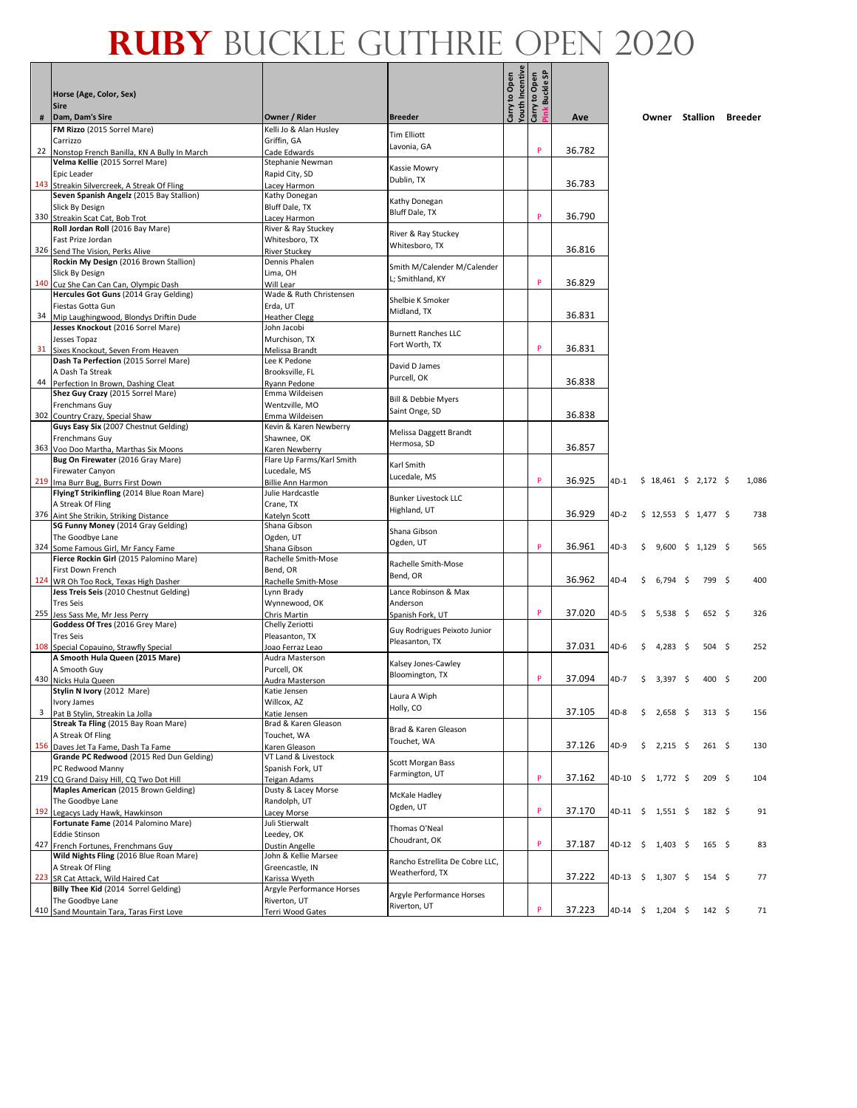|                         | Horse (Age, Color, Sex)<br><b>Sire</b>                                           |                                              |                                           | outh Incentive<br>Carry to Open | Carry to Open<br>Pink Buckle SP |        |      |                        |            |                         |       |
|-------------------------|----------------------------------------------------------------------------------|----------------------------------------------|-------------------------------------------|---------------------------------|---------------------------------|--------|------|------------------------|------------|-------------------------|-------|
| #                       | Dam, Dam's Sire                                                                  | Owner / Rider                                | <b>Breeder</b>                            |                                 |                                 | Ave    |      | Owner Stallion Breeder |            |                         |       |
|                         | FM Rizzo (2015 Sorrel Mare)                                                      | Kelli Jo & Alan Husley                       |                                           |                                 |                                 |        |      |                        |            |                         |       |
|                         | Carrizzo                                                                         | Griffin, GA                                  | <b>Tim Elliott</b><br>Lavonia, GA         |                                 |                                 |        |      |                        |            |                         |       |
| 22                      | Nonstop French Banilla, KN A Bully In March                                      | Cade Edwards                                 |                                           |                                 | P                               | 36.782 |      |                        |            |                         |       |
|                         | Velma Kellie (2015 Sorrel Mare)<br>Epic Leader                                   | Stephanie Newman<br>Rapid City, SD           | Kassie Mowry                              |                                 |                                 |        |      |                        |            |                         |       |
| 143                     | Streakin Silvercreek, A Streak Of Fling                                          | Lacey Harmon                                 | Dublin, TX                                |                                 |                                 | 36.783 |      |                        |            |                         |       |
|                         | Seven Spanish Angelz (2015 Bay Stallion)                                         | Kathy Donegan                                |                                           |                                 |                                 |        |      |                        |            |                         |       |
|                         | Slick By Design                                                                  | Bluff Dale, TX                               | Kathy Donegan<br><b>Bluff Dale, TX</b>    |                                 |                                 |        |      |                        |            |                         |       |
|                         | 330 Streakin Scat Cat, Bob Trot                                                  | Lacey Harmon                                 |                                           |                                 | P                               | 36.790 |      |                        |            |                         |       |
|                         | Roll Jordan Roll (2016 Bay Mare)<br>Fast Prize Jordan                            | River & Ray Stuckey<br>Whitesboro, TX        | River & Ray Stuckey                       |                                 |                                 |        |      |                        |            |                         |       |
|                         | 326 Send The Vision, Perks Alive                                                 | River Stuckey                                | Whitesboro, TX                            |                                 |                                 | 36.816 |      |                        |            |                         |       |
|                         | Rockin My Design (2016 Brown Stallion)                                           | Dennis Phalen                                | Smith M/Calender M/Calender               |                                 |                                 |        |      |                        |            |                         |       |
|                         | Slick By Design                                                                  | Lima, OH                                     | L; Smithland, KY                          |                                 |                                 |        |      |                        |            |                         |       |
| 140                     | Cuz She Can Can Can, Olympic Dash                                                | Will Lear<br>Wade & Ruth Christensen         |                                           |                                 | P                               | 36.829 |      |                        |            |                         |       |
|                         | Hercules Got Guns (2014 Gray Gelding)<br>Fiestas Gotta Gun                       | Erda, UT                                     | Shelbie K Smoker                          |                                 |                                 |        |      |                        |            |                         |       |
| 34                      | Mip Laughingwood, Blondys Driftin Dude                                           | <b>Heather Clegg</b>                         | Midland, TX                               |                                 |                                 | 36.831 |      |                        |            |                         |       |
|                         | Jesses Knockout (2016 Sorrel Mare)                                               | John Jacobi                                  | <b>Burnett Ranches LLC</b>                |                                 |                                 |        |      |                        |            |                         |       |
|                         | Jesses Topaz                                                                     | Murchison, TX                                | Fort Worth, TX                            |                                 |                                 |        |      |                        |            |                         |       |
| 31                      | Sixes Knockout, Seven From Heaven                                                | Melissa Brandt                               |                                           |                                 | P                               | 36.831 |      |                        |            |                         |       |
|                         | Dash Ta Perfection (2015 Sorrel Mare)<br>A Dash Ta Streak                        | Lee K Pedone<br>Brooksville, FL              | David D James                             |                                 |                                 |        |      |                        |            |                         |       |
| 44                      | Perfection In Brown, Dashing Cleat                                               | Ryann Pedone                                 | Purcell, OK                               |                                 |                                 | 36.838 |      |                        |            |                         |       |
|                         | Shez Guy Crazy (2015 Sorrel Mare)                                                | Emma Wildeisen                               | <b>Bill &amp; Debbie Myers</b>            |                                 |                                 |        |      |                        |            |                         |       |
|                         | Frenchmans Guy                                                                   | Wentzville, MO                               | Saint Onge, SD                            |                                 |                                 |        |      |                        |            |                         |       |
|                         | 302 Country Crazy, Special Shaw<br>Guys Easy Six (2007 Chestnut Gelding)         | Emma Wildeisen<br>Kevin & Karen Newberry     |                                           |                                 |                                 | 36.838 |      |                        |            |                         |       |
|                         | Frenchmans Guy                                                                   | Shawnee, OK                                  | Melissa Daggett Brandt                    |                                 |                                 |        |      |                        |            |                         |       |
|                         | 363 Voo Doo Martha, Marthas Six Moons                                            | Karen Newberry                               | Hermosa, SD                               |                                 |                                 | 36.857 |      |                        |            |                         |       |
|                         | Bug On Firewater (2016 Gray Mare)                                                | Flare Up Farms/Karl Smith                    | Karl Smith                                |                                 |                                 |        |      |                        |            |                         |       |
|                         | Firewater Canyon                                                                 | Lucedale, MS                                 | Lucedale, MS                              |                                 | P                               |        |      |                        |            |                         |       |
|                         | 219 Ima Burr Bug, Burrs First Down<br>FlyingT Strikinfling (2014 Blue Roan Mare) | <b>Billie Ann Harmon</b><br>Julie Hardcastle |                                           |                                 |                                 | 36.925 | 4D-1 | $$18,461 \$2,172 \$$   |            |                         | 1,086 |
|                         | A Streak Of Fling                                                                | Crane, TX                                    | <b>Bunker Livestock LLC</b>               |                                 |                                 |        |      |                        |            |                         |       |
|                         | 376 Aint She Strikin, Striking Distance                                          | Katelyn Scott                                | Highland, UT                              |                                 |                                 | 36.929 | 4D-2 | $$12,553$$ $$1,477$$   |            |                         | 738   |
|                         | SG Funny Money (2014 Gray Gelding)                                               | Shana Gibson                                 | Shana Gibson                              |                                 |                                 |        |      |                        |            |                         |       |
|                         | The Goodbye Lane                                                                 | Ogden, UT                                    | Ogden, UT                                 |                                 | P                               | 36.961 |      |                        |            |                         |       |
|                         | 324 Some Famous Girl, Mr Fancy Fame<br>Fierce Rockin Girl (2015 Palomino Mare)   | Shana Gibson<br>Rachelle Smith-Mose          |                                           |                                 |                                 |        | 4D-3 | \$                     |            | $9,600 \div 1,129 \div$ | 565   |
|                         | First Down French                                                                | Bend, OR                                     | Rachelle Smith-Mose                       |                                 |                                 |        |      |                        |            |                         |       |
|                         | 124 WR Oh Too Rock, Texas High Dasher                                            | Rachelle Smith-Mose                          | Bend, OR                                  |                                 |                                 | 36.962 | 4D-4 | Ŝ.                     | $6,794$ \$ | 799 \$                  | 400   |
|                         | Jess Treis Seis (2010 Chestnut Gelding)                                          | Lynn Brady                                   | Lance Robinson & Max                      |                                 |                                 |        |      |                        |            |                         |       |
|                         | <b>Tres Seis</b>                                                                 | Wynnewood, OK                                | Anderson                                  |                                 | P                               | 37.020 |      |                        |            | 652 \$                  |       |
|                         | 255 Jess Sass Me, Mr Jess Perry<br>Goddess Of Tres (2016 Grey Mare)              | Chris Martin<br>Chelly Zeriotti              | Spanish Fork, UT                          |                                 |                                 |        | 4D-5 | \$<br>5,538            | - \$       |                         | 326   |
|                         | <b>Tres Seis</b>                                                                 | Pleasanton, TX                               | Guy Rodrigues Peixoto Junior              |                                 |                                 |        |      |                        |            |                         |       |
|                         | 108 Special Copauino, Strawfly Special                                           | Joao Ferraz Leao                             | Pleasanton, TX                            |                                 |                                 | 37.031 | 4D-6 | 4,283<br>S             | - \$       | $504 \quad$ \$          | 252   |
|                         | A Smooth Hula Queen (2015 Mare)                                                  | Audra Masterson                              | Kalsey Jones-Cawley                       |                                 |                                 |        |      |                        |            |                         |       |
|                         | A Smooth Guy<br>430 Nicks Hula Queen                                             | Purcell, OK<br>Audra Masterson               | Bloomington, TX                           |                                 | P                               | 37.094 | 4D-7 | \$<br>3,397 \$         |            | 400 <sup>5</sup>        | 200   |
|                         | Stylin N Ivory (2012 Mare)                                                       | Katie Jensen                                 |                                           |                                 |                                 |        |      |                        |            |                         |       |
|                         | Ivory James                                                                      | Willcox, AZ                                  | Laura A Wiph                              |                                 |                                 |        |      |                        |            |                         |       |
| $\overline{\mathbf{3}}$ | Pat B Stylin, Streakin La Jolla                                                  | Katie Jensen                                 | Holly, CO                                 |                                 |                                 | 37.105 | 4D-8 | \$<br>2,658 \$         |            | $313 \quad $5$          | 156   |
|                         | Streak Ta Fling (2015 Bay Roan Mare)                                             | Brad & Karen Gleason                         | Brad & Karen Gleason                      |                                 |                                 |        |      |                        |            |                         |       |
|                         | A Streak Of Fling<br>156 Daves Jet Ta Fame, Dash Ta Fame                         | Touchet, WA<br>Karen Gleason                 | Touchet, WA                               |                                 |                                 | 37.126 | 4D-9 | \$<br>$2,215$ \$       |            | $261 \quad $$           | 130   |
|                         | Grande PC Redwood (2015 Red Dun Gelding)                                         | VT Land & Livestock                          |                                           |                                 |                                 |        |      |                        |            |                         |       |
|                         | PC Redwood Manny                                                                 | Spanish Fork, UT                             | Scott Morgan Bass                         |                                 |                                 |        |      |                        |            |                         |       |
|                         | 219 CQ Grand Daisy Hill, CQ Two Dot Hill                                         | Teigan Adams                                 | Farmington, UT                            |                                 | P                               | 37.162 |      | 4D-10 \$ 1,772 \$      |            | 209 <sup>5</sup>        | 104   |
|                         | Maples American (2015 Brown Gelding)<br>The Goodbye Lane                         | Dusty & Lacey Morse                          | McKale Hadley                             |                                 |                                 |        |      |                        |            |                         |       |
| 192                     | Legacys Lady Hawk, Hawkinson                                                     | Randolph, UT<br>Lacey Morse                  | Ogden, UT                                 |                                 | P                               | 37.170 |      | 4D-11 \$ 1,551 \$      |            | $182 \quad $$           | 91    |
|                         | Fortunate Fame (2014 Palomino Mare)                                              | Juli Stierwalt                               |                                           |                                 |                                 |        |      |                        |            |                         |       |
|                         | <b>Eddie Stinson</b>                                                             | Leedey, OK                                   | Thomas O'Neal<br>Choudrant, OK            |                                 |                                 |        |      |                        |            |                         |       |
|                         | 427 French Fortunes, Frenchmans Guy                                              | Dustin Angelle                               |                                           |                                 | P                               | 37.187 |      | 4D-12 \$ 1,403 \$      |            | $165 \quad$ \$          | 83    |
|                         | Wild Nights Fling (2016 Blue Roan Mare)                                          | John & Kellie Marsee                         | Rancho Estrellita De Cobre LLC,           |                                 |                                 |        |      |                        |            |                         |       |
| 223                     | A Streak Of Fling<br>SR Cat Attack, Wild Haired Cat                              | Greencastle, IN<br>Karissa Wyeth             | Weatherford, TX                           |                                 |                                 | 37.222 |      | 4D-13 \$ 1,307 \$      |            | $154 \quad$ \$          | 77    |
|                         | Billy Thee Kid (2014 Sorrel Gelding)                                             | Argyle Performance Horses                    |                                           |                                 |                                 |        |      |                        |            |                         |       |
|                         | The Goodbye Lane                                                                 | Riverton, UT                                 | Argyle Performance Horses<br>Riverton, UT |                                 |                                 |        |      |                        |            |                         |       |
|                         | 410 Sand Mountain Tara, Taras First Love                                         | Terri Wood Gates                             |                                           |                                 | P                               | 37.223 |      | 4D-14 \$ 1,204 \$      |            | $142 \quad$ \$          | 71    |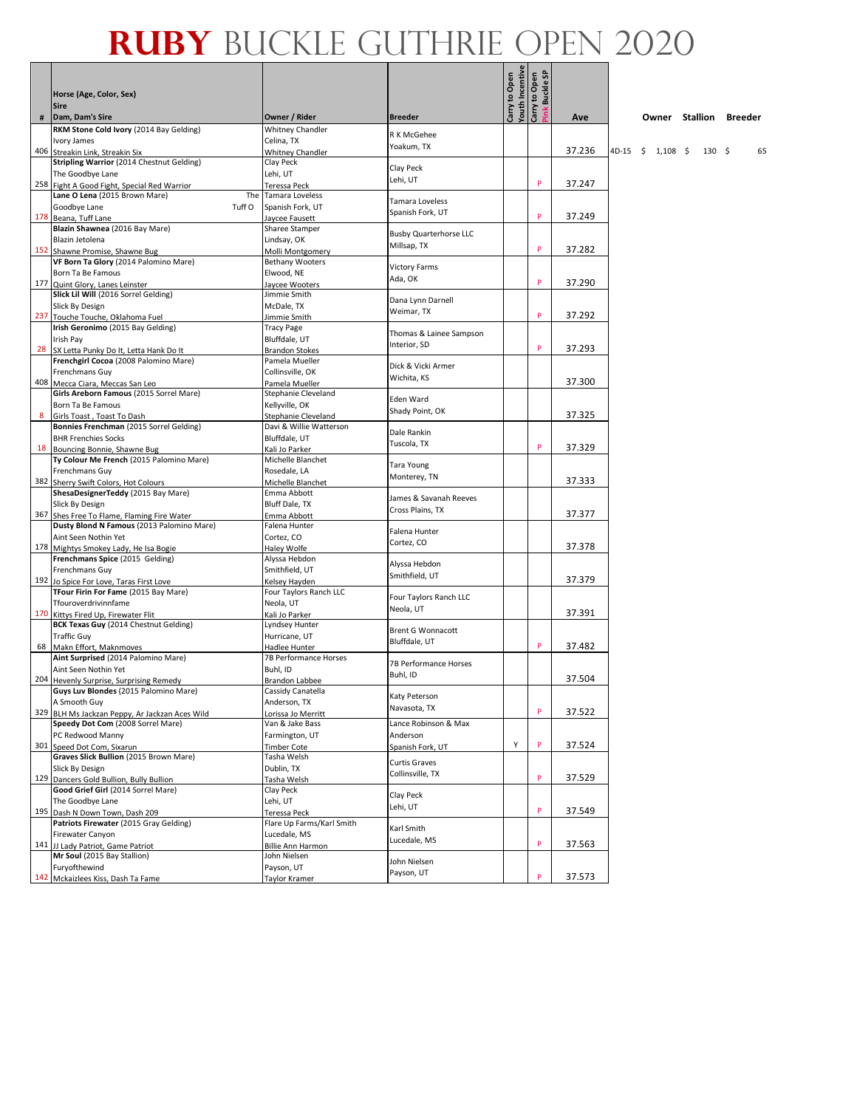|      | Horse (Age, Color, Sex)<br><b>Sire</b>                                             |                                            |                                     | Youth Incentive<br>Carry to Open<br>Carry to Open | Buckle SP |        |       |                     |            |      |                        |    |
|------|------------------------------------------------------------------------------------|--------------------------------------------|-------------------------------------|---------------------------------------------------|-----------|--------|-------|---------------------|------------|------|------------------------|----|
| $\#$ | Dam, Dam's Sire                                                                    | Owner / Rider                              | <b>Breeder</b>                      |                                                   |           | Ave    |       |                     |            |      | Owner Stallion Breeder |    |
|      | RKM Stone Cold Ivory (2014 Bay Gelding)                                            | Whitney Chandler                           | R K McGehee                         |                                                   |           |        |       |                     |            |      |                        |    |
|      | Ivory James<br>406 Streakin Link, Streakin Six                                     | Celina, TX                                 | Yoakum, TX                          |                                                   |           | 37.236 | 4D-15 | $\ddot{\mathsf{s}}$ | $1,108$ \$ | 130S |                        | 65 |
|      | Stripling Warrior (2014 Chestnut Gelding)                                          | <b>Whitney Chandler</b><br>Clay Peck       |                                     |                                                   |           |        |       |                     |            |      |                        |    |
|      | The Goodbye Lane                                                                   | Lehi, UT                                   | Clay Peck                           |                                                   |           |        |       |                     |            |      |                        |    |
|      | 258 Fight A Good Fight, Special Red Warrior                                        | Teressa Peck                               | Lehi, UT                            |                                                   | P         | 37.247 |       |                     |            |      |                        |    |
|      | Lane O Lena (2015 Brown Mare)<br>The                                               | Tamara Loveless                            |                                     |                                                   |           |        |       |                     |            |      |                        |    |
|      | Goodbye Lane<br>Tuff O                                                             | Spanish Fork, UT                           | Tamara Loveless<br>Spanish Fork, UT |                                                   |           |        |       |                     |            |      |                        |    |
|      | 178 Beana, Tuff Lane                                                               | Jaycee Fausett                             |                                     |                                                   | P         | 37.249 |       |                     |            |      |                        |    |
|      | Blazin Shawnea (2016 Bay Mare)                                                     | Sharee Stamper                             | <b>Busby Quarterhorse LLC</b>       |                                                   |           |        |       |                     |            |      |                        |    |
|      | Blazin Jetolena                                                                    | Lindsay, OK                                | Millsap, TX                         |                                                   | P         | 37.282 |       |                     |            |      |                        |    |
|      | 152 Shawne Promise, Shawne Bug<br>VF Born Ta Glory (2014 Palomino Mare)            | Molli Montgomery<br><b>Bethany Wooters</b> |                                     |                                                   |           |        |       |                     |            |      |                        |    |
|      | Born Ta Be Famous                                                                  | Elwood, NE                                 | <b>Victory Farms</b>                |                                                   |           |        |       |                     |            |      |                        |    |
|      | 177 Quint Glory, Lanes Leinster                                                    | laycee Wooters                             | Ada, OK                             |                                                   | P         | 37.290 |       |                     |            |      |                        |    |
|      | Slick Lil Will (2016 Sorrel Gelding)                                               | Jimmie Smith                               |                                     |                                                   |           |        |       |                     |            |      |                        |    |
|      | Slick By Design                                                                    | McDale, TX                                 | Dana Lynn Darnell<br>Weimar, TX     |                                                   |           |        |       |                     |            |      |                        |    |
|      | 237 Touche Touche, Oklahoma Fuel                                                   | Jimmie Smith                               |                                     |                                                   | P         | 37.292 |       |                     |            |      |                        |    |
|      | Irish Geronimo (2015 Bay Gelding)                                                  | Tracy Page                                 | Thomas & Lainee Sampson             |                                                   |           |        |       |                     |            |      |                        |    |
|      | Irish Pay                                                                          | Bluffdale, UT                              | Interior, SD                        |                                                   | P         | 37.293 |       |                     |            |      |                        |    |
|      | 28 SX Letta Punky Do It, Letta Hank Do It<br>Frenchgirl Cocoa (2008 Palomino Mare) | <b>Brandon Stokes</b><br>Pamela Mueller    |                                     |                                                   |           |        |       |                     |            |      |                        |    |
|      | <b>Frenchmans Guy</b>                                                              | Collinsville, OK                           | Dick & Vicki Armer                  |                                                   |           |        |       |                     |            |      |                        |    |
|      | 408 Mecca Ciara, Meccas San Leo                                                    | Pamela Mueller                             | Wichita, KS                         |                                                   |           | 37.300 |       |                     |            |      |                        |    |
|      | Girls Areborn Famous (2015 Sorrel Mare)                                            | Stephanie Cleveland                        |                                     |                                                   |           |        |       |                     |            |      |                        |    |
|      | Born Ta Be Famous                                                                  | Kellyville, OK                             | Eden Ward                           |                                                   |           |        |       |                     |            |      |                        |    |
| 8    | Girls Toast, Toast To Dash                                                         | Stephanie Cleveland                        | Shady Point, OK                     |                                                   |           | 37.325 |       |                     |            |      |                        |    |
|      | Bonnies Frenchman (2015 Sorrel Gelding)                                            | Davi & Willie Watterson                    | Dale Rankin                         |                                                   |           |        |       |                     |            |      |                        |    |
|      | <b>BHR Frenchies Socks</b>                                                         | Bluffdale, UT                              | Tuscola, TX                         |                                                   | P         |        |       |                     |            |      |                        |    |
|      | 18 Bouncing Bonnie, Shawne Bug<br>Ty Colour Me French (2015 Palomino Mare)         | Kali Jo Parker<br>Michelle Blanchet        |                                     |                                                   |           | 37.329 |       |                     |            |      |                        |    |
|      | <b>Frenchmans Guy</b>                                                              | Rosedale, LA                               | Tara Young                          |                                                   |           |        |       |                     |            |      |                        |    |
|      | 382 Sherry Swift Colors, Hot Colours                                               | Michelle Blanchet                          | Monterey, TN                        |                                                   |           | 37.333 |       |                     |            |      |                        |    |
|      | ShesaDesignerTeddy (2015 Bay Mare)                                                 | Emma Abbott                                |                                     |                                                   |           |        |       |                     |            |      |                        |    |
|      | Slick By Design                                                                    | Bluff Dale, TX                             | James & Savanah Reeves              |                                                   |           |        |       |                     |            |      |                        |    |
|      | 367 Shes Free To Flame, Flaming Fire Water                                         | Emma Abbott                                | Cross Plains, TX                    |                                                   |           | 37.377 |       |                     |            |      |                        |    |
|      | Dusty Blond N Famous (2013 Palomino Mare)                                          | Falena Hunter                              | Falena Hunter                       |                                                   |           |        |       |                     |            |      |                        |    |
|      | Aint Seen Nothin Yet                                                               | Cortez, CO                                 | Cortez, CO                          |                                                   |           |        |       |                     |            |      |                        |    |
|      | 178 Mightys Smokey Lady, He Isa Bogie<br>Frenchmans Spice (2015 Gelding)           | Haley Wolfe<br>Alyssa Hebdon               |                                     |                                                   |           | 37.378 |       |                     |            |      |                        |    |
|      | Frenchmans Guy                                                                     | Smithfield, UT                             | Alyssa Hebdon                       |                                                   |           |        |       |                     |            |      |                        |    |
|      | 192 Jo Spice For Love, Taras First Love                                            | Kelsey Hayden                              | Smithfield, UT                      |                                                   |           | 37.379 |       |                     |            |      |                        |    |
|      | TFour Firin For Fame (2015 Bay Mare)                                               | Four Taylors Ranch LLC                     |                                     |                                                   |           |        |       |                     |            |      |                        |    |
|      | Tfouroverdrivinnfame                                                               | Neola, UT                                  | Four Taylors Ranch LLC<br>Neola, UT |                                                   |           |        |       |                     |            |      |                        |    |
|      | 170 Kittys Fired Up, Firewater Flit                                                | Kali Jo Parker                             |                                     |                                                   |           | 37.391 |       |                     |            |      |                        |    |
|      | BCK Texas Guy (2014 Chestnut Gelding)                                              | Lyndsey Hunter                             | <b>Brent G Wonnacott</b>            |                                                   |           |        |       |                     |            |      |                        |    |
|      | <b>Traffic Guy</b>                                                                 | Hurricane, UT                              | Bluffdale, UT                       |                                                   | P         | 37.482 |       |                     |            |      |                        |    |
|      | 68 Makn Effort, Maknmoves<br>Aint Surprised (2014 Palomino Mare)                   | Hadlee Hunter<br>7B Performance Horses     |                                     |                                                   |           |        |       |                     |            |      |                        |    |
|      | Aint Seen Nothin Yet                                                               | Buhl, ID                                   | 7B Performance Horses               |                                                   |           |        |       |                     |            |      |                        |    |
|      | 204 Hevenly Surprise, Surprising Remedy                                            | Brandon Labbee                             | Buhl, ID                            |                                                   |           | 37.504 |       |                     |            |      |                        |    |
|      | Guys Luv Blondes (2015 Palomino Mare)                                              | Cassidy Canatella                          |                                     |                                                   |           |        |       |                     |            |      |                        |    |
|      | A Smooth Guy                                                                       | Anderson, TX                               | Katy Peterson<br>Navasota, TX       |                                                   |           |        |       |                     |            |      |                        |    |
|      | 329 BLH Ms Jackzan Peppy, Ar Jackzan Aces Wild                                     | Lorissa Jo Merritt                         |                                     |                                                   | P         | 37.522 |       |                     |            |      |                        |    |
|      | Speedy Dot Com (2008 Sorrel Mare)<br>PC Redwood Manny                              | Van & Jake Bass                            | Lance Robinson & Max<br>Anderson    |                                                   |           |        |       |                     |            |      |                        |    |
|      | 301 Speed Dot Com, Sixarun                                                         | Farmington, UT<br><b>Timber Cote</b>       | Spanish Fork, UT                    | Υ                                                 | P         | 37.524 |       |                     |            |      |                        |    |
|      | Graves Slick Bullion (2015 Brown Mare)                                             | Tasha Welsh                                |                                     |                                                   |           |        |       |                     |            |      |                        |    |
|      | Slick By Design                                                                    | Dublin, TX                                 | <b>Curtis Graves</b>                |                                                   |           |        |       |                     |            |      |                        |    |
|      | 129 Dancers Gold Bullion, Bully Bullion                                            | Tasha Welsh                                | Collinsville, TX                    |                                                   | P         | 37.529 |       |                     |            |      |                        |    |
|      | Good Grief Girl (2014 Sorrel Mare)                                                 | Clay Peck                                  | Clay Peck                           |                                                   |           |        |       |                     |            |      |                        |    |
|      | The Goodbye Lane                                                                   | Lehi, UT                                   | Lehi, UT                            |                                                   |           |        |       |                     |            |      |                        |    |
|      | 195 Dash N Down Town, Dash 209                                                     | Teressa Peck                               |                                     |                                                   | P         | 37.549 |       |                     |            |      |                        |    |
|      | Patriots Firewater (2015 Gray Gelding)                                             | Flare Up Farms/Karl Smith                  | Karl Smith                          |                                                   |           |        |       |                     |            |      |                        |    |
|      | Firewater Canyon<br>141 JJ Lady Patriot, Game Patriot                              | Lucedale, MS<br><b>Billie Ann Harmon</b>   | Lucedale, MS                        |                                                   | P         | 37.563 |       |                     |            |      |                        |    |
|      | Mr Soul (2015 Bay Stallion)                                                        | John Nielsen                               |                                     |                                                   |           |        |       |                     |            |      |                        |    |
|      | Furyofthewind                                                                      | Payson, UT                                 | John Nielsen                        |                                                   |           |        |       |                     |            |      |                        |    |
|      | 142 Mckaizlees Kiss, Dash Ta Fame                                                  | <b>Taylor Kramer</b>                       | Payson, UT                          |                                                   |           | 37.573 |       |                     |            |      |                        |    |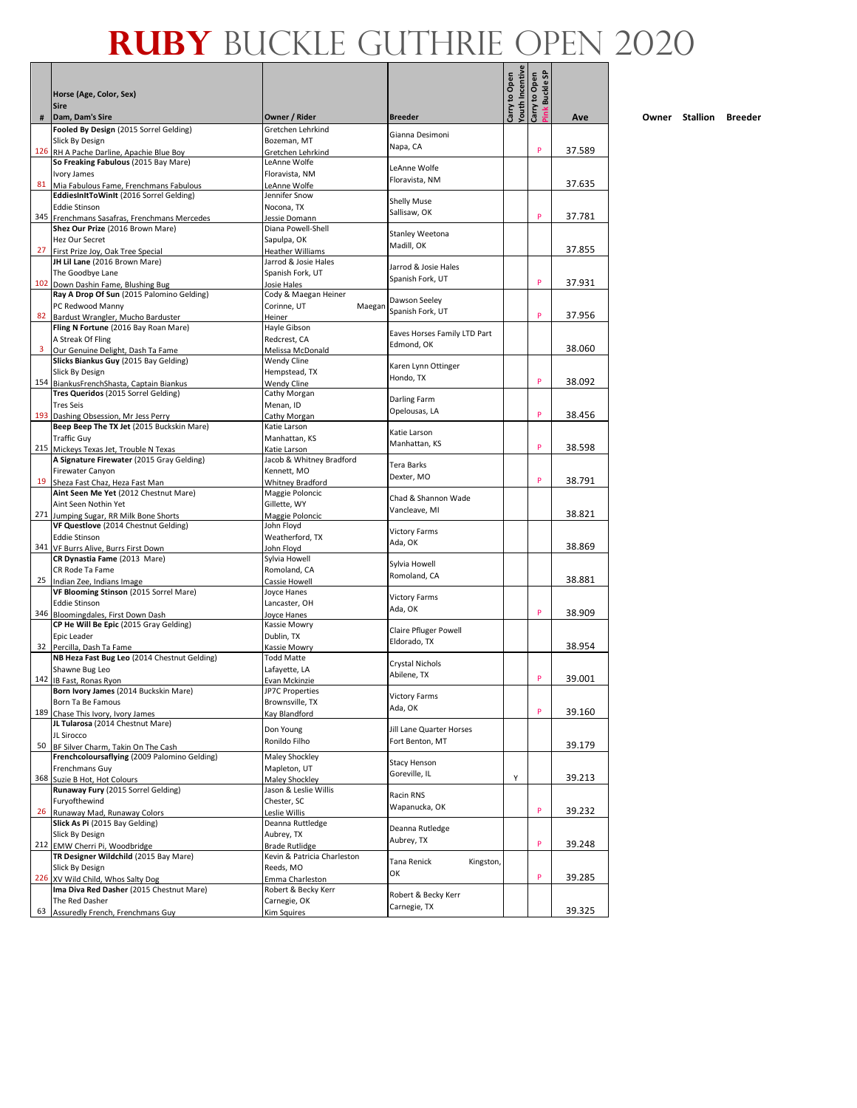- 1

|    | Horse (Age, Color, Sex)<br><b>Sire</b>                                          |                                                      |                              | <b>Touth Incentive</b><br>Carry to Open | <b>Pink Buckle SP</b><br>Carry to Open |        |
|----|---------------------------------------------------------------------------------|------------------------------------------------------|------------------------------|-----------------------------------------|----------------------------------------|--------|
| #  | Dam, Dam's Sire                                                                 | Owner / Rider                                        | <b>Breeder</b>               |                                         |                                        | Ave    |
|    | Fooled By Design (2015 Sorrel Gelding)<br>Slick By Design                       | Gretchen Lehrkind<br>Bozeman, MT                     | Gianna Desimoni              |                                         |                                        |        |
|    | 126 RH A Pache Darline, Apachie Blue Boy                                        | Gretchen Lehrkind                                    | Napa, CA                     |                                         | P                                      | 37.589 |
|    | So Freaking Fabulous (2015 Bay Mare)                                            | LeAnne Wolfe                                         |                              |                                         |                                        |        |
|    | Ivory James                                                                     | Floravista, NM                                       | LeAnne Wolfe                 |                                         |                                        |        |
| 81 | Mia Fabulous Fame, Frenchmans Fabulous                                          | LeAnne Wolfe                                         | Floravista, NM               |                                         |                                        | 37.635 |
|    | EddiesInItToWinIt (2016 Sorrel Gelding)                                         | Jennifer Snow                                        |                              |                                         |                                        |        |
|    | <b>Eddie Stinson</b>                                                            | Nocona, TX                                           | Shelly Muse<br>Sallisaw, OK  |                                         |                                        |        |
|    | 345 Frenchmans Sasafras, Frenchmans Mercedes                                    | Jessie Domann                                        |                              |                                         | P                                      | 37.781 |
|    | Shez Our Prize (2016 Brown Mare)                                                | Diana Powell-Shell                                   | Stanley Weetona              |                                         |                                        |        |
|    | <b>Hez Our Secret</b>                                                           | Sapulpa, OK                                          | Madill, OK                   |                                         |                                        | 37.855 |
| 27 | First Prize Joy, Oak Tree Special<br>JH Lil Lane (2016 Brown Mare)              | Heather Williams<br>Jarrod & Josie Hales             |                              |                                         |                                        |        |
|    | The Goodbye Lane                                                                | Spanish Fork, UT                                     | Jarrod & Josie Hales         |                                         |                                        |        |
|    | 102 Down Dashin Fame, Blushing Bug                                              | Josie Hales                                          | Spanish Fork, UT             |                                         | P                                      | 37.931 |
|    | Ray A Drop Of Sun (2015 Palomino Gelding)                                       | Cody & Maegan Heiner                                 |                              |                                         |                                        |        |
|    | PC Redwood Manny                                                                | Corinne, UT<br>Maegan                                | Dawson Seeley                |                                         |                                        |        |
| 82 | Bardust Wrangler, Mucho Barduster                                               | Heiner                                               | Spanish Fork, UT             |                                         | P                                      | 37.956 |
|    | Fling N Fortune (2016 Bay Roan Mare)                                            | Hayle Gibson                                         | Eaves Horses Family LTD Part |                                         |                                        |        |
|    | A Streak Of Fling                                                               | Redcrest. CA                                         | Edmond, OK                   |                                         |                                        |        |
| 3  | Our Genuine Delight, Dash Ta Fame                                               | Melissa McDonald                                     |                              |                                         |                                        | 38.060 |
|    | Slicks Biankus Guy (2015 Bay Gelding)                                           | <b>Wendy Cline</b>                                   | Karen Lynn Ottinger          |                                         |                                        |        |
|    | Slick By Design                                                                 | Hempstead, TX                                        | Hondo, TX                    |                                         | P                                      | 38.092 |
|    | 154 BiankusFrenchShasta, Captain Biankus<br>Tres Queridos (2015 Sorrel Gelding) | <b>Wendy Cline</b><br>Cathy Morgan                   |                              |                                         |                                        |        |
|    | <b>Tres Seis</b>                                                                | Menan, ID                                            | Darling Farm                 |                                         |                                        |        |
|    | 193 Dashing Obsession, Mr Jess Perry                                            | Cathy Morgan                                         | Opelousas, LA                |                                         | P                                      | 38.456 |
|    | Beep Beep The TX Jet (2015 Buckskin Mare)                                       | Katie Larson                                         |                              |                                         |                                        |        |
|    | <b>Traffic Guy</b>                                                              | Manhattan, KS                                        | Katie Larson                 |                                         |                                        |        |
|    | 215 Mickeys Texas Jet, Trouble N Texas                                          | Katie Larson                                         | Manhattan, KS                |                                         | P                                      | 38.598 |
|    | A Signature Firewater (2015 Gray Gelding)                                       | Jacob & Whitney Bradford                             | <b>Tera Barks</b>            |                                         |                                        |        |
|    | Firewater Canyon                                                                | Kennett, MO                                          | Dexter, MO                   |                                         |                                        |        |
| 19 | Sheza Fast Chaz, Heza Fast Man                                                  | Whitney Bradford                                     |                              |                                         | P                                      | 38.791 |
|    | Aint Seen Me Yet (2012 Chestnut Mare)                                           | Maggie Poloncic                                      | Chad & Shannon Wade          |                                         |                                        |        |
|    | Aint Seen Nothin Yet                                                            | Gillette, WY                                         | Vancleave, MI                |                                         |                                        | 38.821 |
|    | 271 Jumping Sugar, RR Milk Bone Shorts<br>VF Questlove (2014 Chestnut Gelding)  | Maggie Poloncic<br>John Floyd                        |                              |                                         |                                        |        |
|    | <b>Eddie Stinson</b>                                                            | Weatherford, TX                                      | <b>Victory Farms</b>         |                                         |                                        |        |
|    | 341 VF Burrs Alive, Burrs First Down                                            | John Floyd                                           | Ada, OK                      |                                         |                                        | 38.869 |
|    | CR Dynastia Fame (2013 Mare)                                                    | Sylvia Howell                                        | Sylvia Howell                |                                         |                                        |        |
|    | CR Rode Ta Fame                                                                 | Romoland, CA                                         | Romoland, CA                 |                                         |                                        |        |
|    | 25 Indian Zee, Indians Image                                                    | Cassie Howell                                        |                              |                                         |                                        | 38.881 |
|    | VF Blooming Stinson (2015 Sorrel Mare)                                          | Joyce Hanes                                          | <b>Victory Farms</b>         |                                         |                                        |        |
|    | <b>Eddie Stinson</b>                                                            | Lancaster, OH                                        | Ada, OK                      |                                         | P                                      | 38.909 |
|    | 346 Bloomingdales, First Down Dash                                              | Jovce Hanes                                          |                              |                                         |                                        |        |
|    | CP He Will Be Epic (2015 Gray Gelding)<br>Epic Leader                           | Kassie Mowry<br>Dublin, TX                           | <b>Claire Pfluger Powell</b> |                                         |                                        |        |
|    | 32 Percilla, Dash Ta Fame                                                       | Kassie Mowry                                         | Eldorado, TX                 |                                         |                                        | 38.954 |
|    | NB Heza Fast Bug Leo (2014 Chestnut Gelding)                                    | <b>Todd Matte</b>                                    |                              |                                         |                                        |        |
|    | Shawne Bug Leo                                                                  | Lafayette, LA                                        | Crystal Nichols              |                                         |                                        |        |
|    | 142 IB Fast, Ronas Ryon                                                         | Evan Mckinzie                                        | Abilene, TX                  |                                         | P                                      | 39.001 |
|    | Born Ivory James (2014 Buckskin Mare)                                           | <b>JP7C Properties</b>                               | Victory Farms                |                                         |                                        |        |
|    | Born Ta Be Famous                                                               | Brownsville, TX                                      | Ada, OK                      |                                         | P                                      |        |
|    | 189 Chase This Ivory, Ivory James<br>JL Tularosa (2014 Chestnut Mare)           | Kay Blandford                                        |                              |                                         |                                        | 39.160 |
|    | JL Sirocco                                                                      | Don Young                                            | Jill Lane Quarter Horses     |                                         |                                        |        |
| 50 | BF Silver Charm, Takin On The Cash                                              | Ronildo Filho                                        | Fort Benton, MT              |                                         |                                        | 39.179 |
|    | Frenchcoloursaflying (2009 Palomino Gelding)                                    | Maley Shockley                                       |                              |                                         |                                        |        |
|    | Frenchmans Guy                                                                  | Mapleton, UT                                         | Stacy Henson                 |                                         |                                        |        |
|    | 368 Suzie B Hot, Hot Colours                                                    | Maley Shockley                                       | Goreville, IL                | Υ                                       |                                        | 39.213 |
|    | Runaway Fury (2015 Sorrel Gelding)                                              | Jason & Leslie Willis                                | Racin RNS                    |                                         |                                        |        |
|    | Furyofthewind                                                                   | Chester, SC                                          | Wapanucka, OK                |                                         |                                        |        |
| 26 | Runaway Mad, Runaway Colors                                                     | Leslie Willis                                        |                              |                                         | P                                      | 39.232 |
|    | Slick As Pi (2015 Bay Gelding)                                                  | Deanna Ruttledge                                     | Deanna Rutledge              |                                         |                                        |        |
|    | Slick By Design<br>212 EMW Cherri Pi, Woodbridge                                | Aubrey, TX                                           | Aubrey, TX                   |                                         | P                                      | 39.248 |
|    | TR Designer Wildchild (2015 Bay Mare)                                           | <b>Brade Rutlidge</b><br>Kevin & Patricia Charleston |                              |                                         |                                        |        |
|    | Slick By Design                                                                 | Reeds, MO                                            | Tana Renick<br>Kingston,     |                                         |                                        |        |
|    | 226 XV Wild Child, Whos Salty Dog                                               | Emma Charleston                                      | ОК                           |                                         | P                                      | 39.285 |
|    | Ima Diva Red Dasher (2015 Chestnut Mare)                                        | Robert & Becky Kerr                                  |                              |                                         |                                        |        |
|    | The Red Dasher                                                                  | Carnegie, OK                                         | Robert & Becky Kerr          |                                         |                                        |        |
| 63 | Assuredly French, Frenchmans Guy                                                | Kim Squires                                          | Carnegie, TX                 |                                         |                                        | 39.325 |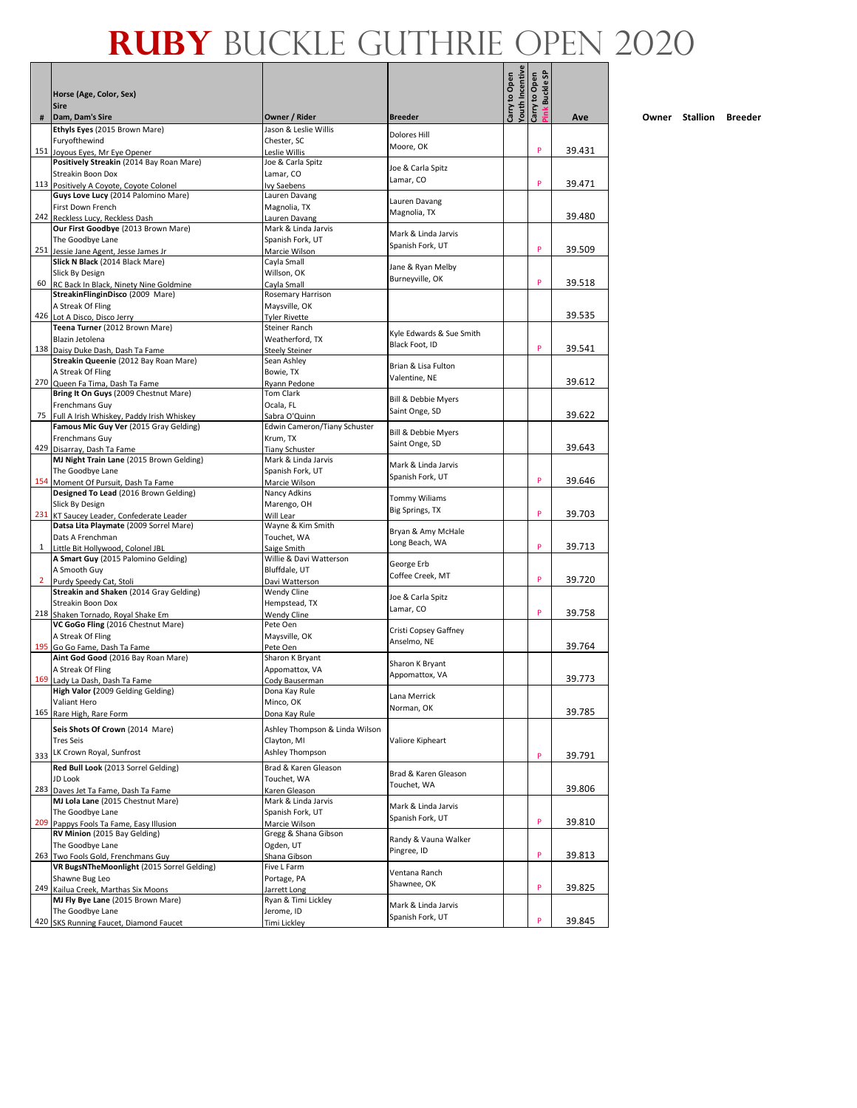- 1

|                | Horse (Age, Color, Sex)                                                          |                                               |                                      | outh Incentive<br>Carry to Open | Buckle SP<br>Carry to Open |        |
|----------------|----------------------------------------------------------------------------------|-----------------------------------------------|--------------------------------------|---------------------------------|----------------------------|--------|
|                | <b>Sire</b>                                                                      |                                               |                                      |                                 | Ĕ                          |        |
| #              | Dam, Dam's Sire<br>Ethyls Eyes (2015 Brown Mare)                                 | Owner / Rider<br>Jason & Leslie Willis        | <b>Breeder</b>                       |                                 |                            | Ave    |
|                | Furyofthewind                                                                    | Chester, SC                                   | Dolores Hill<br>Moore, OK            |                                 |                            |        |
|                | 151 Joyous Eyes, Mr Eye Opener<br>Positively Streakin (2014 Bay Roan Mare)       | Leslie Willis<br>Joe & Carla Spitz            |                                      |                                 | P                          | 39.431 |
|                | Streakin Boon Dox                                                                | Lamar, CO                                     | Joe & Carla Spitz                    |                                 |                            |        |
|                | 113 Positively A Coyote, Coyote Colonel                                          | Ivy Saebens                                   | Lamar, CO                            |                                 | P                          | 39.471 |
|                | Guys Love Lucy (2014 Palomino Mare)<br>First Down French                         | Lauren Davang                                 | Lauren Davang                        |                                 |                            |        |
|                | 242 Reckless Lucy, Reckless Dash                                                 | Magnolia, TX<br>Lauren Davang                 | Magnolia, TX                         |                                 |                            | 39.480 |
|                | Our First Goodbye (2013 Brown Mare)                                              | Mark & Linda Jarvis                           | Mark & Linda Jarvis                  |                                 |                            |        |
|                | The Goodbye Lane                                                                 | Spanish Fork, UT                              | Spanish Fork, UT                     |                                 | P                          | 39.509 |
|                | 251 Jessie Jane Agent, Jesse James Jr.<br>Slick N Black (2014 Black Mare)        | Marcie Wilson<br>Cayla Small                  |                                      |                                 |                            |        |
|                | Slick By Design                                                                  | Willson, OK                                   | Jane & Ryan Melby                    |                                 |                            |        |
| 60             | RC Back In Black, Ninety Nine Goldmine                                           | Cayla Small                                   | Burneyville, OK                      |                                 | P                          | 39.518 |
|                | StreakinFlinginDisco (2009 Mare)<br>A Streak Of Fling                            | Rosemary Harrison<br>Maysville, OK            |                                      |                                 |                            |        |
|                | 426 Lot A Disco, Disco Jerry                                                     | <b>Tyler Rivette</b>                          |                                      |                                 |                            | 39.535 |
|                | Teena Turner (2012 Brown Mare)                                                   | Steiner Ranch                                 | Kyle Edwards & Sue Smith             |                                 |                            |        |
|                | Blazin Jetolena                                                                  | Weatherford, TX                               | Black Foot, ID                       |                                 | P                          | 39.541 |
|                | 138 Daisy Duke Dash, Dash Ta Fame<br>Streakin Queenie (2012 Bay Roan Mare)       | <b>Steely Steiner</b><br>Sean Ashley          |                                      |                                 |                            |        |
|                | A Streak Of Fling                                                                | Bowie, TX                                     | Brian & Lisa Fulton                  |                                 |                            |        |
|                | 270 Queen Fa Tima, Dash Ta Fame                                                  | Rvann Pedone                                  | Valentine, NE                        |                                 |                            | 39.612 |
|                | Bring It On Guys (2009 Chestnut Mare)<br>Frenchmans Guy                          | <b>Tom Clark</b><br>Ocala, FL                 | Bill & Debbie Myers                  |                                 |                            |        |
| 75             | Full A Irish Whiskey, Paddy Irish Whiskey                                        | Sabra O'Quinn                                 | Saint Onge, SD                       |                                 |                            | 39.622 |
|                | Famous Mic Guy Ver (2015 Gray Gelding)                                           | Edwin Cameron/Tiany Schuster                  | <b>Bill &amp; Debbie Myers</b>       |                                 |                            |        |
|                | <b>Frenchmans Guy</b>                                                            | Krum, TX                                      | Saint Onge, SD                       |                                 |                            |        |
|                | 429 Disarray, Dash Ta Fame<br>MJ Night Train Lane (2015 Brown Gelding)           | <b>Tiany Schuster</b><br>Mark & Linda Jarvis  |                                      |                                 |                            | 39.643 |
|                | The Goodbye Lane                                                                 | Spanish Fork, UT                              | Mark & Linda Jarvis                  |                                 |                            |        |
|                | 154 Moment Of Pursuit, Dash Ta Fame                                              | Marcie Wilson                                 | Spanish Fork, UT                     |                                 | P                          | 39.646 |
|                | Designed To Lead (2016 Brown Gelding)                                            | Nancy Adkins                                  | <b>Tommy Wiliams</b>                 |                                 |                            |        |
|                | Slick By Design<br>231 KT Saucey Leader, Confederate Leader                      | Marengo, OH<br>Will Lear                      | Big Springs, TX                      |                                 | P                          | 39.703 |
|                | Datsa Lita Playmate (2009 Sorrel Mare)                                           | Wayne & Kim Smith                             |                                      |                                 |                            |        |
|                | Dats A Frenchman                                                                 | Touchet, WA                                   | Bryan & Amy McHale<br>Long Beach, WA |                                 |                            |        |
| $\mathbf{1}$   | Little Bit Hollywood, Colonel JBL                                                | Saige Smith<br>Willie & Davi Watterson        |                                      |                                 | P                          | 39.713 |
|                | A Smart Guy (2015 Palomino Gelding)<br>A Smooth Guy                              | Bluffdale, UT                                 | George Erb                           |                                 |                            |        |
| $\overline{2}$ | Purdy Speedy Cat, Stoli                                                          | Davi Watterson                                | Coffee Creek, MT                     |                                 | P                          | 39.720 |
|                | Streakin and Shaken (2014 Gray Gelding)                                          | Wendy Cline                                   | Joe & Carla Spitz                    |                                 |                            |        |
|                | Streakin Boon Dox<br>218 Shaken Tornado, Royal Shake Em                          | Hempstead, TX<br><b>Wendy Cline</b>           | Lamar, CO                            |                                 | P                          | 39.758 |
|                | VC GoGo Fling (2016 Chestnut Mare)                                               | Pete Oen                                      |                                      |                                 |                            |        |
|                | A Streak Of Fling                                                                | Maysville, OK                                 | Cristi Copsey Gaffney<br>Anselmo, NE |                                 |                            |        |
|                | 195 Go Go Fame, Dash Ta Fame                                                     | Pete Oen                                      |                                      |                                 |                            | 39.764 |
|                | Aint God Good (2016 Bay Roan Mare)<br>A Streak Of Fling                          | Sharon K Bryant<br>Appomattox, VA             | Sharon K Bryant                      |                                 |                            |        |
|                | 169 Lady La Dash, Dash Ta Fame                                                   | Cody Bauserman                                | Appomattox, VA                       |                                 |                            | 39.773 |
|                | High Valor (2009 Gelding Gelding)                                                | Dona Kay Rule                                 | Lana Merrick                         |                                 |                            |        |
|                | Valiant Hero<br>165 Rare High, Rare Form                                         | Minco, OK<br>Dona Kay Rule                    | Norman, OK                           |                                 |                            | 39.785 |
|                |                                                                                  |                                               |                                      |                                 |                            |        |
|                | Seis Shots Of Crown (2014 Mare)<br><b>Tres Seis</b>                              | Ashley Thompson & Linda Wilson<br>Clayton, MI | Valiore Kipheart                     |                                 |                            |        |
| 333            | LK Crown Royal, Sunfrost                                                         | Ashley Thompson                               |                                      |                                 | P                          | 39.791 |
|                | Red Bull Look (2013 Sorrel Gelding)                                              | Brad & Karen Gleason                          |                                      |                                 |                            |        |
|                | JD Look                                                                          | Touchet. WA                                   | Brad & Karen Gleason                 |                                 |                            |        |
|                | 283 Daves Jet Ta Fame, Dash Ta Fame                                              | Karen Gleason                                 | Touchet, WA                          |                                 |                            | 39.806 |
|                | MJ Lola Lane (2015 Chestnut Mare)<br>The Goodbye Lane                            | Mark & Linda Jarvis<br>Spanish Fork, UT       | Mark & Linda Jarvis                  |                                 |                            |        |
| 209            | Pappys Fools Ta Fame, Easy Illusion                                              | Marcie Wilson                                 | Spanish Fork, UT                     |                                 | P                          | 39.810 |
|                | RV Minion (2015 Bay Gelding)                                                     | Gregg & Shana Gibson                          | Randy & Vauna Walker                 |                                 |                            |        |
|                | The Goodbye Lane                                                                 | Ogden, UT                                     | Pingree, ID                          |                                 | P                          |        |
|                | 263 Two Fools Gold, Frenchmans Guy<br>VR BugsNTheMoonlight (2015 Sorrel Gelding) | Shana Gibson<br>Five L Farm                   |                                      |                                 |                            | 39.813 |
|                | Shawne Bug Leo                                                                   | Portage, PA                                   | Ventana Ranch                        |                                 |                            |        |
|                | 249 Kailua Creek, Marthas Six Moons                                              | Jarrett Long                                  | Shawnee, OK                          |                                 | P                          | 39.825 |
|                | MJ Fly Bye Lane (2015 Brown Mare)                                                | Ryan & Timi Lickley                           | Mark & Linda Jarvis                  |                                 |                            |        |
|                | The Goodbye Lane<br>420 SKS Running Faucet, Diamond Faucet                       | Jerome, ID<br><b>Timi Lickley</b>             | Spanish Fork, UT                     |                                 | P                          | 39.845 |
|                |                                                                                  |                                               |                                      |                                 |                            |        |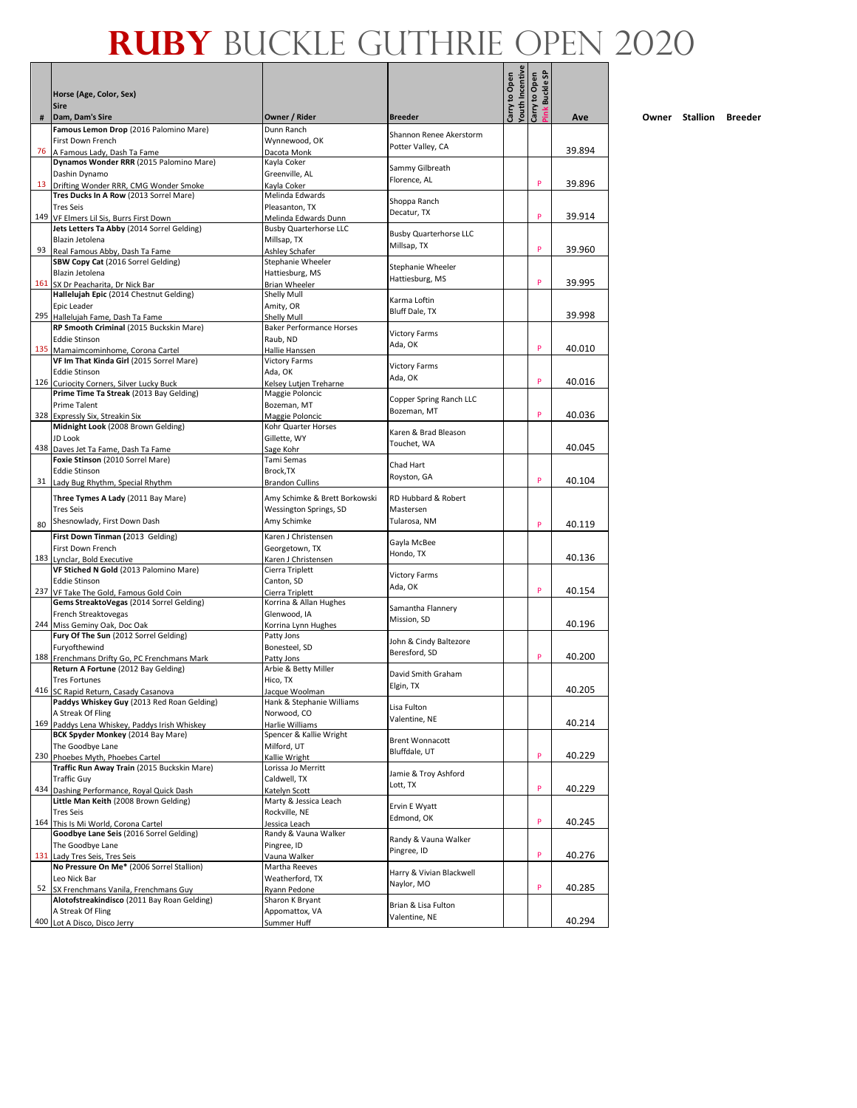Л - 1

|    | Horse (Age, Color, Sex)<br><b>Sire</b>                                              |                                        |                                        | <b><i>Couth</i></b> Incentive<br>Carry to Open | ink Buckle SP<br>Carry to Open |        |
|----|-------------------------------------------------------------------------------------|----------------------------------------|----------------------------------------|------------------------------------------------|--------------------------------|--------|
| #  | Dam, Dam's Sire                                                                     | Owner / Rider                          | <b>Breeder</b>                         |                                                |                                | Ave    |
|    | Famous Lemon Drop (2016 Palomino Mare)                                              | Dunn Ranch                             | Shannon Renee Akerstorm                |                                                |                                |        |
| 76 | First Down French<br>A Famous Lady, Dash Ta Fame                                    | Wynnewood, OK<br>Dacota Monk           | Potter Valley, CA                      |                                                |                                | 39.894 |
|    | Dynamos Wonder RRR (2015 Palomino Mare)                                             | Kayla Coker                            | Sammy Gilbreath                        |                                                |                                |        |
|    | Dashin Dynamo                                                                       | Greenville, AL                         | Florence, AL                           |                                                |                                |        |
| 13 | Drifting Wonder RRR, CMG Wonder Smoke<br>Tres Ducks In A Row (2013 Sorrel Mare)     | Kayla Coker<br>Melinda Edwards         |                                        |                                                | P                              | 39.896 |
|    | <b>Tres Seis</b>                                                                    | Pleasanton, TX                         | Shoppa Ranch                           |                                                |                                |        |
|    | 149 VF Elmers Lil Sis, Burrs First Down                                             | Melinda Edwards Dunn                   | Decatur, TX                            |                                                | P                              | 39.914 |
|    | Jets Letters Ta Abby (2014 Sorrel Gelding)                                          | <b>Busby Quarterhorse LLC</b>          | <b>Busby Quarterhorse LLC</b>          |                                                |                                |        |
| 93 | Blazin Jetolena                                                                     | Millsap, TX                            | Millsap, TX                            |                                                | P                              | 39.960 |
|    | Real Famous Abby, Dash Ta Fame<br>SBW Copy Cat (2016 Sorrel Gelding)                | Ashley Schafer<br>Stephanie Wheeler    |                                        |                                                |                                |        |
|    | Blazin Jetolena                                                                     | Hattiesburg, MS                        | Stephanie Wheeler                      |                                                |                                |        |
|    | 161 SX Dr Peacharita, Dr Nick Bar                                                   | <b>Brian Wheeler</b>                   | Hattiesburg, MS                        |                                                | P                              | 39.995 |
|    | Hallelujah Epic (2014 Chestnut Gelding)                                             | Shelly Mull                            | Karma Loftin                           |                                                |                                |        |
|    | Epic Leader<br>295 Hallelujah Fame, Dash Ta Fame                                    | Amity, OR<br>Shelly Mull               | Bluff Dale, TX                         |                                                |                                | 39.998 |
|    | RP Smooth Criminal (2015 Buckskin Mare)                                             | <b>Baker Performance Horses</b>        |                                        |                                                |                                |        |
|    | <b>Eddie Stinson</b>                                                                | Raub, ND                               | <b>Victory Farms</b><br>Ada, OK        |                                                |                                |        |
|    | 135 Mamaimcominhome, Corona Cartel                                                  | Hallie Hanssen                         |                                        |                                                | P                              | 40.010 |
|    | VF Im That Kinda Girl (2015 Sorrel Mare)<br><b>Eddie Stinson</b>                    | <b>Victory Farms</b><br>Ada, OK        | <b>Victory Farms</b>                   |                                                |                                |        |
|    | 126 Curiocity Corners, Silver Lucky Buck                                            | Kelsey Lutjen Treharne                 | Ada, OK                                |                                                | P                              | 40.016 |
|    | Prime Time Ta Streak (2013 Bay Gelding)                                             | Maggie Poloncic                        |                                        |                                                |                                |        |
|    | <b>Prime Talent</b>                                                                 | Bozeman, MT                            | Copper Spring Ranch LLC<br>Bozeman, MT |                                                |                                |        |
|    | 328 Expressly Six, Streakin Six<br>Midnight Look (2008 Brown Gelding)               | Maggie Poloncic                        |                                        |                                                | P                              | 40.036 |
|    | JD Look                                                                             | Kohr Quarter Horses<br>Gillette, WY    | Karen & Brad Bleason                   |                                                |                                |        |
|    | 438 Daves Jet Ta Fame, Dash Ta Fame                                                 | Sage Kohr                              | Touchet, WA                            |                                                |                                | 40.045 |
|    | Foxie Stinson (2010 Sorrel Mare)                                                    | Tami Semas                             | Chad Hart                              |                                                |                                |        |
|    | <b>Eddie Stinson</b>                                                                | Brock.TX                               | Royston, GA                            |                                                | P                              |        |
|    | 31 Lady Bug Rhythm, Special Rhythm                                                  | <b>Brandon Cullins</b>                 |                                        |                                                |                                | 40.104 |
|    | Three Tymes A Lady (2011 Bay Mare)                                                  | Amy Schimke & Brett Borkowski          | RD Hubbard & Robert                    |                                                |                                |        |
|    | <b>Tres Seis</b>                                                                    | Wessington Springs, SD                 | Mastersen                              |                                                |                                |        |
| 80 | Shesnowlady, First Down Dash                                                        | Amy Schimke                            | Tularosa, NM                           |                                                | P                              | 40.119 |
|    | First Down Tinman (2013 Gelding)                                                    | Karen J Christensen                    | Gayla McBee                            |                                                |                                |        |
|    | First Down French<br>183 Lynclar, Bold Executive                                    | Georgetown, TX<br>Karen J Christensen  | Hondo, TX                              |                                                |                                | 40.136 |
|    | VF Stiched N Gold (2013 Palomino Mare)                                              | Cierra Triplett                        |                                        |                                                |                                |        |
|    | <b>Eddie Stinson</b>                                                                | Canton, SD                             | <b>Victory Farms</b><br>Ada, OK        |                                                |                                |        |
|    | 237 VF Take The Gold, Famous Gold Coin                                              | Cierra Triplett                        |                                        |                                                | P                              | 40.154 |
|    | Gems StreaktoVegas (2014 Sorrel Gelding)<br>French Streaktovegas                    | Korrina & Allan Hughes<br>Glenwood, IA | Samantha Flannery                      |                                                |                                |        |
|    | 244 Miss Geminy Oak, Doc Oak                                                        | Korrina Lynn Hughes                    | Mission, SD                            |                                                |                                | 40.196 |
|    | Fury Of The Sun (2012 Sorrel Gelding)                                               | Patty Jons                             | John & Cindy Baltezore                 |                                                |                                |        |
|    | Furyofthewind                                                                       | Bonesteel, SD                          | Beresford, SD                          |                                                |                                |        |
|    | 188 Frenchmans Drifty Go, PC Frenchmans Mark<br>Return A Fortune (2012 Bay Gelding) | Patty Jons<br>Arbie & Betty Miller     |                                        |                                                | P                              | 40.200 |
|    | <b>Tres Fortunes</b>                                                                | Hico, TX                               | David Smith Graham                     |                                                |                                |        |
|    | 416 SC Rapid Return, Casady Casanova                                                | Jacque Woolman                         | Elgin, TX                              |                                                |                                | 40.205 |
|    | Paddys Whiskey Guy (2013 Red Roan Gelding)                                          | Hank & Stephanie Williams              | Lisa Fulton                            |                                                |                                |        |
|    | A Streak Of Fling<br>169 Paddys Lena Whiskey, Paddys Irish Whiskey                  | Norwood, CO<br>Harlie Williams         | Valentine, NE                          |                                                |                                | 40.214 |
|    | BCK Spyder Monkey (2014 Bay Mare)                                                   | Spencer & Kallie Wright                |                                        |                                                |                                |        |
|    | The Goodbye Lane                                                                    | Milford, UT                            | <b>Brent Wonnacott</b>                 |                                                |                                |        |
|    | 230 Phoebes Myth, Phoebes Cartel                                                    | Kallie Wright                          | Bluffdale, UT                          |                                                | P                              | 40.229 |
|    | Traffic Run Away Train (2015 Buckskin Mare)                                         | Lorissa Jo Merritt                     | Jamie & Troy Ashford                   |                                                |                                |        |
|    | <b>Traffic Guv</b><br>434 Dashing Performance, Royal Quick Dash                     | Caldwell, TX<br>Katelyn Scott          | Lott, TX                               |                                                | P                              | 40.229 |
|    | Little Man Keith (2008 Brown Gelding)                                               | Marty & Jessica Leach                  |                                        |                                                |                                |        |
|    | <b>Tres Seis</b>                                                                    | Rockville, NE                          | Ervin E Wyatt<br>Edmond, OK            |                                                |                                |        |
|    | 164 This Is Mi World, Corona Cartel                                                 | Jessica Leach                          |                                        |                                                | P                              | 40.245 |
|    | Goodbye Lane Seis (2016 Sorrel Gelding)<br>The Goodbye Lane                         | Randy & Vauna Walker<br>Pingree, ID    | Randy & Vauna Walker                   |                                                |                                |        |
|    | 131 Lady Tres Seis, Tres Seis                                                       | Vauna Walker                           | Pingree, ID                            |                                                | P                              | 40.276 |
|    | No Pressure On Me* (2006 Sorrel Stallion)                                           | Martha Reeves                          | Harry & Vivian Blackwell               |                                                |                                |        |
|    | Leo Nick Bar                                                                        | Weatherford, TX                        | Naylor, MO                             |                                                |                                |        |
| 52 | SX Frenchmans Vanila, Frenchmans Guy<br>Alotofstreakindisco (2011 Bay Roan Gelding) | Ryann Pedone                           |                                        |                                                | P                              | 40.285 |
|    | A Streak Of Fling                                                                   | Sharon K Bryant<br>Appomattox, VA      | Brian & Lisa Fulton                    |                                                |                                |        |
|    | 400 Lot A Disco, Disco Jerry                                                        | Summer Huff                            | Valentine, NE                          |                                                |                                | 40.294 |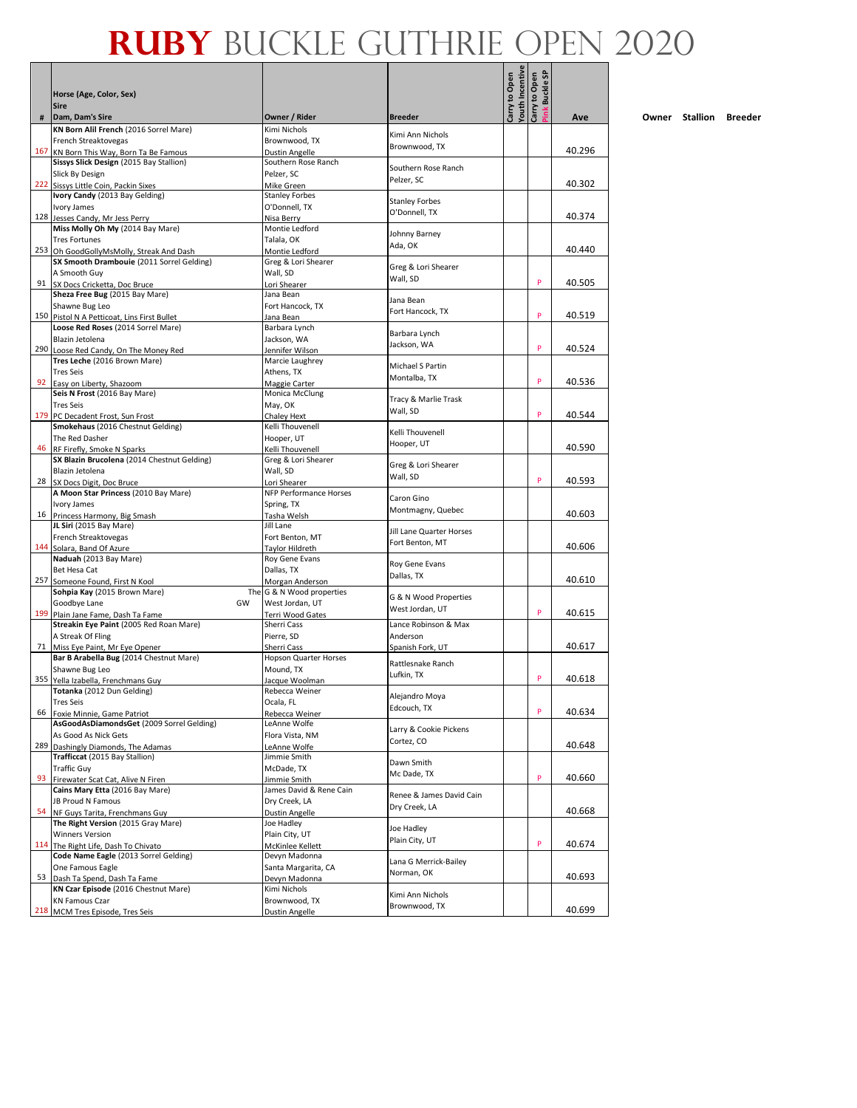- 1

| #   | Horse (Age, Color, Sex)<br><b>Sire</b><br>Dam, Dam's Sire                             | Owner / Rider                         | <b>Breeder</b>            | <b><i>Couth</i></b> Incentive<br>Carry to Open | ink Buckle SP<br>Carry to Open | Ave    |
|-----|---------------------------------------------------------------------------------------|---------------------------------------|---------------------------|------------------------------------------------|--------------------------------|--------|
|     | KN Born Alil French (2016 Sorrel Mare)                                                | Kimi Nichols                          |                           |                                                |                                |        |
|     | French Streaktovegas                                                                  | Brownwood, TX                         | Kimi Ann Nichols          |                                                |                                |        |
|     | 167 KN Born This Way, Born Ta Be Famous                                               | <b>Dustin Angelle</b>                 | Brownwood, TX             |                                                |                                | 40.296 |
|     | Sissys Slick Design (2015 Bay Stallion)                                               | Southern Rose Ranch                   |                           |                                                |                                |        |
|     | Slick By Design                                                                       | Pelzer, SC                            | Southern Rose Ranch       |                                                |                                |        |
|     | 222 Sissys Little Coin, Packin Sixes                                                  | Mike Green                            | Pelzer, SC                |                                                |                                | 40.302 |
|     | Ivory Candy (2013 Bay Gelding)                                                        | <b>Stanley Forbes</b>                 | <b>Stanley Forbes</b>     |                                                |                                |        |
|     | Ivory James                                                                           | O'Donnell, TX                         | O'Donnell. TX             |                                                |                                |        |
|     | 128 Jesses Candy, Mr Jess Perry                                                       | Nisa Berry                            |                           |                                                |                                | 40.374 |
|     | Miss Molly Oh My (2014 Bay Mare)                                                      | Montie Ledford                        | Johnny Barney             |                                                |                                |        |
|     | <b>Tres Fortunes</b>                                                                  | Talala, OK                            | Ada, OK                   |                                                |                                | 40.440 |
|     | 253 Oh GoodGollyMsMolly, Streak And Dash<br>SX Smooth Drambouie (2011 Sorrel Gelding) | Montie Ledford<br>Greg & Lori Shearer |                           |                                                |                                |        |
|     | A Smooth Guy                                                                          | Wall, SD                              | Greg & Lori Shearer       |                                                |                                |        |
|     | 91 SX Docs Cricketta, Doc Bruce                                                       | Lori Shearer                          | Wall, SD                  |                                                | P                              | 40.505 |
|     | Sheza Free Bug (2015 Bay Mare)                                                        | Jana Bean                             |                           |                                                |                                |        |
|     | Shawne Bug Leo                                                                        | Fort Hancock, TX                      | Jana Bean                 |                                                |                                |        |
|     | 150 Pistol N A Petticoat, Lins First Bullet                                           | Jana Bean                             | Fort Hancock, TX          |                                                | P                              | 40.519 |
|     | Loose Red Roses (2014 Sorrel Mare)                                                    | Barbara Lynch                         | Barbara Lynch             |                                                |                                |        |
|     | Blazin Jetolena                                                                       | Jackson, WA                           | Jackson, WA               |                                                |                                |        |
|     | 290 Loose Red Candy, On The Money Red                                                 | Jennifer Wilson                       |                           |                                                | P                              | 40.524 |
|     | Tres Leche (2016 Brown Mare)                                                          | Marcie Laughrey                       | Michael S Partin          |                                                |                                |        |
|     | <b>Tres Seis</b>                                                                      | Athens, TX                            | Montalba, TX              |                                                | P                              |        |
|     | 92 Easy on Liberty, Shazoom                                                           | Maggie Carter                         |                           |                                                |                                | 40.536 |
|     | Seis N Frost (2016 Bay Mare)                                                          | Monica McClung                        | Tracy & Marlie Trask      |                                                |                                |        |
|     | <b>Tres Seis</b>                                                                      | May, OK                               | Wall, SD                  |                                                | P                              | 40.544 |
|     | 179 PC Decadent Frost, Sun Frost<br>Smokehaus (2016 Chestnut Gelding)                 | Chaley Hext<br>Kelli Thouvenell       |                           |                                                |                                |        |
|     | The Red Dasher                                                                        | Hooper, UT                            | Kelli Thouvenell          |                                                |                                |        |
| 46  | RF Firefly, Smoke N Sparks                                                            | Kelli Thouvenell                      | Hooper, UT                |                                                |                                | 40.590 |
|     | SX Blazin Brucolena (2014 Chestnut Gelding)                                           | Greg & Lori Shearer                   |                           |                                                |                                |        |
|     | Blazin Jetolena                                                                       | Wall, SD                              | Greg & Lori Shearer       |                                                |                                |        |
|     | 28 SX Docs Digit, Doc Bruce                                                           | Lori Shearer                          | Wall, SD                  |                                                | P                              | 40.593 |
|     | A Moon Star Princess (2010 Bay Mare)                                                  | <b>NFP Performance Horses</b>         | Caron Gino                |                                                |                                |        |
|     | Ivory James                                                                           | Spring, TX                            | Montmagny, Quebec         |                                                |                                |        |
|     | 16 Princess Harmony, Big Smash                                                        | Tasha Welsh                           |                           |                                                |                                | 40.603 |
|     | JL Siri (2015 Bay Mare)                                                               | Jill Lane                             | Jill Lane Quarter Horses  |                                                |                                |        |
|     | French Streaktovegas                                                                  | Fort Benton, MT                       | Fort Benton, MT           |                                                |                                | 40.606 |
|     | 144 Solara, Band Of Azure<br>Naduah (2013 Bay Mare)                                   | Taylor Hildreth<br>Roy Gene Evans     |                           |                                                |                                |        |
|     | Bet Hesa Cat                                                                          | Dallas, TX                            | Roy Gene Evans            |                                                |                                |        |
|     | 257 Someone Found, First N Kool                                                       | Morgan Anderson                       | Dallas, TX                |                                                |                                | 40.610 |
|     | Sohpia Kay (2015 Brown Mare)                                                          | The G & N Wood properties             |                           |                                                |                                |        |
|     | GW<br>Goodbye Lane                                                                    | West Jordan, UT                       | G & N Wood Properties     |                                                |                                |        |
|     | 199 Plain Jane Fame, Dash Ta Fame                                                     | <b>Terri Wood Gates</b>               | West Jordan, UT           |                                                | P                              | 40.615 |
|     | Streakin Eye Paint (2005 Red Roan Mare)                                               | Sherri Cass                           | Lance Robinson & Max      |                                                |                                |        |
|     | A Streak Of Fling                                                                     | Pierre, SD                            | Anderson                  |                                                |                                |        |
|     | 71 Miss Eye Paint, Mr Eye Opener                                                      | Sherri Cass                           | Spanish Fork, UT          |                                                |                                | 40.617 |
|     | Bar B Arabella Bug (2014 Chestnut Mare)                                               | Hopson Quarter Horses                 | Rattlesnake Ranch         |                                                |                                |        |
|     | Shawne Bug Leo                                                                        | Mound, TX                             | Lufkin, TX                |                                                | P                              |        |
|     | 355 Yella Izabella, Frenchmans Guy<br>Totanka (2012 Dun Gelding)                      | Jacque Woolman<br>Rebecca Weiner      |                           |                                                |                                | 40.618 |
|     | <b>Tres Seis</b>                                                                      | Ocala, FL                             | Alejandro Moya            |                                                |                                |        |
| 66  | Foxie Minnie, Game Patriot                                                            | Rebecca Weiner                        | Edcouch, TX               |                                                | P                              | 40.634 |
|     | AsGoodAsDiamondsGet (2009 Sorrel Gelding)                                             | LeAnne Wolfe                          |                           |                                                |                                |        |
|     | As Good As Nick Gets                                                                  | Flora Vista, NM                       | Larry & Cookie Pickens    |                                                |                                |        |
| 289 | Dashingly Diamonds, The Adamas                                                        | LeAnne Wolfe                          | Cortez, CO                |                                                |                                | 40.648 |
|     | Trafficcat (2015 Bay Stallion)                                                        | Jimmie Smith                          |                           |                                                |                                |        |
|     | <b>Traffic Guy</b>                                                                    | McDade, TX                            | Dawn Smith<br>Mc Dade, TX |                                                |                                |        |
| 93  | Firewater Scat Cat, Alive N Firen                                                     | Jimmie Smith                          |                           |                                                | P                              | 40.660 |
|     | Cains Mary Etta (2016 Bay Mare)                                                       | James David & Rene Cain               | Renee & James David Cain  |                                                |                                |        |
|     | JB Proud N Famous                                                                     | Dry Creek, LA                         | Dry Creek, LA             |                                                |                                |        |
| 54  | NF Guys Tarita, Frenchmans Guy                                                        | <b>Dustin Angelle</b>                 |                           |                                                |                                | 40.668 |
|     | The Right Version (2015 Gray Mare)                                                    | Joe Hadley                            | Joe Hadley                |                                                |                                |        |
|     | <b>Winners Version</b>                                                                | Plain City, UT                        | Plain City, UT            |                                                | P                              | 40.674 |
|     | 114 The Right Life, Dash To Chivato<br>Code Name Eagle (2013 Sorrel Gelding)          | McKinlee Kellett<br>Devyn Madonna     |                           |                                                |                                |        |
|     | One Famous Eagle                                                                      | Santa Margarita, CA                   | Lana G Merrick-Bailey     |                                                |                                |        |
| 53  | Dash Ta Spend, Dash Ta Fame                                                           | Devyn Madonna                         | Norman, OK                |                                                |                                | 40.693 |
|     | KN Czar Episode (2016 Chestnut Mare)                                                  | Kimi Nichols                          |                           |                                                |                                |        |
|     | <b>KN Famous Czar</b>                                                                 | Brownwood, TX                         | Kimi Ann Nichols          |                                                |                                |        |
|     | 218 MCM Tres Episode, Tres Seis                                                       | <b>Dustin Angelle</b>                 | Brownwood, TX             |                                                |                                | 40.699 |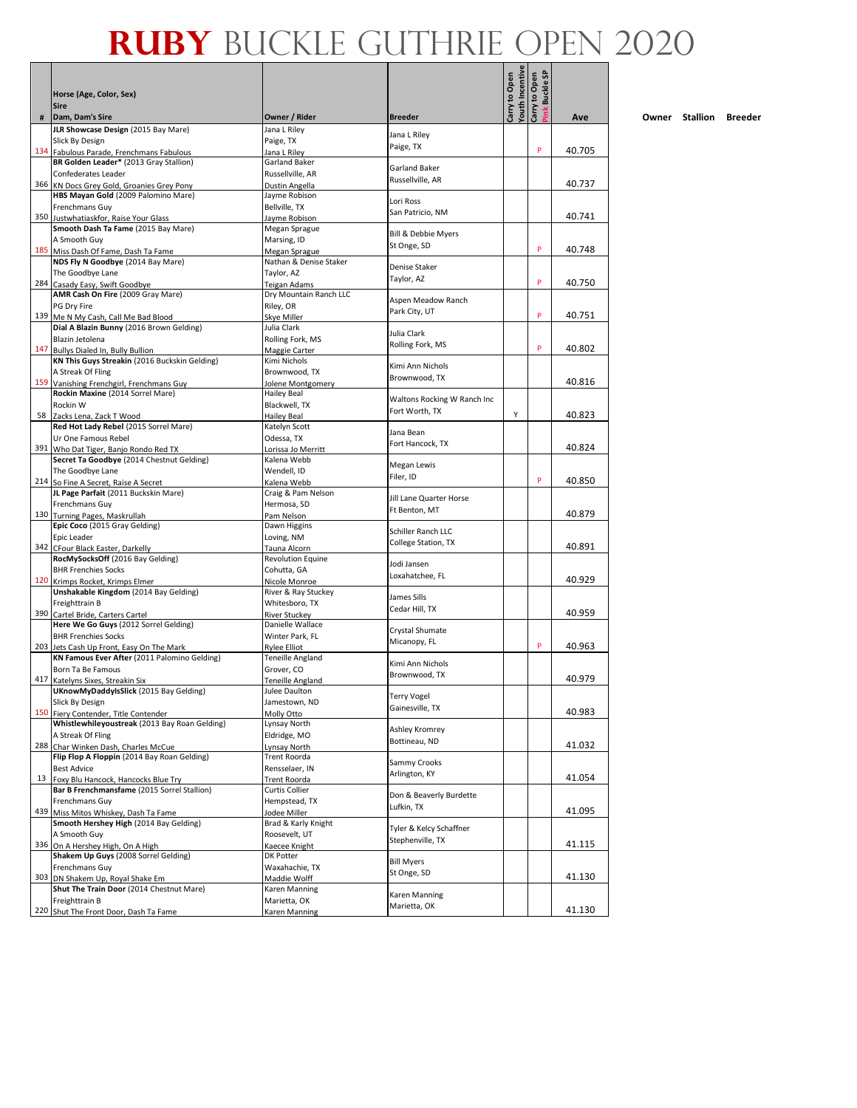Л - 1

|     | Horse (Age, Color, Sex)<br><b>Sire</b>                                             |                                         |                                | <b>/outh Incentive</b><br>Carry to Open | ink Buckle SP<br>Carry to Open |        |
|-----|------------------------------------------------------------------------------------|-----------------------------------------|--------------------------------|-----------------------------------------|--------------------------------|--------|
| #   | Dam, Dam's Sire                                                                    | Owner / Rider                           | <b>Breeder</b>                 |                                         |                                | Ave    |
|     | JLR Showcase Design (2015 Bay Mare)                                                | Jana L Riley                            | Jana L Riley                   |                                         |                                |        |
|     | Slick By Design                                                                    | Paige, TX                               | Paige, TX                      |                                         | P                              | 40.705 |
|     | 134 Fabulous Parade, Frenchmans Fabulous<br>BR Golden Leader* (2013 Gray Stallion) | Jana L Riley<br>Garland Baker           |                                |                                         |                                |        |
|     | Confederates Leader                                                                | Russellville, AR                        | Garland Baker                  |                                         |                                |        |
|     | 366 KN Docs Grey Gold, Groanies Grey Pony                                          | Dustin Angella                          | Russellville, AR               |                                         |                                | 40.737 |
|     | HBS Mayan Gold (2009 Palomino Mare)                                                | Jayme Robison                           |                                |                                         |                                |        |
|     | Frenchmans Guy                                                                     | Bellville, TX                           | Lori Ross<br>San Patricio, NM  |                                         |                                |        |
|     | 350 Justwhatiaskfor, Raise Your Glass                                              | Jayme Robison                           |                                |                                         |                                | 40.741 |
|     | Smooth Dash Ta Fame (2015 Bay Mare)                                                | Megan Sprague                           | Bill & Debbie Myers            |                                         |                                |        |
|     | A Smooth Guv                                                                       | Marsing, ID                             | St Onge, SD                    |                                         | P                              | 40.748 |
| 185 | Miss Dash Of Fame, Dash Ta Fame<br>NDS Fly N Goodbye (2014 Bay Mare)               | Megan Sprague<br>Nathan & Denise Staker |                                |                                         |                                |        |
|     | The Goodbye Lane                                                                   | Taylor, AZ                              | Denise Staker                  |                                         |                                |        |
| 284 | Casady Easy, Swift Goodbye                                                         | Teigan Adams                            | Taylor, AZ                     |                                         | P                              | 40.750 |
|     | AMR Cash On Fire (2009 Gray Mare)                                                  | Dry Mountain Ranch LLC                  |                                |                                         |                                |        |
|     | PG Dry Fire                                                                        | Riley, OR                               | Aspen Meadow Ranch             |                                         |                                |        |
|     | 139 Me N My Cash, Call Me Bad Blood                                                | Skye Miller                             | Park City, UT                  |                                         | P                              | 40.751 |
|     | Dial A Blazin Bunny (2016 Brown Gelding)                                           | Julia Clark                             | Julia Clark                    |                                         |                                |        |
|     | Blazin Jetolena                                                                    | Rolling Fork, MS                        | Rolling Fork, MS               |                                         |                                |        |
|     | 147 Bullys Dialed In, Bully Bullion                                                | Maggie Carter                           |                                |                                         | P                              | 40.802 |
|     | KN This Guys Streakin (2016 Buckskin Gelding)                                      | Kimi Nichols                            | Kimi Ann Nichols               |                                         |                                |        |
|     | A Streak Of Fling<br>159 Vanishing Frenchgirl, Frenchmans Guy                      | Brownwood, TX<br>Jolene Montgomery      | Brownwood, TX                  |                                         |                                | 40.816 |
|     | Rockin Maxine (2014 Sorrel Mare)                                                   |                                         |                                |                                         |                                |        |
|     | Rockin W                                                                           | Hailey Beal<br>Blackwell, TX            | Waltons Rocking W Ranch Inc    |                                         |                                |        |
|     | 58 Zacks Lena, Zack T Wood                                                         | <b>Hailey Beal</b>                      | Fort Worth, TX                 | Y                                       |                                | 40.823 |
|     | Red Hot Lady Rebel (2015 Sorrel Mare)                                              | Katelyn Scott                           |                                |                                         |                                |        |
|     | Ur One Famous Rebel                                                                | Odessa, TX                              | Jana Bean                      |                                         |                                |        |
|     | 391 Who Dat Tiger, Banjo Rondo Red TX                                              | Lorissa Jo Merritt                      | Fort Hancock, TX               |                                         |                                | 40.824 |
|     | Secret Ta Goodbye (2014 Chestnut Gelding)                                          | Kalena Webb                             | Megan Lewis                    |                                         |                                |        |
|     | The Goodbye Lane                                                                   | Wendell, ID                             | Filer, ID                      |                                         |                                |        |
|     | 214 So Fine A Secret, Raise A Secret                                               | Kalena Webb                             |                                |                                         | P                              | 40.850 |
|     | JL Page Parfait (2011 Buckskin Mare)                                               | Craig & Pam Nelson                      | Jill Lane Quarter Horse        |                                         |                                |        |
|     | Frenchmans Guy                                                                     | Hermosa, SD                             | Ft Benton, MT                  |                                         |                                | 40.879 |
|     | 130 Turning Pages, Maskrullah<br>Epic Coco (2015 Gray Gelding)                     | Pam Nelson<br>Dawn Higgins              |                                |                                         |                                |        |
|     | Epic Leader                                                                        | Loving, NM                              | Schiller Ranch LLC             |                                         |                                |        |
|     | 342 CFour Black Easter, Darkelly                                                   | Tauna Alcorn                            | College Station, TX            |                                         |                                | 40.891 |
|     | RocMySocksOff (2016 Bay Gelding)                                                   | <b>Revolution Equine</b>                |                                |                                         |                                |        |
|     | <b>BHR Frenchies Socks</b>                                                         | Cohutta, GA                             | Jodi Jansen                    |                                         |                                |        |
|     | 120 Krimps Rocket, Krimps Elmer                                                    | Nicole Monroe                           | Loxahatchee, FL                |                                         |                                | 40.929 |
|     | Unshakable Kingdom (2014 Bay Gelding)                                              | River & Ray Stuckey                     | James Sills                    |                                         |                                |        |
|     | Freighttrain B                                                                     | Whitesboro, TX                          | Cedar Hill, TX                 |                                         |                                |        |
|     | 390 Cartel Bride, Carters Cartel                                                   | <b>River Stuckev</b>                    |                                |                                         |                                | 40.959 |
|     | Here We Go Guys (2012 Sorrel Gelding)<br><b>BHR Frenchies Socks</b>                | Danielle Wallace<br>Winter Park, FL     | Crystal Shumate                |                                         |                                |        |
|     | 203 Jets Cash Up Front, Easy On The Mark                                           | <b>Rylee Elliot</b>                     | Micanopy, FL                   |                                         | P                              | 40.963 |
|     | KN Famous Ever After (2011 Palomino Gelding)                                       | Teneille Angland                        |                                |                                         |                                |        |
|     | Born Ta Be Famous                                                                  | Grover, CO                              | Kimi Ann Nichols               |                                         |                                |        |
| 417 | Katelyns Sixes, Streakin Six                                                       | Teneille Angland                        | Brownwood, TX                  |                                         |                                | 40.979 |
|     | UKnowMyDaddyIsSlick (2015 Bay Gelding)                                             | Julee Daulton                           |                                |                                         |                                |        |
|     | Slick By Design                                                                    | Jamestown, ND                           | Terry Vogel<br>Gainesville, TX |                                         |                                |        |
| 150 | Fiery Contender, Title Contender                                                   | Molly Otto                              |                                |                                         |                                | 40.983 |
|     | Whistlewhileyoustreak (2013 Bay Roan Gelding)                                      | Lynsay North                            | Ashley Kromrey                 |                                         |                                |        |
| 288 | A Streak Of Fling                                                                  | Eldridge, MO                            | Bottineau, ND                  |                                         |                                | 41.032 |
|     | Char Winken Dash, Charles McCue<br>Flip Flop A Floppin (2014 Bay Roan Gelding)     | Lynsay North<br>Trent Roorda            |                                |                                         |                                |        |
|     | <b>Best Advice</b>                                                                 | Rensselaer, IN                          | Sammy Crooks                   |                                         |                                |        |
| 13  | Foxy Blu Hancock, Hancocks Blue Try                                                | <b>Trent Roorda</b>                     | Arlington, KY                  |                                         |                                | 41.054 |
|     | Bar B Frenchmansfame (2015 Sorrel Stallion)                                        | <b>Curtis Collier</b>                   |                                |                                         |                                |        |
|     | Frenchmans Guy                                                                     | Hempstead, TX                           | Don & Beaverly Burdette        |                                         |                                |        |
| 439 | Miss Mitos Whiskey, Dash Ta Fame                                                   | Jodee Miller                            | Lufkin, TX                     |                                         |                                | 41.095 |
|     | Smooth Hershey High (2014 Bay Gelding)                                             | Brad & Karly Knight                     | Tyler & Kelcy Schaffner        |                                         |                                |        |
|     | A Smooth Guy                                                                       | Roosevelt, UT                           | Stephenville, TX               |                                         |                                |        |
| 336 | On A Hershey High, On A High                                                       | Kaecee Knight                           |                                |                                         |                                | 41.115 |
|     | Shakem Up Guys (2008 Sorrel Gelding)                                               | DK Potter                               | <b>Bill Myers</b>              |                                         |                                |        |
|     | Frenchmans Guy                                                                     | Waxahachie, TX                          | St Onge, SD                    |                                         |                                | 41.130 |
| 303 | DN Shakem Up, Royal Shake Em<br>Shut The Train Door (2014 Chestnut Mare)           | Maddie Wolff<br>Karen Manning           |                                |                                         |                                |        |
|     | Freighttrain B                                                                     | Marietta, OK                            | Karen Manning                  |                                         |                                |        |
|     | 220 Shut The Front Door, Dash Ta Fame                                              | Karen Manning                           | Marietta, OK                   |                                         |                                | 41.130 |
|     |                                                                                    |                                         |                                |                                         |                                |        |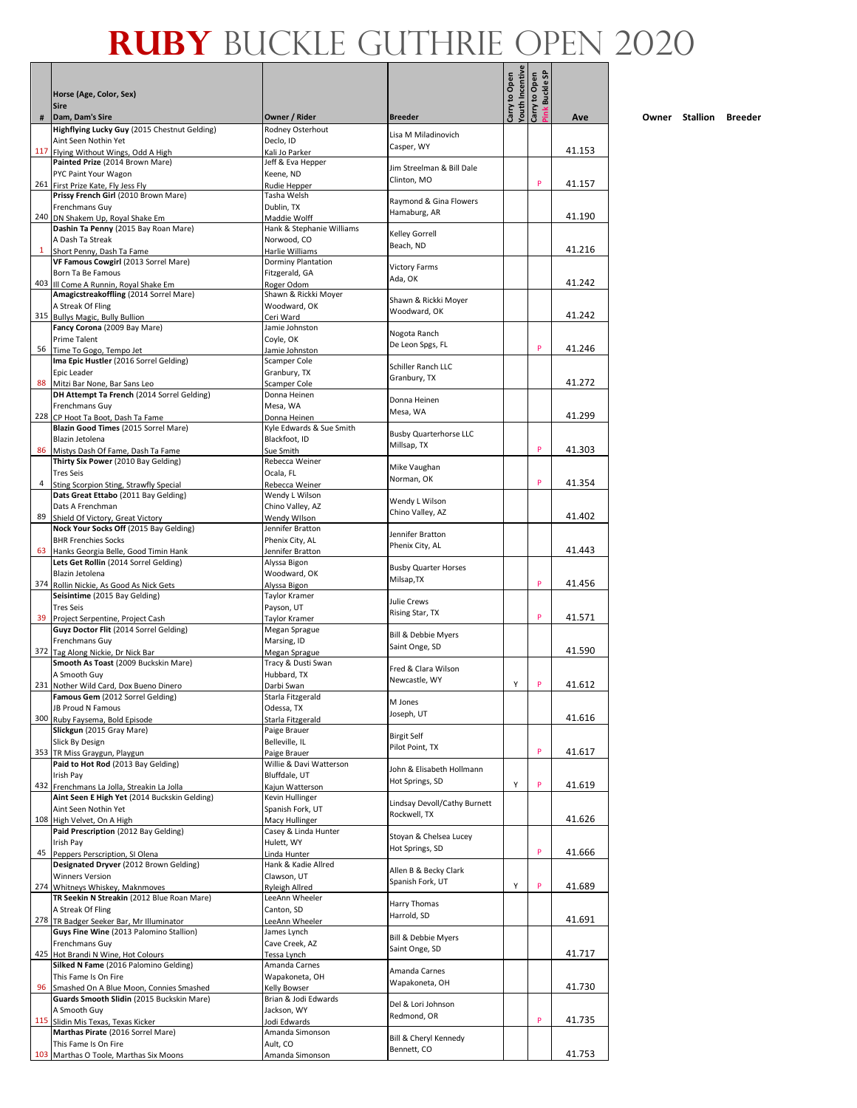|    | Horse (Age, Color, Sex)<br><b>Sire</b>                                               |                                          |                                              | <b>/outh Incentive</b><br>Carry to Open | ink Buckle SP<br>Carry to Open |        |
|----|--------------------------------------------------------------------------------------|------------------------------------------|----------------------------------------------|-----------------------------------------|--------------------------------|--------|
|    | # Dam, Dam's Sire                                                                    | Owner / Rider                            | <b>Breeder</b>                               |                                         |                                | Ave    |
|    | Highflying Lucky Guy (2015 Chestnut Gelding)                                         | Rodney Osterhout                         | Lisa M Miladinovich                          |                                         |                                |        |
|    | Aint Seen Nothin Yet<br>117 Flying Without Wings, Odd A High                         | Declo, ID<br>Kali Jo Parker              | Casper, WY                                   |                                         |                                | 41.153 |
|    | Painted Prize (2014 Brown Mare)                                                      | Jeff & Eva Hepper                        |                                              |                                         |                                |        |
|    | PYC Paint Your Wagon                                                                 | Keene, ND                                | Jim Streelman & Bill Dale<br>Clinton, MO     |                                         |                                |        |
|    | 261 First Prize Kate, Fly Jess Fly                                                   | Rudie Hepper                             |                                              |                                         | P                              | 41.157 |
|    | Prissy French Girl (2010 Brown Mare)<br>Frenchmans Guy                               | Tasha Welsh<br>Dublin, TX                | Raymond & Gina Flowers                       |                                         |                                |        |
|    | 240 DN Shakem Up, Royal Shake Em                                                     | Maddie Wolff                             | Hamaburg, AR                                 |                                         |                                | 41.190 |
|    | Dashin Ta Penny (2015 Bay Roan Mare)                                                 | Hank & Stephanie Williams                | Kelley Gorrell                               |                                         |                                |        |
|    | A Dash Ta Streak<br><sup>1</sup> Short Penny, Dash Ta Fame                           | Norwood, CO                              | Beach, ND                                    |                                         |                                | 41.216 |
|    | VF Famous Cowgirl (2013 Sorrel Mare)                                                 | Harlie Williams<br>Dorminy Plantation    |                                              |                                         |                                |        |
|    | Born Ta Be Famous                                                                    | Fitzgerald, GA                           | <b>Victory Farms</b><br>Ada, OK              |                                         |                                |        |
|    | 403 III Come A Runnin, Royal Shake Em                                                | Roger Odom                               |                                              |                                         |                                | 41.242 |
|    | Amagicstreakoffling (2014 Sorrel Mare)<br>A Streak Of Fling                          | Shawn & Rickki Moyer<br>Woodward, OK     | Shawn & Rickki Moyer                         |                                         |                                |        |
|    | 315 Bullys Magic, Bully Bullion                                                      | Ceri Ward                                | Woodward, OK                                 |                                         |                                | 41.242 |
|    | Fancy Corona (2009 Bay Mare)                                                         | Jamie Johnston                           | Nogota Ranch                                 |                                         |                                |        |
|    | <b>Prime Talent</b>                                                                  | Coyle, OK                                | De Leon Spgs, FL                             |                                         | P                              |        |
|    | 56 Time To Gogo, Tempo Jet<br>Ima Epic Hustler (2016 Sorrel Gelding)                 | Jamie Johnston<br>Scamper Cole           |                                              |                                         |                                | 41.246 |
|    | Epic Leader                                                                          | Granbury, TX                             | Schiller Ranch LLC                           |                                         |                                |        |
|    | 88 Mitzi Bar None, Bar Sans Leo                                                      | Scamper Cole                             | Granbury, TX                                 |                                         |                                | 41.272 |
|    | DH Attempt Ta French (2014 Sorrel Gelding)                                           | Donna Heinen                             | Donna Heinen                                 |                                         |                                |        |
|    | <b>Frenchmans Guv</b><br>228 CP Hoot Ta Boot, Dash Ta Fame                           | Mesa, WA                                 | Mesa, WA                                     |                                         |                                | 41.299 |
|    | Blazin Good Times (2015 Sorrel Mare)                                                 | Donna Heinen<br>Kyle Edwards & Sue Smith |                                              |                                         |                                |        |
|    | Blazin Jetolena                                                                      | Blackfoot, ID                            | <b>Busby Quarterhorse LLC</b><br>Millsap, TX |                                         |                                |        |
|    | 86 Mistys Dash Of Fame, Dash Ta Fame                                                 | Sue Smith                                |                                              |                                         | P                              | 41.303 |
|    | Thirty Six Power (2010 Bay Gelding)                                                  | Rebecca Weiner                           | Mike Vaughan                                 |                                         |                                |        |
| 4  | <b>Tres Seis</b><br>Sting Scorpion Sting, Strawfly Special                           | Ocala, FL<br>Rebecca Weiner              | Norman, OK                                   |                                         | P                              | 41.354 |
|    | Dats Great Ettabo (2011 Bay Gelding)                                                 | Wendy L Wilson                           |                                              |                                         |                                |        |
|    | Dats A Frenchman                                                                     | Chino Valley, AZ                         | Wendy L Wilson<br>Chino Valley, AZ           |                                         |                                |        |
|    | 89 Shield Of Victory, Great Victory                                                  | Wendy Wilson                             |                                              |                                         |                                | 41.402 |
|    | Nock Your Socks Off (2015 Bay Gelding)<br><b>BHR Frenchies Socks</b>                 | Jennifer Bratton<br>Phenix City, AL      | Jennifer Bratton                             |                                         |                                |        |
|    | 63 Hanks Georgia Belle, Good Timin Hank                                              | Jennifer Bratton                         | Phenix City, AL                              |                                         |                                | 41.443 |
|    | Lets Get Rollin (2014 Sorrel Gelding)                                                | Alyssa Bigon                             | <b>Busby Quarter Horses</b>                  |                                         |                                |        |
|    | Blazin Jetolena                                                                      | Woodward, OK                             | Milsap, TX                                   |                                         | P                              |        |
|    | 374 Rollin Nickie, As Good As Nick Gets<br>Seisintime (2015 Bay Gelding)             | Alyssa Bigon<br>Taylor Kramer            |                                              |                                         |                                | 41.456 |
|    | <b>Tres Seis</b>                                                                     | Payson, UT                               | Julie Crews                                  |                                         |                                |        |
|    | 39 Project Serpentine, Project Cash                                                  | Taylor Kramer                            | Rising Star, TX                              |                                         | P                              | 41.571 |
|    | Guyz Doctor Flit (2014 Sorrel Gelding)                                               | Megan Sprague                            | Bill & Debbie Myers                          |                                         |                                |        |
|    | <b>Frenchmans Guv</b><br>372 Tag Along Nickie, Dr Nick Bar                           | Marsing, ID<br>Megan Sprague             | Saint Onge, SD                               |                                         |                                | 41.590 |
|    | Smooth As Toast (2009 Buckskin Mare)                                                 | Tracy & Dusti Swan                       |                                              |                                         |                                |        |
|    | A Smooth Guy                                                                         | Hubbard, TX                              | Fred & Clara Wilson<br>Newcastle, WY         |                                         |                                |        |
|    | 231 Nother Wild Card, Dox Bueno Dinero                                               | Darbi Swan                               |                                              | Υ                                       | P                              | 41.612 |
|    | <b>Famous Gem</b> (2012 Sorrel Gelding)<br><b>JB Proud N Famous</b>                  | Starla Fitzgerald<br>Odessa, TX          | M Jones                                      |                                         |                                |        |
|    | 300 Ruby Faysema, Bold Episode                                                       | Starla Fitzgerald                        | Joseph, UT                                   |                                         |                                | 41.616 |
|    | Slickgun (2015 Gray Mare)                                                            | Paige Brauer                             | <b>Birgit Self</b>                           |                                         |                                |        |
|    | Slick By Design                                                                      | Belleville, IL                           | Pilot Point, TX                              |                                         |                                |        |
|    | 353 TR Miss Graygun, Playgun<br>Paid to Hot Rod (2013 Bay Gelding)                   | Paige Brauer<br>Willie & Davi Watterson  |                                              |                                         | P                              | 41.617 |
|    | Irish Pay                                                                            | Bluffdale, UT                            | John & Elisabeth Hollmann                    |                                         |                                |        |
|    | 432 Frenchmans La Jolla, Streakin La Jolla                                           | Kajun Watterson                          | Hot Springs, SD                              | Υ                                       | P                              | 41.619 |
|    | Aint Seen E High Yet (2014 Buckskin Gelding)                                         | Kevin Hullinger                          | Lindsay Devoll/Cathy Burnett                 |                                         |                                |        |
|    | Aint Seen Nothin Yet<br>108 High Velvet, On A High                                   | Spanish Fork, UT<br>Macy Hullinger       | Rockwell, TX                                 |                                         |                                | 41.626 |
|    | Paid Prescription (2012 Bay Gelding)                                                 | Casey & Linda Hunter                     |                                              |                                         |                                |        |
|    | Irish Pay                                                                            | Hulett, WY                               | Stoyan & Chelsea Lucey<br>Hot Springs, SD    |                                         |                                |        |
|    | 45 Peppers Perscription, SI Olena                                                    | Linda Hunter                             |                                              |                                         | P                              | 41.666 |
|    | Designated Dryver (2012 Brown Gelding)<br><b>Winners Version</b>                     | Hank & Kadie Allred                      | Allen B & Becky Clark                        |                                         |                                |        |
|    | 274 Whitneys Whiskey, Maknmoves                                                      | Clawson, UT<br>Ryleigh Allred            | Spanish Fork, UT                             | Υ                                       | P                              | 41.689 |
|    | TR Seekin N Streakin (2012 Blue Roan Mare)                                           | LeeAnn Wheeler                           | Harry Thomas                                 |                                         |                                |        |
|    | A Streak Of Fling                                                                    | Canton, SD                               | Harrold, SD                                  |                                         |                                |        |
|    | 278 TR Badger Seeker Bar, Mr Illuminator<br>Guys Fine Wine (2013 Palomino Stallion)  | LeeAnn Wheeler<br>James Lynch            |                                              |                                         |                                | 41.691 |
|    | Frenchmans Guy                                                                       | Cave Creek, AZ                           | Bill & Debbie Myers                          |                                         |                                |        |
|    | 425 Hot Brandi N Wine, Hot Colours                                                   | Tessa Lynch                              | Saint Onge, SD                               |                                         |                                | 41.717 |
|    | Silked N Fame (2016 Palomino Gelding)                                                | Amanda Carnes                            | Amanda Carnes                                |                                         |                                |        |
| 96 | This Fame Is On Fire                                                                 | Wapakoneta, OH                           | Wapakoneta, OH                               |                                         |                                | 41.730 |
|    | Smashed On A Blue Moon, Connies Smashed<br>Guards Smooth Slidin (2015 Buckskin Mare) | Kelly Bowser<br>Brian & Jodi Edwards     |                                              |                                         |                                |        |
|    | A Smooth Guy                                                                         | Jackson, WY                              | Del & Lori Johnson                           |                                         |                                |        |
|    | 115 Slidin Mis Texas, Texas Kicker                                                   | Jodi Edwards                             | Redmond, OR                                  |                                         | P                              | 41.735 |
|    | Marthas Pirate (2016 Sorrel Mare)                                                    | Amanda Simonson                          | Bill & Cheryl Kennedy                        |                                         |                                |        |
|    | This Fame Is On Fire<br>103 Marthas O Toole, Marthas Six Moons                       | Ault, CO<br>Amanda Simonson              | Bennett, CO                                  |                                         |                                | 41.753 |
|    |                                                                                      |                                          |                                              |                                         |                                |        |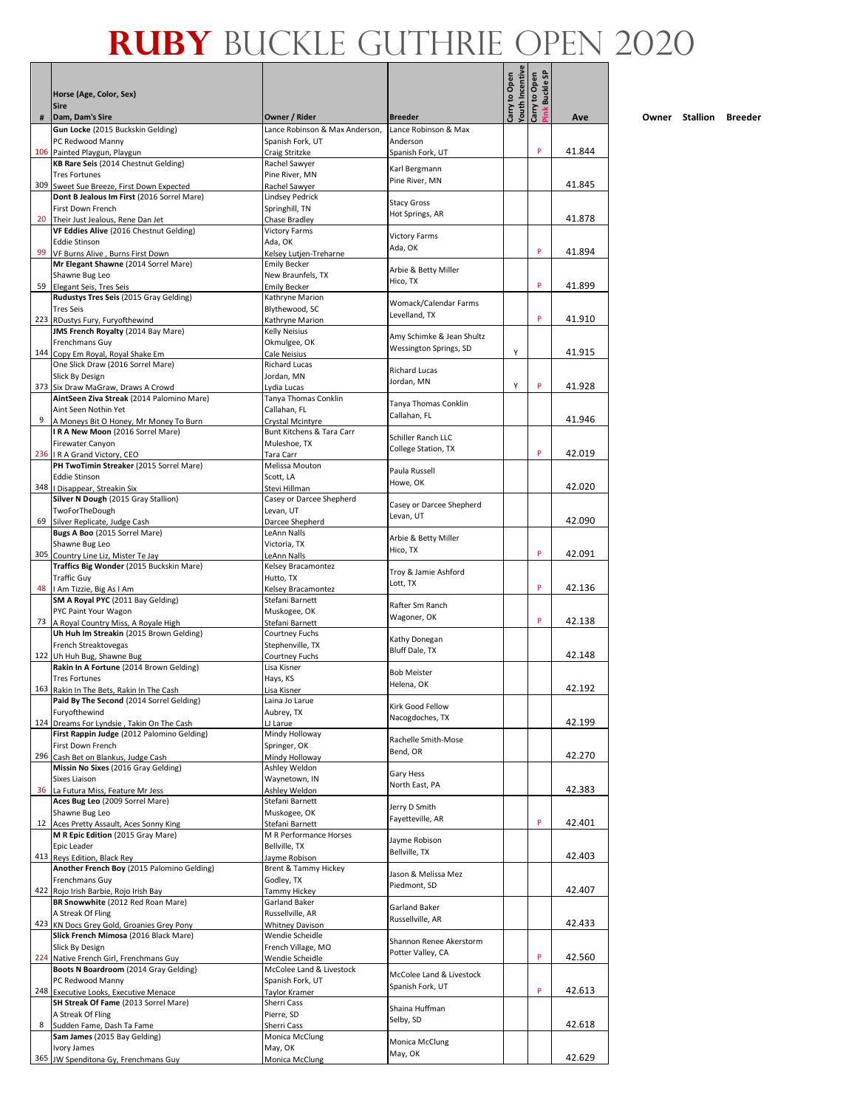|    |                                                                                   |                                                    |                                     | <b>/outh Incentive</b><br>Carry to Open | <b>Buckle SP</b><br>Carry to Open |        |
|----|-----------------------------------------------------------------------------------|----------------------------------------------------|-------------------------------------|-----------------------------------------|-----------------------------------|--------|
|    | Horse (Age, Color, Sex)<br><b>Sire</b>                                            |                                                    |                                     |                                         |                                   |        |
| #  | Dam, Dam's Sire                                                                   | Owner / Rider                                      | <b>Breeder</b>                      |                                         | <sup>x</sup> ink                  | Ave    |
|    | Gun Locke (2015 Buckskin Gelding)<br>PC Redwood Manny                             | Lance Robinson & Max Anderson,<br>Spanish Fork, UT | Lance Robinson & Max<br>Anderson    |                                         |                                   |        |
|    | 106 Painted Playgun, Playgun                                                      | Craig Stritzke                                     | Spanish Fork, UT                    |                                         | P                                 | 41.844 |
|    | KB Rare Seis (2014 Chestnut Gelding)<br><b>Tres Fortunes</b>                      | Rachel Sawyer<br>Pine River, MN                    | Karl Bergmann                       |                                         |                                   |        |
|    | 309 Sweet Sue Breeze, First Down Expected                                         | Rachel Sawyer                                      | Pine River, MN                      |                                         |                                   | 41.845 |
|    | Dont B Jealous Im First (2016 Sorrel Mare)                                        | <b>Lindsey Pedrick</b>                             | <b>Stacy Gross</b>                  |                                         |                                   |        |
|    | First Down French<br>20 Their Just Jealous, Rene Dan Jet                          | Springhill, TN<br>Chase Bradlev                    | Hot Springs, AR                     |                                         |                                   | 41.878 |
|    | VF Eddies Alive (2016 Chestnut Gelding)                                           | <b>Victory Farms</b>                               |                                     |                                         |                                   |        |
|    | <b>Eddie Stinson</b>                                                              | Ada, OK                                            | <b>Victory Farms</b><br>Ada, OK     |                                         |                                   |        |
|    | 99 VF Burns Alive, Burns First Down                                               | Kelsev Lutien-Treharne<br><b>Emily Becker</b>      |                                     |                                         | P                                 | 41.894 |
|    | Mr Elegant Shawne (2014 Sorrel Mare)<br>Shawne Bug Leo                            | New Braunfels, TX                                  | Arbie & Betty Miller                |                                         |                                   |        |
|    | 59 Elegant Seis, Tres Seis                                                        | <b>Emily Becker</b>                                | Hico, TX                            |                                         | P                                 | 41.899 |
|    | Rudustys Tres Seis (2015 Gray Gelding)<br><b>Tres Seis</b>                        | Kathryne Marion                                    | Womack/Calendar Farms               |                                         |                                   |        |
|    | 223 RDustys Fury, Furyofthewind                                                   | Blythewood, SC<br>Kathryne Marion                  | Levelland, TX                       |                                         | P                                 | 41.910 |
|    | JMS French Royalty (2014 Bay Mare)                                                | <b>Kelly Neisius</b>                               | Amy Schimke & Jean Shultz           |                                         |                                   |        |
|    | Frenchmans Guy                                                                    | Okmulgee, OK                                       | Wessington Springs, SD              | Υ                                       |                                   | 41.915 |
|    | 144 Copy Em Royal, Royal Shake Em<br>One Slick Draw (2016 Sorrel Mare)            | Cale Neisius<br><b>Richard Lucas</b>               |                                     |                                         |                                   |        |
|    | Slick By Design                                                                   | Jordan, MN                                         | <b>Richard Lucas</b><br>Jordan, MN  |                                         |                                   |        |
|    | 373 Six Draw MaGraw, Draws A Crowd                                                | Lydia Lucas                                        |                                     | Υ                                       | P                                 | 41.928 |
|    | AintSeen Ziva Streak (2014 Palomino Mare)<br>Aint Seen Nothin Yet                 | Tanya Thomas Conklin<br>Callahan. FL               | Tanya Thomas Conklin                |                                         |                                   |        |
| 9  | A Moneys Bit O Honey, Mr Money To Burn                                            | Crystal Mcintyre                                   | Callahan, FL                        |                                         |                                   | 41.946 |
|    | IRA New Moon (2016 Sorrel Mare)                                                   | Bunt Kitchens & Tara Carr                          | Schiller Ranch LLC                  |                                         |                                   |        |
|    | Firewater Canyon<br>236   R A Grand Victory, CEO                                  | Muleshoe, TX<br>Tara Carr                          | College Station, TX                 |                                         | P                                 | 42.019 |
|    | PH TwoTimin Streaker (2015 Sorrel Mare)                                           | Melissa Mouton                                     | Paula Russell                       |                                         |                                   |        |
|    | <b>Eddie Stinson</b>                                                              | Scott, LA                                          | Howe, OK                            |                                         |                                   |        |
|    | 348   Disappear, Streakin Six<br>Silver N Dough (2015 Gray Stallion)              | Stevi Hillman<br>Casey or Darcee Shepherd          |                                     |                                         |                                   | 42.020 |
|    | TwoForTheDough                                                                    | Levan, UT                                          | Casey or Darcee Shepherd            |                                         |                                   |        |
| 69 | Silver Replicate, Judge Cash                                                      | Darcee Shepherd                                    | Levan, UT                           |                                         |                                   | 42.090 |
|    | Bugs A Boo (2015 Sorrel Mare)<br>Shawne Bug Leo                                   | LeAnn Nalls<br>Victoria, TX                        | Arbie & Betty Miller                |                                         |                                   |        |
|    | 305 Country Line Liz, Mister Te Jay                                               | LeAnn Nalls                                        | Hico, TX                            |                                         | P                                 | 42.091 |
|    | Traffics Big Wonder (2015 Buckskin Mare)                                          | Kelsey Bracamontez                                 | Troy & Jamie Ashford                |                                         |                                   |        |
|    | <b>Traffic Guy</b><br>48   Am Tizzie, Big As I Am                                 | Hutto, TX                                          | Lott, TX                            |                                         | P                                 | 42.136 |
|    | SM A Royal PYC (2011 Bay Gelding)                                                 | Kelsey Bracamontez<br>Stefani Barnett              |                                     |                                         |                                   |        |
|    | PYC Paint Your Wagon                                                              | Muskogee, OK                                       | Rafter Sm Ranch<br>Wagoner, OK      |                                         |                                   |        |
|    | 73 A Royal Country Miss, A Royale High<br>Uh Huh Im Streakin (2015 Brown Gelding) | Stefani Barnett<br>Courtney Fuchs                  |                                     |                                         | P                                 | 42.138 |
|    | French Streaktovegas                                                              | Stephenville, TX                                   | Kathy Donegan                       |                                         |                                   |        |
|    | 122 Uh Huh Bug, Shawne Bug                                                        | <b>Courtney Fuchs</b>                              | Bluff Dale, TX                      |                                         |                                   | 42.148 |
|    | Rakin In A Fortune (2014 Brown Gelding)                                           | Lisa Kisner                                        | <b>Bob Meister</b>                  |                                         |                                   |        |
|    | <b>Tres Fortunes</b><br>163 Rakin In The Bets, Rakin In The Cash                  | Hays, KS<br>Lisa Kisner                            | Helena, OK                          |                                         |                                   | 42.192 |
|    | Paid By The Second (2014 Sorrel Gelding)                                          | Laina Jo Larue                                     | Kirk Good Fellow                    |                                         |                                   |        |
|    | Furyofthewind<br>124 Dreams For Lyndsie, Takin On The Cash                        | Aubrey, TX                                         | Nacogdoches, TX                     |                                         |                                   | 42.199 |
|    | First Rappin Judge (2012 Palomino Gelding)                                        | LJ Larue<br>Mindy Holloway                         |                                     |                                         |                                   |        |
|    | First Down French                                                                 | Springer, OK                                       | Rachelle Smith-Mose<br>Bend, OR     |                                         |                                   |        |
|    | 296 Cash Bet on Blankus, Judge Cash                                               | Mindy Holloway                                     |                                     |                                         |                                   | 42.270 |
|    | Missin No Sixes (2016 Gray Gelding)<br>Sixes Liaison                              | Ashley Weldon<br>Waynetown, IN                     | Gary Hess                           |                                         |                                   |        |
|    | 36 La Futura Miss, Feature Mr Jess                                                | Ashley Weldon                                      | North East, PA                      |                                         |                                   | 42.383 |
|    | Aces Bug Leo (2009 Sorrel Mare)                                                   | Stefani Barnett                                    | Jerry D Smith                       |                                         |                                   |        |
|    | Shawne Bug Leo<br>12 Aces Pretty Assault, Aces Sonny King                         | Muskogee, OK<br>Stefani Barnett                    | Fayetteville, AR                    |                                         | P                                 | 42.401 |
|    | M R Epic Edition (2015 Gray Mare)                                                 | M R Performance Horses                             | Jayme Robison                       |                                         |                                   |        |
|    | Epic Leader<br>413 Reys Edition, Black Rey                                        | Bellville, TX                                      | Bellville, TX                       |                                         |                                   | 42.403 |
|    | Another French Boy (2015 Palomino Gelding)                                        | Jayme Robison<br>Brent & Tammy Hickey              |                                     |                                         |                                   |        |
|    | Frenchmans Guy                                                                    | Godley, TX                                         | Jason & Melissa Mez<br>Piedmont, SD |                                         |                                   |        |
|    | 422 Rojo Irish Barbie, Rojo Irish Bay<br>BR Snowwhite (2012 Red Roan Mare)        | <b>Tammy Hickey</b><br>Garland Baker               |                                     |                                         |                                   | 42.407 |
|    | A Streak Of Fling                                                                 | Russellville, AR                                   | Garland Baker                       |                                         |                                   |        |
|    | 423 KN Docs Grey Gold, Groanies Grey Pony                                         | <b>Whitney Davison</b>                             | Russellville, AR                    |                                         |                                   | 42.433 |
|    | Slick French Mimosa (2016 Black Mare)<br>Slick By Design                          | Wendie Scheidle<br>French Village, MO              | Shannon Renee Akerstorm             |                                         |                                   |        |
|    | 224 Native French Girl, Frenchmans Guy                                            | Wendie Scheidle                                    | Potter Valley, CA                   |                                         | P                                 | 42.560 |
|    | Boots N Boardroom (2014 Gray Gelding)                                             | McColee Land & Livestock                           | McColee Land & Livestock            |                                         |                                   |        |
|    | PC Redwood Manny                                                                  | Spanish Fork, UT                                   | Spanish Fork, UT                    |                                         | P                                 | 42.613 |
|    | 248 Executive Looks, Executive Menace<br>SH Streak Of Fame (2013 Sorrel Mare)     | Taylor Kramer<br>Sherri Cass                       |                                     |                                         |                                   |        |
|    | A Streak Of Fling                                                                 | Pierre, SD                                         | Shaina Huffman<br>Selby, SD         |                                         |                                   |        |
| 8  | Sudden Fame, Dash Ta Fame                                                         | Sherri Cass                                        |                                     |                                         |                                   | 42.618 |
|    | Sam James (2015 Bay Gelding)<br>Ivory James                                       | Monica McClung<br>May, OK                          | Monica McClung                      |                                         |                                   |        |
|    | 365 JW Spenditona Gy, Frenchmans Guy                                              | Monica McClung                                     | May, OK                             |                                         |                                   | 42.629 |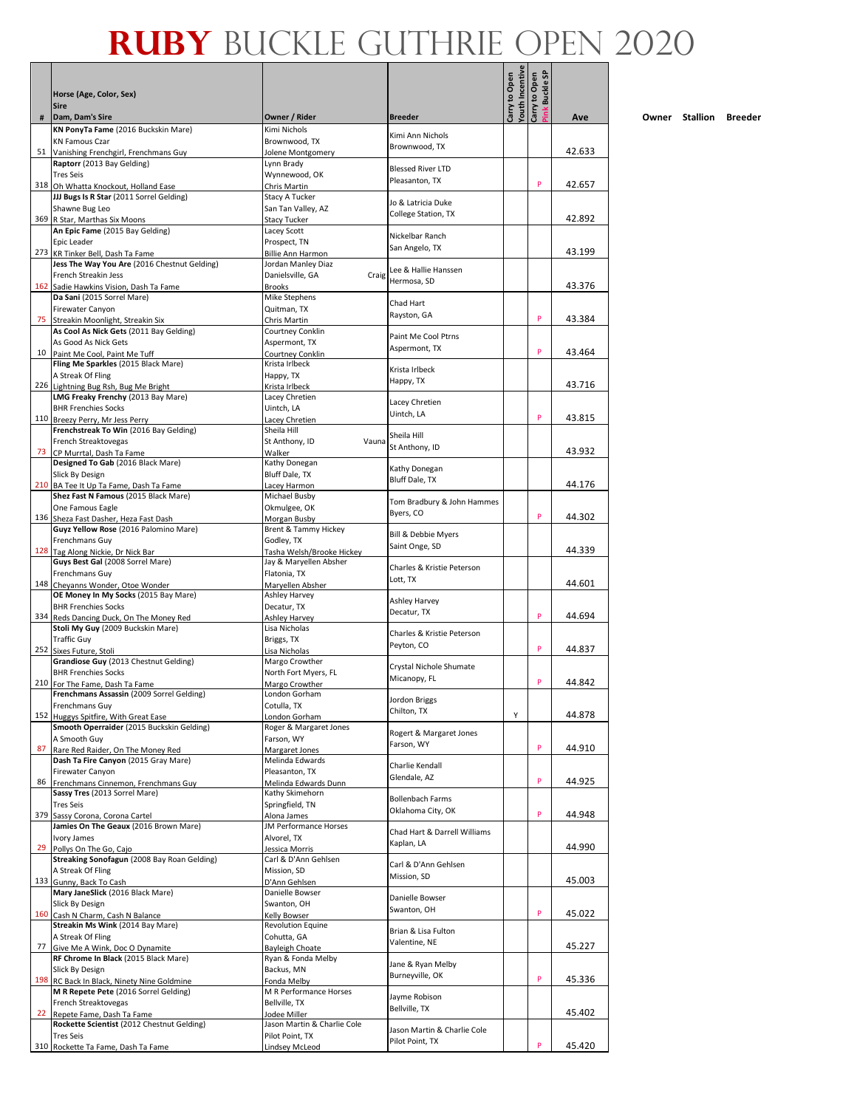|    | Horse (Age, Color, Sex)                                                           |                                         |                                                | outh Incentive<br>Carry to Open | ink Buckle SP<br>Carry to Open |        |
|----|-----------------------------------------------------------------------------------|-----------------------------------------|------------------------------------------------|---------------------------------|--------------------------------|--------|
| #  | <b>Sire</b><br>Dam, Dam's Sire                                                    | Owner / Rider                           | <b>Breeder</b>                                 |                                 |                                | Ave    |
|    | KN PonyTa Fame (2016 Buckskin Mare)                                               | Kimi Nichols                            |                                                |                                 |                                |        |
|    | <b>KN Famous Czar</b>                                                             | Brownwood, TX                           | Kimi Ann Nichols<br>Brownwood, TX              |                                 |                                |        |
|    | 51 Vanishing Frenchgirl, Frenchmans Guy<br>Raptorr (2013 Bay Gelding)             | Jolene Montgomery<br>Lynn Brady         |                                                |                                 |                                | 42.633 |
|    | <b>Tres Seis</b>                                                                  | Wynnewood, OK                           | <b>Blessed River LTD</b>                       |                                 |                                |        |
|    | 318 Oh Whatta Knockout, Holland Ease                                              | Chris Martin                            | Pleasanton, TX                                 |                                 | P                              | 42.657 |
|    | JJJ Bugs Is R Star (2011 Sorrel Gelding)                                          | Stacy A Tucker                          | Jo & Latricia Duke                             |                                 |                                |        |
|    | Shawne Bug Leo<br>369 R Star, Marthas Six Moons                                   | San Tan Valley, AZ<br>Stacy Tucker      | College Station, TX                            |                                 |                                | 42.892 |
|    | An Epic Fame (2015 Bay Gelding)                                                   | Lacey Scott                             | Nickelbar Ranch                                |                                 |                                |        |
|    | Epic Leader                                                                       | Prospect, TN                            | San Angelo, TX                                 |                                 |                                |        |
|    | 273 KR Tinker Bell, Dash Ta Fame<br>Jess The Way You Are (2016 Chestnut Gelding)  | Billie Ann Harmon<br>Jordan Manley Diaz |                                                |                                 |                                | 43.199 |
|    | French Streakin Jess                                                              | Danielsville, GA<br>Craig               | Lee & Hallie Hanssen                           |                                 |                                |        |
|    | 162 Sadie Hawkins Vision, Dash Ta Fame                                            | <b>Brooks</b>                           | Hermosa, SD                                    |                                 |                                | 43.376 |
|    | Da Sani (2015 Sorrel Mare)                                                        | Mike Stephens                           | Chad Hart                                      |                                 |                                |        |
|    | Firewater Canyon<br>75 Streakin Moonlight, Streakin Six                           | Quitman, TX<br>Chris Martin             | Rayston, GA                                    |                                 | P                              | 43.384 |
|    | As Cool As Nick Gets (2011 Bay Gelding)                                           | Courtney Conklin                        |                                                |                                 |                                |        |
|    | As Good As Nick Gets                                                              | Aspermont, TX                           | Paint Me Cool Ptrns<br>Aspermont, TX           |                                 |                                |        |
|    | 10 Paint Me Cool, Paint Me Tuff<br>Fling Me Sparkles (2015 Black Mare)            | Courtney Conklin<br>Krista Irlbeck      |                                                |                                 | P                              | 43.464 |
|    | A Streak Of Fling                                                                 | Happy, TX                               | Krista Irlbeck                                 |                                 |                                |        |
|    | 226 Lightning Bug Rsh, Bug Me Bright                                              | Krista Irlbeck                          | Happy, TX                                      |                                 |                                | 43.716 |
|    | LMG Freaky Frenchy (2013 Bay Mare)                                                | Lacey Chretien                          | Lacey Chretien                                 |                                 |                                |        |
|    | <b>BHR Frenchies Socks</b><br>110 Breezy Perry, Mr Jess Perry                     | Uintch, LA<br>Lacey Chretien            | Uintch, LA                                     |                                 | P                              | 43.815 |
|    | Frenchstreak To Win (2016 Bay Gelding)                                            | Sheila Hill                             |                                                |                                 |                                |        |
|    | French Streaktovegas                                                              | St Anthony, ID<br>Vauna                 | Sheila Hill<br>St Anthony, ID                  |                                 |                                |        |
| 73 | CP Murrtal, Dash Ta Fame                                                          | Walker                                  |                                                |                                 |                                | 43.932 |
|    | Designed To Gab (2016 Black Mare)<br>Slick By Design                              | Kathy Donegan<br>Bluff Dale, TX         | Kathy Donegan                                  |                                 |                                |        |
|    | 210 BA Tee It Up Ta Fame, Dash Ta Fame                                            | Lacey Harmon                            | Bluff Dale, TX                                 |                                 |                                | 44.176 |
|    | Shez Fast N Famous (2015 Black Mare)                                              | Michael Busby                           | Tom Bradbury & John Hammes                     |                                 |                                |        |
|    | One Famous Eagle                                                                  | Okmulgee, OK                            | Byers, CO                                      |                                 | P                              | 44.302 |
|    | 136 Sheza Fast Dasher, Heza Fast Dash<br>Guyz Yellow Rose (2016 Palomino Mare)    | Morgan Busby<br>Brent & Tammy Hickey    |                                                |                                 |                                |        |
|    | Frenchmans Guy                                                                    | Godley, TX                              | Bill & Debbie Myers                            |                                 |                                |        |
|    | 128 Tag Along Nickie, Dr Nick Bar                                                 | Tasha Welsh/Brooke Hickey               | Saint Onge, SD                                 |                                 |                                | 44.339 |
|    | Guys Best Gal (2008 Sorrel Mare)                                                  | Jay & Maryellen Absher                  | Charles & Kristie Peterson                     |                                 |                                |        |
|    | Frenchmans Guy<br>148 Cheyanns Wonder, Otoe Wonder                                | Flatonia, TX<br>Maryellen Absher        | Lott, TX                                       |                                 |                                | 44.601 |
|    | OE Money In My Socks (2015 Bay Mare)                                              | Ashley Harvey                           | Ashley Harvey                                  |                                 |                                |        |
|    | <b>BHR Frenchies Socks</b>                                                        | Decatur, TX                             | Decatur, TX                                    |                                 | P                              |        |
|    | 334 Reds Dancing Duck, On The Money Red<br>Stoli My Guy (2009 Buckskin Mare)      | <b>Ashley Harvey</b><br>Lisa Nicholas   |                                                |                                 |                                | 44.694 |
|    | <b>Traffic Guy</b>                                                                | Briggs, TX                              | Charles & Kristie Peterson                     |                                 |                                |        |
|    | 252 Sixes Future, Stoli                                                           | Lisa Nicholas                           | Peyton, CO                                     |                                 | P                              | 44.837 |
|    | Grandiose Guy (2013 Chestnut Gelding)                                             | Margo Crowther                          | Crystal Nichole Shumate                        |                                 |                                |        |
|    | <b>BHR Frenchies Socks</b><br>210 For The Fame, Dash Ta Fame                      | North Fort Myers, FL<br>Margo Crowther  | Micanopy, FL                                   |                                 | P                              | 44.842 |
|    | Frenchmans Assassin (2009 Sorrel Gelding)                                         | London Gorham                           | Jordon Briggs                                  |                                 |                                |        |
|    | Frenchmans Guy                                                                    | Cotulla, TX                             | Chilton, TX                                    |                                 |                                |        |
|    | 152 Huggys Spitfire, With Great Ease<br>Smooth Operraider (2015 Buckskin Gelding) | London Gorham<br>Roger & Margaret Jones |                                                | Υ                               |                                | 44.878 |
|    | A Smooth Guy                                                                      | Farson, WY                              | Rogert & Margaret Jones                        |                                 |                                |        |
| 87 | Rare Red Raider, On The Money Red                                                 | Margaret Jones                          | Farson, WY                                     |                                 | P                              | 44.910 |
|    | Dash Ta Fire Canyon (2015 Gray Mare)<br>Firewater Canyon                          | Melinda Edwards<br>Pleasanton, TX       | Charlie Kendall                                |                                 |                                |        |
|    | 86 Frenchmans Cinnemon, Frenchmans Guy                                            | Melinda Edwards Dunn                    | Glendale, AZ                                   |                                 | P                              | 44.925 |
|    | Sassy Tres (2013 Sorrel Mare)                                                     | Kathy Skimehorn                         | <b>Bollenbach Farms</b>                        |                                 |                                |        |
|    | <b>Tres Seis</b>                                                                  | Springfield, TN<br>Alona James          | Oklahoma City, OK                              |                                 | P                              | 44.948 |
|    | 379 Sassy Corona, Corona Cartel<br>Jamies On The Geaux (2016 Brown Mare)          | JM Performance Horses                   |                                                |                                 |                                |        |
|    | Ivory James                                                                       | Alvorel, TX                             | Chad Hart & Darrell Williams<br>Kaplan, LA     |                                 |                                |        |
|    | 29 Pollys On The Go, Cajo                                                         | Jessica Morris                          |                                                |                                 |                                | 44.990 |
|    | Streaking Sonofagun (2008 Bay Roan Gelding)<br>A Streak Of Fling                  | Carl & D'Ann Gehlsen<br>Mission, SD     | Carl & D'Ann Gehlsen                           |                                 |                                |        |
|    | 133 Gunny, Back To Cash                                                           | D'Ann Gehlsen                           | Mission, SD                                    |                                 |                                | 45.003 |
|    | Mary JaneSlick (2016 Black Mare)                                                  | Danielle Bowser                         | Danielle Bowser                                |                                 |                                |        |
|    | Slick By Design<br>160 Cash N Charm, Cash N Balance                               | Swanton, OH<br>Kelly Bowser             | Swanton, OH                                    |                                 | P                              | 45.022 |
|    | Streakin Ms Wink (2014 Bay Mare)                                                  | <b>Revolution Equine</b>                |                                                |                                 |                                |        |
|    | A Streak Of Fling                                                                 | Cohutta, GA                             | Brian & Lisa Fulton<br>Valentine, NE           |                                 |                                |        |
| 77 | Give Me A Wink, Doc O Dynamite                                                    | <b>Bayleigh Choate</b>                  |                                                |                                 |                                | 45.227 |
|    | RF Chrome In Black (2015 Black Mare)<br>Slick By Design                           | Ryan & Fonda Melby<br>Backus, MN        | Jane & Ryan Melby                              |                                 |                                |        |
|    | 198 RC Back In Black, Ninety Nine Goldmine                                        | Fonda Melby                             | Burneyville, OK                                |                                 | P                              | 45.336 |
|    | M R Repete Pete (2016 Sorrel Gelding)                                             | M R Performance Horses                  | Jayme Robison                                  |                                 |                                |        |
| 22 | French Streaktovegas<br>Repete Fame, Dash Ta Fame                                 | Bellville, TX<br>Jodee Miller           | Bellville, TX                                  |                                 |                                | 45.402 |
|    | Rockette Scientist (2012 Chestnut Gelding)                                        | Jason Martin & Charlie Cole             |                                                |                                 |                                |        |
|    | <b>Tres Seis</b>                                                                  | Pilot Point, TX                         | Jason Martin & Charlie Cole<br>Pilot Point, TX |                                 |                                |        |
|    | 310 Rockette Ta Fame, Dash Ta Fame                                                | Lindsey McLeod                          |                                                |                                 | P                              | 45.420 |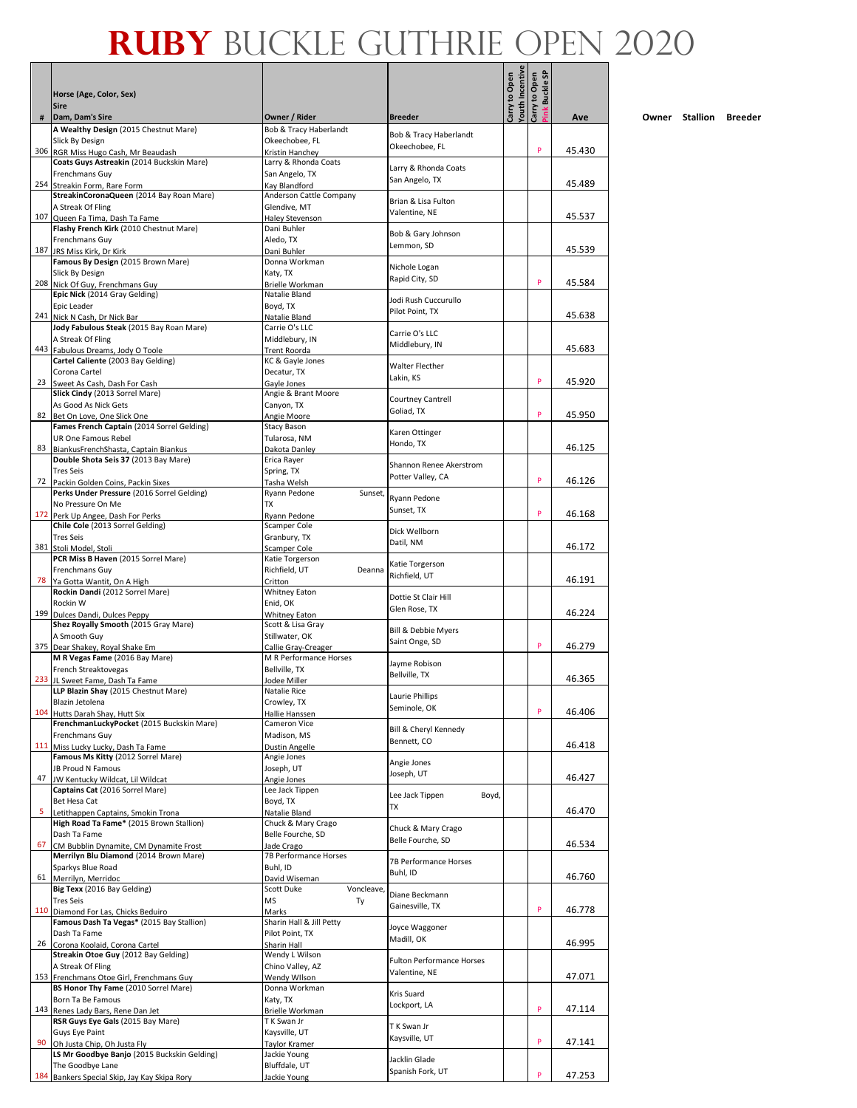|     |                                                                             |                                               |                                        | outh Incentive<br>Carry to Open | link Buckle SP<br>Carry to Open |        |
|-----|-----------------------------------------------------------------------------|-----------------------------------------------|----------------------------------------|---------------------------------|---------------------------------|--------|
|     | Horse (Age, Color, Sex)<br><b>Sire</b>                                      |                                               |                                        |                                 |                                 |        |
| #   | Dam, Dam's Sire                                                             | Owner / Rider                                 | <b>Breeder</b>                         |                                 |                                 | Ave    |
|     | A Wealthy Design (2015 Chestnut Mare)<br>Slick By Design                    | Bob & Tracy Haberlandt<br>Okeechobee, FL      | Bob & Tracy Haberlandt                 |                                 |                                 |        |
|     | 306 RGR Miss Hugo Cash, Mr Beaudash                                         | Kristin Hanchey                               | Okeechobee, FL                         |                                 | P                               | 45.430 |
|     | Coats Guys Astreakin (2014 Buckskin Mare)<br>Frenchmans Guy                 | Larry & Rhonda Coats<br>San Angelo, TX        | Larry & Rhonda Coats                   |                                 |                                 |        |
|     | 254 Streakin Form, Rare Form                                                | Kay Blandford                                 | San Angelo, TX                         |                                 |                                 | 45.489 |
|     | StreakinCoronaQueen (2014 Bay Roan Mare)<br>A Streak Of Fling               | Anderson Cattle Company<br>Glendive, MT       | Brian & Lisa Fulton                    |                                 |                                 |        |
|     | 107 Queen Fa Tima, Dash Ta Fame                                             | Haley Stevenson                               | Valentine, NE                          |                                 |                                 | 45.537 |
|     | Flashy French Kirk (2010 Chestnut Mare)                                     | Dani Buhler                                   | Bob & Gary Johnson                     |                                 |                                 |        |
| 187 | Frenchmans Guy<br>JRS Miss Kirk, Dr Kirk                                    | Aledo, TX<br>Dani Buhler                      | Lemmon, SD                             |                                 |                                 | 45.539 |
|     | Famous By Design (2015 Brown Mare)                                          | Donna Workman                                 | Nichole Logan                          |                                 |                                 |        |
|     | Slick By Design<br>208 Nick Of Guy, Frenchmans Guy                          | Katy, TX<br>Brielle Workman                   | Rapid City, SD                         |                                 | P                               | 45.584 |
|     | Epic Nick (2014 Gray Gelding)                                               | Natalie Bland                                 | Jodi Rush Cuccurullo                   |                                 |                                 |        |
|     | Epic Leader<br>241 Nick N Cash, Dr Nick Bar                                 | Boyd, TX<br>Natalie Bland                     | Pilot Point, TX                        |                                 |                                 | 45.638 |
|     | Jody Fabulous Steak (2015 Bay Roan Mare)                                    | Carrie O's LLC                                |                                        |                                 |                                 |        |
|     | A Streak Of Fling                                                           | Middlebury, IN                                | Carrie O's LLC<br>Middlebury, IN       |                                 |                                 |        |
|     | 443 Fabulous Dreams, Jody O Toole<br>Cartel Caliente (2003 Bay Gelding)     | <b>Trent Roorda</b><br>KC & Gayle Jones       |                                        |                                 |                                 | 45.683 |
|     | Corona Cartel                                                               | Decatur. TX                                   | Walter Flecther<br>Lakin, KS           |                                 |                                 |        |
|     | 23 Sweet As Cash, Dash For Cash<br>Slick Cindy (2013 Sorrel Mare)           | Gayle Jones<br>Angie & Brant Moore            |                                        |                                 | P                               | 45.920 |
|     | As Good As Nick Gets                                                        | Canyon, TX                                    | <b>Courtney Cantrell</b><br>Goliad, TX |                                 |                                 |        |
|     | 82 Bet On Love, One Slick One<br>Fames French Captain (2014 Sorrel Gelding) | Angie Moore<br>Stacy Bason                    |                                        |                                 | P                               | 45.950 |
|     | UR One Famous Rebel                                                         | Tularosa, NM                                  | Karen Ottinger<br>Hondo. TX            |                                 |                                 |        |
| 83  | BiankusFrenchShasta, Captain Biankus                                        | Dakota Danley                                 |                                        |                                 |                                 | 46.125 |
|     | Double Shota Seis 37 (2013 Bay Mare)<br><b>Tres Seis</b>                    | Erica Rayer<br>Spring, TX                     | Shannon Renee Akerstrom                |                                 |                                 |        |
|     | 72 Packin Golden Coins, Packin Sixes                                        | Tasha Welsh                                   | Potter Valley, CA                      |                                 | P                               | 46.126 |
|     | Perks Under Pressure (2016 Sorrel Gelding)<br>No Pressure On Me             | Ryann Pedone<br>Sunset,<br>TX                 | Ryann Pedone                           |                                 |                                 |        |
|     | 172 Perk Up Angee, Dash For Perks                                           | Ryann Pedone                                  | Sunset, TX                             |                                 | P                               | 46.168 |
|     | Chile Cole (2013 Sorrel Gelding)                                            | Scamper Cole                                  | Dick Wellborn                          |                                 |                                 |        |
|     | <b>Tres Seis</b><br>381 Stoli Model, Stoli                                  | Granbury, TX<br>Scamper Cole                  | Datil, NM                              |                                 |                                 | 46.172 |
|     | PCR Miss B Haven (2015 Sorrel Mare)                                         | Katie Torgerson                               | Katie Torgerson                        |                                 |                                 |        |
|     | Frenchmans Guy<br>78 Ya Gotta Wantit, On A High                             | Richfield, UT<br>Deanna<br>Critton            | Richfield, UT                          |                                 |                                 | 46.191 |
|     | Rockin Dandi (2012 Sorrel Mare)                                             | <b>Whitney Eaton</b>                          | Dottie St Clair Hill                   |                                 |                                 |        |
|     | Rockin W<br>199 Dulces Dandi, Dulces Peppy                                  | Enid, OK<br><b>Whitney Eaton</b>              | Glen Rose, TX                          |                                 |                                 | 46.224 |
|     | Shez Royally Smooth (2015 Gray Mare)                                        | Scott & Lisa Gray                             | <b>Bill &amp; Debbie Myers</b>         |                                 |                                 |        |
|     | A Smooth Guy                                                                | Stillwater, OK                                | Saint Onge, SD                         |                                 | P                               | 46.279 |
|     | 375 Dear Shakey, Royal Shake Em<br>M R Vegas Fame (2016 Bay Mare)           | Callie Gray-Creager<br>M R Performance Horses |                                        |                                 |                                 |        |
|     | French Streaktovegas                                                        | Bellville, TX                                 | Jayme Robison<br>Bellville. TX         |                                 |                                 |        |
|     | 233 JL Sweet Fame, Dash Ta Fame<br>LLP Blazin Shay (2015 Chestnut Mare)     | Jodee Miller<br><b>Natalie Rice</b>           |                                        |                                 |                                 | 46.365 |
|     | Blazin Jetolena                                                             | Crowley, TX                                   | Laurie Phillips<br>Seminole, OK        |                                 |                                 |        |
| 104 | Hutts Darah Shay, Hutt Six<br>FrenchmanLuckyPocket (2015 Buckskin Mare)     | Hallie Hanssen<br>Cameron Vice                |                                        |                                 | P                               | 46.406 |
|     | Frenchmans Guv                                                              | Madison, MS                                   | Bill & Cheryl Kennedy                  |                                 |                                 |        |
| 111 | Miss Lucky Lucky, Dash Ta Fame                                              | Dustin Angelle                                | Bennett, CO                            |                                 |                                 | 46.418 |
|     | Famous Ms Kitty (2012 Sorrel Mare)<br>JB Proud N Famous                     | Angie Jones<br>Joseph, UT                     | Angie Jones                            |                                 |                                 |        |
| 47  | JW Kentucky Wildcat, Lil Wildcat                                            | Angie Jones                                   | Joseph, UT                             |                                 |                                 | 46.427 |
|     | Captains Cat (2016 Sorrel Mare)<br>Bet Hesa Cat                             | Lee Jack Tippen<br>Boyd, TX                   | Lee Jack Tippen<br>Boyd,               |                                 |                                 |        |
| 5   | Letithappen Captains, Smokin Trona                                          | Natalie Bland                                 | <b>TX</b>                              |                                 |                                 | 46.470 |
|     | High Road Ta Fame* (2015 Brown Stallion)<br>Dash Ta Fame                    | Chuck & Mary Crago<br>Belle Fourche, SD       | Chuck & Mary Crago                     |                                 |                                 |        |
| 67  | CM Bubblin Dynamite, CM Dynamite Frost                                      | Jade Crago                                    | Belle Fourche, SD                      |                                 |                                 | 46.534 |
|     | Merrilyn Blu Diamond (2014 Brown Mare)<br>Sparkys Blue Road                 | 7B Performance Horses<br>Buhl, ID             | 7B Performance Horses                  |                                 |                                 |        |
| 61  | Merrilyn, Merridoc                                                          | David Wiseman                                 | Buhl, ID                               |                                 |                                 | 46.760 |
|     | Big Texx (2016 Bay Gelding)                                                 | Scott Duke<br>Voncleave,                      | Diane Beckmann                         |                                 |                                 |        |
| 110 | <b>Tres Seis</b><br>Diamond For Las, Chicks Beduiro                         | MS<br>Ty<br>Marks                             | Gainesville, TX                        |                                 | P                               | 46.778 |
|     | Famous Dash Ta Vegas* (2015 Bay Stallion)                                   | Sharin Hall & Jill Petty                      | Joyce Waggoner                         |                                 |                                 |        |
| 26  | Dash Ta Fame<br>Corona Koolaid, Corona Cartel                               | Pilot Point, TX<br>Sharin Hall                | Madill, OK                             |                                 |                                 | 46.995 |
|     | Streakin Otoe Guy (2012 Bay Gelding)                                        | Wendy L Wilson                                | <b>Fulton Performance Horses</b>       |                                 |                                 |        |
|     | A Streak Of Fling<br>153 Frenchmans Otoe Girl, Frenchmans Guy               | Chino Valley, AZ                              | Valentine, NE                          |                                 |                                 | 47.071 |
|     | BS Honor Thy Fame (2010 Sorrel Mare)                                        | Wendy Wilson<br>Donna Workman                 |                                        |                                 |                                 |        |
|     | Born Ta Be Famous                                                           | Katy, TX                                      | Kris Suard<br>Lockport, LA             |                                 | P                               |        |
|     | 143 Renes Lady Bars, Rene Dan Jet<br>RSR Guys Eye Gals (2015 Bay Mare)      | Brielle Workman<br>T K Swan Jr                |                                        |                                 |                                 | 47.114 |
|     | Guys Eye Paint                                                              | Kaysville, UT                                 | T K Swan Jr<br>Kaysville, UT           |                                 |                                 |        |
| 90  | Oh Justa Chip, Oh Justa Fly<br>LS Mr Goodbye Banjo (2015 Buckskin Gelding)  | <b>Taylor Kramer</b><br>Jackie Young          |                                        |                                 | P                               | 47.141 |
|     | The Goodbye Lane                                                            | Bluffdale, UT                                 | Jacklin Glade<br>Spanish Fork, UT      |                                 |                                 |        |
|     | 184 Bankers Special Skip, Jay Kay Skipa Rory                                | Jackie Young                                  |                                        |                                 | P                               | 47.253 |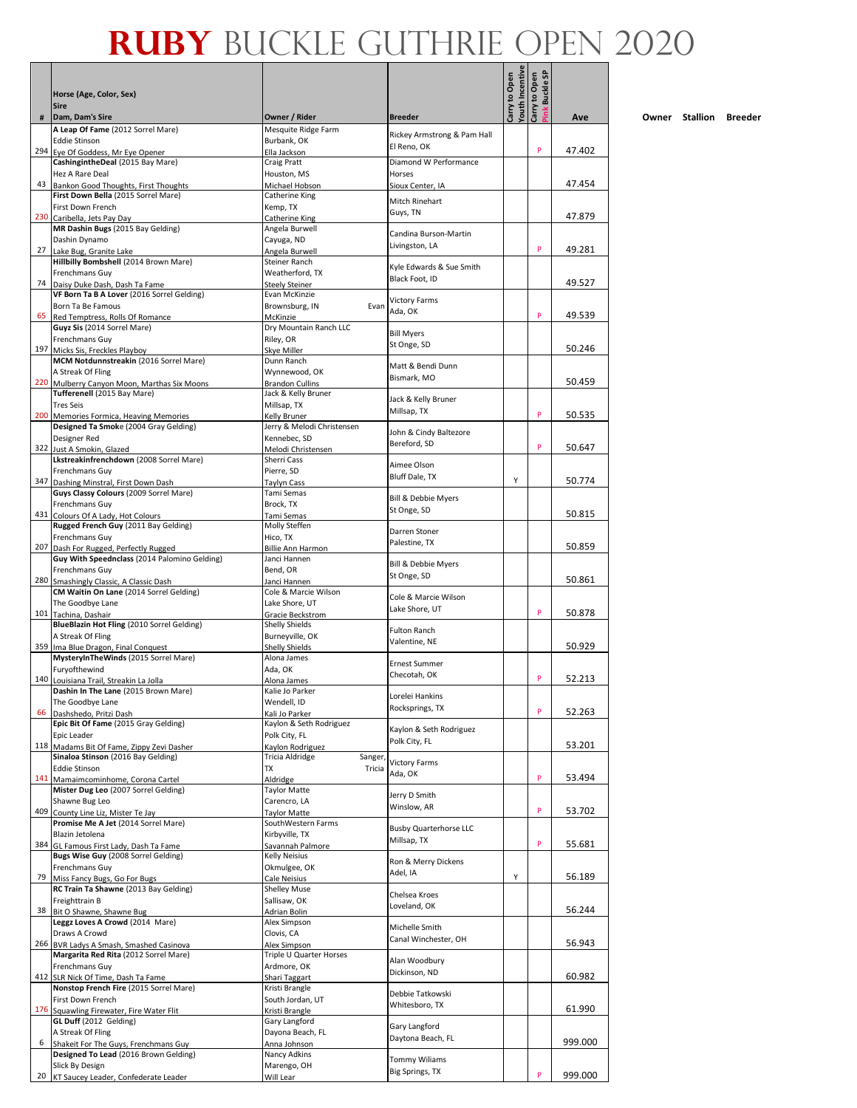|     | Horse (Age, Color, Sex)<br><b>Sire</b>                                            |                                               |                                         | outh Incentive<br>Carry to Open | link Buckle SP<br>Carry to Open |         |
|-----|-----------------------------------------------------------------------------------|-----------------------------------------------|-----------------------------------------|---------------------------------|---------------------------------|---------|
| #   | Dam, Dam's Sire                                                                   | Owner / Rider                                 | <b>Breeder</b>                          |                                 |                                 | Ave     |
|     | A Leap Of Fame (2012 Sorrel Mare)                                                 | Mesquite Ridge Farm                           | Rickey Armstrong & Pam Hall             |                                 |                                 |         |
|     | <b>Eddie Stinson</b><br>294 Eye Of Goddess, Mr Eye Opener                         | Burbank, OK<br>Ella Jackson                   | El Reno, OK                             |                                 | P                               | 47.402  |
|     | CashingintheDeal (2015 Bay Mare)                                                  | Craig Pratt                                   | Diamond W Performance                   |                                 |                                 |         |
|     | Hez A Rare Deal                                                                   | Houston, MS                                   | Horses                                  |                                 |                                 |         |
|     | 43 Bankon Good Thoughts, First Thoughts                                           | Michael Hobson                                | Sioux Center, IA                        |                                 |                                 | 47.454  |
|     | First Down Bella (2015 Sorrel Mare)<br>First Down French                          | Catherine King<br>Kemp, TX                    | Mitch Rinehart                          |                                 |                                 |         |
|     | 230 Caribella, Jets Pay Day                                                       | Catherine King                                | Guys, TN                                |                                 |                                 | 47.879  |
|     | MR Dashin Bugs (2015 Bay Gelding)                                                 | Angela Burwell                                | Candina Burson-Martin                   |                                 |                                 |         |
|     | Dashin Dynamo                                                                     | Cayuga, ND                                    | Livingston, LA                          |                                 |                                 |         |
| 27  | Lake Bug, Granite Lake<br>Hillbilly Bombshell (2014 Brown Mare)                   | Angela Burwell<br>Steiner Ranch               |                                         |                                 | P                               | 49.281  |
|     | Frenchmans Guy                                                                    | Weatherford, TX                               | Kyle Edwards & Sue Smith                |                                 |                                 |         |
|     | 74 Daisy Duke Dash, Dash Ta Fame                                                  | Steely Steiner                                | Black Foot, ID                          |                                 |                                 | 49.527  |
|     | VF Born Ta B A Lover (2016 Sorrel Gelding)                                        | Evan McKinzie                                 | <b>Victory Farms</b>                    |                                 |                                 |         |
|     | Born Ta Be Famous                                                                 | Evan<br>Brownsburg, IN                        | Ada, OK                                 |                                 | P                               | 49.539  |
|     | 65 Red Temptress, Rolls Of Romance<br>Guyz Sis (2014 Sorrel Mare)                 | McKinzie<br>Dry Mountain Ranch LLC            |                                         |                                 |                                 |         |
|     | Frenchmans Guy                                                                    | Riley, OR                                     | <b>Bill Myers</b>                       |                                 |                                 |         |
|     | 197 Micks Sis, Freckles Playboy                                                   | <b>Skve Miller</b>                            | St Onge, SD                             |                                 |                                 | 50.246  |
|     | MCM Notdunnstreakin (2016 Sorrel Mare)                                            | Dunn Ranch                                    | Matt & Bendi Dunn                       |                                 |                                 |         |
|     | A Streak Of Fling                                                                 | Wynnewood, OK                                 | Bismark, MO                             |                                 |                                 | 50.459  |
|     | 220 Mulberry Canyon Moon, Marthas Six Moons<br>Tufferenell (2015 Bay Mare)        | <b>Brandon Cullins</b><br>Jack & Kelly Bruner |                                         |                                 |                                 |         |
|     | <b>Tres Seis</b>                                                                  | Millsap, TX                                   | Jack & Kelly Bruner                     |                                 |                                 |         |
|     | 200 Memories Formica, Heaving Memories                                            | Kelly Bruner                                  | Millsap, TX                             |                                 | P                               | 50.535  |
|     | Designed Ta Smoke (2004 Gray Gelding)                                             | Jerry & Melodi Christensen                    | John & Cindy Baltezore                  |                                 |                                 |         |
|     | Designer Red                                                                      | Kennebec, SD                                  | Bereford, SD                            |                                 | P                               | 50.647  |
|     | 322 Just A Smokin, Glazed<br>Lkstreakinfrenchdown (2008 Sorrel Mare)              | Melodi Christensen<br>Sherri Cass             |                                         |                                 |                                 |         |
|     | <b>Frenchmans Guy</b>                                                             | Pierre, SD                                    | Aimee Olson                             |                                 |                                 |         |
|     | 347 Dashing Minstral, First Down Dash                                             | Taylyn Cass                                   | Bluff Dale, TX                          | Υ                               |                                 | 50.774  |
|     | Guys Classy Colours (2009 Sorrel Mare)                                            | Tami Semas                                    | Bill & Debbie Myers                     |                                 |                                 |         |
|     | Frenchmans Guy                                                                    | Brock, TX                                     | St Onge, SD                             |                                 |                                 |         |
|     | 431 Colours Of A Lady, Hot Colours<br>Rugged French Guy (2011 Bay Gelding)        | Tami Semas<br>Molly Steffen                   |                                         |                                 |                                 | 50.815  |
|     | Frenchmans Guy                                                                    | Hico, TX                                      | Darren Stoner                           |                                 |                                 |         |
|     | 207 Dash For Rugged, Perfectly Rugged                                             | <b>Billie Ann Harmon</b>                      | Palestine, TX                           |                                 |                                 | 50.859  |
|     | Guy With Speednclass (2014 Palomino Gelding)                                      | Janci Hannen                                  | Bill & Debbie Myers                     |                                 |                                 |         |
|     | Frenchmans Guy                                                                    | Bend, OR                                      | St Onge, SD                             |                                 |                                 |         |
|     | 280 Smashingly Classic, A Classic Dash<br>CM Waitin On Lane (2014 Sorrel Gelding) | Janci Hannen<br>Cole & Marcie Wilson          |                                         |                                 |                                 | 50.861  |
|     | The Goodbye Lane                                                                  | Lake Shore, UT                                | Cole & Marcie Wilson                    |                                 |                                 |         |
|     | 101 Tachina, Dashair                                                              | Gracie Beckstrom                              | Lake Shore, UT                          |                                 | P                               | 50.878  |
|     | BlueBlazin Hot Fling (2010 Sorrel Gelding)                                        | Shelly Shields                                | <b>Fulton Ranch</b>                     |                                 |                                 |         |
|     | A Streak Of Fling                                                                 | Burneyville, OK                               | Valentine, NE                           |                                 |                                 | 50.929  |
|     | 359 Ima Blue Dragon, Final Conquest<br>MysteryInTheWinds (2015 Sorrel Mare)       | Shelly Shields<br>Alona James                 |                                         |                                 |                                 |         |
|     | Furyofthewind                                                                     | Ada, OK                                       | <b>Ernest Summer</b>                    |                                 |                                 |         |
|     | 140 Louisiana Trail, Streakin La Jolla                                            | Alona James                                   | Checotah, OK                            |                                 | P                               | 52.213  |
|     | Dashin In The Lane (2015 Brown Mare)                                              | Kalie Jo Parker                               | Lorelei Hankins                         |                                 |                                 |         |
|     | The Goodbye Lane                                                                  | Wendell, ID                                   | Rocksprings, TX                         |                                 | P                               |         |
| 66  | Dashshedo, Pritzi Dash<br>Epic Bit Of Fame (2015 Gray Gelding)                    | Kali Jo Parker<br>Kaylon & Seth Rodriguez     |                                         |                                 |                                 | 52.263  |
|     | Epic Leader                                                                       | Polk City, FL                                 | Kaylon & Seth Rodriguez                 |                                 |                                 |         |
| 118 | Madams Bit Of Fame, Zippy Zevi Dasher                                             | Kaylon Rodriguez                              | Polk City, FL                           |                                 |                                 | 53.201  |
|     | Sinaloa Stinson (2016 Bay Gelding)                                                | Tricia Aldridge<br>Sanger                     | <b>Victory Farms</b>                    |                                 |                                 |         |
|     | <b>Eddie Stinson</b><br>141 Mamaimcominhome, Corona Cartel                        | Tricia<br>TX                                  | Ada, OK                                 |                                 | P                               | 53.494  |
|     | Mister Dug Leo (2007 Sorrel Gelding)                                              | Aldridge<br><b>Taylor Matte</b>               |                                         |                                 |                                 |         |
|     | Shawne Bug Leo                                                                    | Carencro, LA                                  | Jerry D Smith                           |                                 |                                 |         |
|     | 409 County Line Liz, Mister Te Jay                                                | Taylor Matte                                  | Winslow. AR                             |                                 | P                               | 53.702  |
|     | Promise Me A Jet (2014 Sorrel Mare)                                               | SouthWestern Farms                            | <b>Busby Quarterhorse LLC</b>           |                                 |                                 |         |
|     | Blazin Jetolena<br>384 GL Famous First Lady, Dash Ta Fame                         | Kirbyville, TX<br>Savannah Palmore            | Millsap, TX                             |                                 | P                               | 55.681  |
|     | Bugs Wise Guy (2008 Sorrel Gelding)                                               | Kelly Neisius                                 |                                         |                                 |                                 |         |
|     | Frenchmans Guy                                                                    | Okmulgee, OK                                  | Ron & Merry Dickens                     |                                 |                                 |         |
| 79  | Miss Fancy Bugs, Go For Bugs                                                      | Cale Neisius                                  | Adel, IA                                | Υ                               |                                 | 56.189  |
|     | RC Train Ta Shawne (2013 Bay Gelding)                                             | <b>Shelley Muse</b>                           | Chelsea Kroes                           |                                 |                                 |         |
| 38  | Freighttrain B<br>Bit O Shawne, Shawne Bug                                        | Sallisaw, OK<br>Adrian Bolin                  | Loveland, OK                            |                                 |                                 | 56.244  |
|     | Leggz Loves A Crowd (2014 Mare)                                                   | Alex Simpson                                  |                                         |                                 |                                 |         |
|     | Draws A Crowd                                                                     | Clovis, CA                                    | Michelle Smith                          |                                 |                                 |         |
|     | 266 BVR Ladys A Smash, Smashed Casinova                                           | Alex Simpson                                  | Canal Winchester, OH                    |                                 |                                 | 56.943  |
|     | Margarita Red Rita (2012 Sorrel Mare)                                             | Triple U Quarter Horses                       | Alan Woodbury                           |                                 |                                 |         |
|     | Frenchmans Guy<br>412 SLR Nick Of Time, Dash Ta Fame                              | Ardmore, OK<br>Shari Taggart                  | Dickinson, ND                           |                                 |                                 | 60.982  |
|     | Nonstop French Fire (2015 Sorrel Mare)                                            | Kristi Brangle                                |                                         |                                 |                                 |         |
|     | First Down French                                                                 | South Jordan, UT                              | Debbie Tatkowski                        |                                 |                                 |         |
|     | 176 Squawling Firewater, Fire Water Flit                                          | Kristi Brangle                                | Whitesboro, TX                          |                                 |                                 | 61.990  |
|     | GL Duff (2012 Gelding)                                                            | Gary Langford                                 | Gary Langford                           |                                 |                                 |         |
| 6   | A Streak Of Fling<br>Shakeit For The Guys, Frenchmans Guy                         | Dayona Beach, FL<br>Anna Johnson              | Daytona Beach, FL                       |                                 |                                 | 999.000 |
|     | Designed To Lead (2016 Brown Gelding)                                             | Nancy Adkins                                  |                                         |                                 |                                 |         |
|     | Slick By Design                                                                   | Marengo, OH                                   | <b>Tommy Wiliams</b><br>Big Springs, TX |                                 |                                 |         |
|     | 20 KT Saucey Leader, Confederate Leader                                           | Will Lear                                     |                                         |                                 | P                               | 999.000 |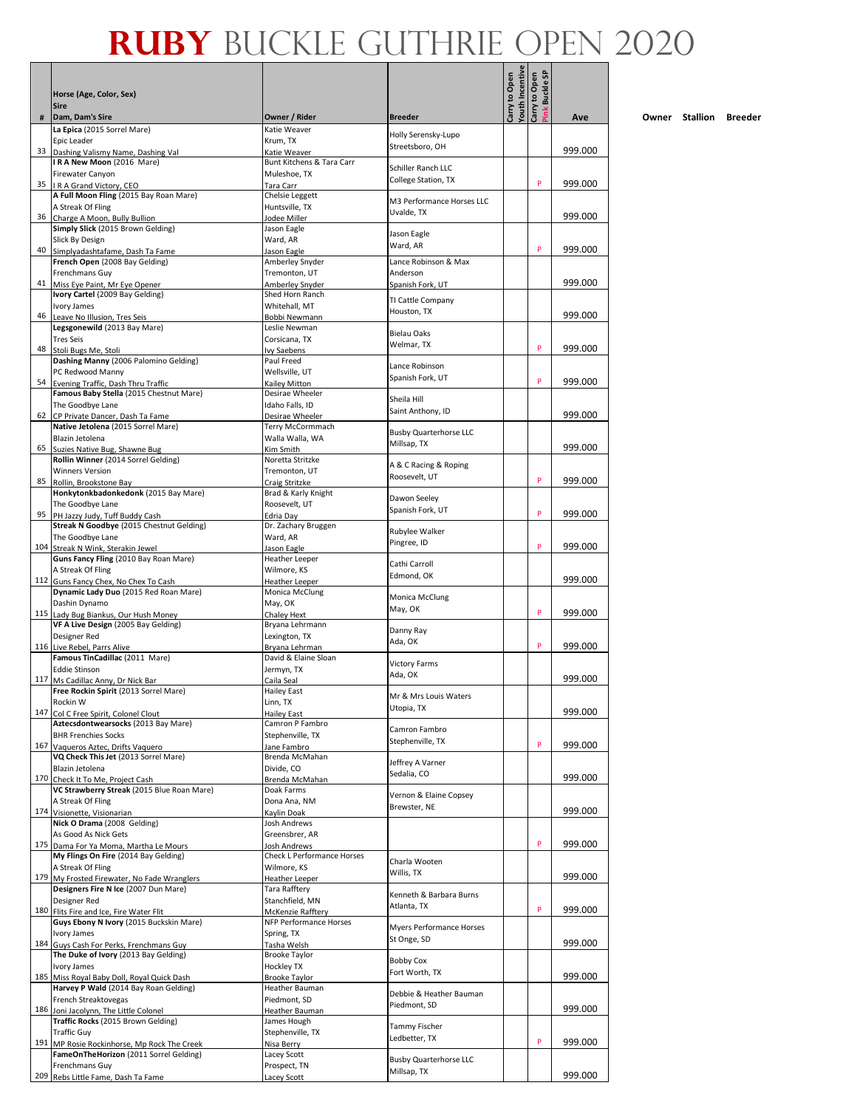|     |                                                                               |                                                  |                                              | <b>/outh Incentive</b> |                                 |         |
|-----|-------------------------------------------------------------------------------|--------------------------------------------------|----------------------------------------------|------------------------|---------------------------------|---------|
|     | Horse (Age, Color, Sex)<br><b>Sire</b>                                        |                                                  |                                              | Carry to Open          | link Buckle SP<br>Carry to Open |         |
| #   | Dam, Dam's Sire                                                               | Owner / Rider                                    | <b>Breeder</b>                               |                        |                                 | Ave     |
|     | La Epica (2015 Sorrel Mare)<br>Epic Leader                                    | Katie Weaver<br>Krum, TX                         | Holly Serensky-Lupo                          |                        |                                 |         |
| 33  | Dashing Valismy Name, Dashing Val                                             | Katie Weaver                                     | Streetsboro, OH                              |                        |                                 | 999.000 |
|     | IRA New Moon (2016 Mare)                                                      | Bunt Kitchens & Tara Carr                        | Schiller Ranch LLC                           |                        |                                 |         |
|     | Firewater Canyon<br>35   R A Grand Victory, CEO                               | Muleshoe, TX<br>Tara Carr                        | College Station, TX                          |                        | P                               | 999.000 |
|     | A Full Moon Fling (2015 Bay Roan Mare)                                        | Chelsie Leggett                                  | M3 Performance Horses LLC                    |                        |                                 |         |
| 36  | A Streak Of Fling<br>Charge A Moon, Bully Bullion                             | Huntsville, TX<br>Jodee Miller                   | Uvalde. TX                                   |                        |                                 | 999.000 |
|     | Simply Slick (2015 Brown Gelding)                                             | Jason Eagle                                      | Jason Eagle                                  |                        |                                 |         |
| 40  | Slick By Design<br>Simplyadashtafame, Dash Ta Fame                            | Ward, AR<br>Jason Eagle                          | Ward, AR                                     |                        | P                               | 999.000 |
|     | French Open (2008 Bay Gelding)                                                | Amberley Snyder                                  | Lance Robinson & Max                         |                        |                                 |         |
| 41  | Frenchmans Guy<br>Miss Eye Paint, Mr Eye Opener                               | Tremonton, UT<br>Amberley Snyder                 | Anderson<br>Spanish Fork, UT                 |                        |                                 | 999.000 |
|     | Ivory Cartel (2009 Bay Gelding)                                               | Shed Horn Ranch                                  | TI Cattle Company                            |                        |                                 |         |
| 46  | Ivory James<br>Leave No Illusion, Tres Seis                                   | Whitehall, MT<br>Bobbi Newmann                   | Houston, TX                                  |                        |                                 | 999.000 |
|     | Legsgonewild (2013 Bay Mare)                                                  | Leslie Newman                                    | Bielau Oaks                                  |                        |                                 |         |
|     | <b>Tres Seis</b><br>48 Stoli Bugs Me, Stoli                                   | Corsicana, TX<br><b>Ivy Saebens</b>              | Welmar, TX                                   |                        | P                               | 999.000 |
|     | Dashing Manny (2006 Palomino Gelding)                                         | Paul Freed                                       | Lance Robinson                               |                        |                                 |         |
| 54  | PC Redwood Manny<br>Evening Traffic, Dash Thru Traffic                        | Wellsville, UT<br>Kailev Mitton                  | Spanish Fork, UT                             |                        | P                               | 999.000 |
|     | Famous Baby Stella (2015 Chestnut Mare)                                       | Desirae Wheeler                                  | Sheila Hill                                  |                        |                                 |         |
|     | The Goodbye Lane                                                              | Idaho Falls, ID                                  | Saint Anthony, ID                            |                        |                                 | 999.000 |
|     | 62 CP Private Dancer, Dash Ta Fame<br>Native Jetolena (2015 Sorrel Mare)      | Desirae Wheeler<br>Terry McCormmach              |                                              |                        |                                 |         |
|     | Blazin Jetolena                                                               | Walla Walla, WA                                  | <b>Busby Quarterhorse LLC</b><br>Millsap, TX |                        |                                 | 999.000 |
| 65  | Suzies Native Bug, Shawne Bug<br>Rollin Winner (2014 Sorrel Gelding)          | Kim Smith<br>Noretta Stritzke                    |                                              |                        |                                 |         |
|     | <b>Winners Version</b>                                                        | Tremonton, UT                                    | A & C Racing & Roping<br>Roosevelt, UT       |                        |                                 |         |
| 85  | Rollin, Brookstone Bay<br>Honkytonkbadonkedonk (2015 Bay Mare)                | Craig Stritzke<br>Brad & Karly Knight            |                                              |                        | P                               | 999.000 |
|     | The Goodbye Lane                                                              | Roosevelt, UT                                    | Dawon Seeley<br>Spanish Fork, UT             |                        |                                 |         |
| 95  | PH Jazzy Judy, Tuff Buddy Cash<br>Streak N Goodbye (2015 Chestnut Gelding)    | Edria Day<br>Dr. Zachary Bruggen                 |                                              |                        | P                               | 999.000 |
|     | The Goodbye Lane                                                              | Ward, AR                                         | Rubylee Walker<br>Pingree, ID                |                        |                                 |         |
|     | 104 Streak N Wink, Sterakin Jewel<br>Guns Fancy Fling (2010 Bay Roan Mare)    | Jason Eagle<br><b>Heather Leeper</b>             |                                              |                        | P                               | 999.000 |
|     | A Streak Of Fling                                                             | Wilmore, KS                                      | Cathi Carroll<br>Edmond, OK                  |                        |                                 |         |
|     | 112 Guns Fancy Chex, No Chex To Cash<br>Dynamic Lady Duo (2015 Red Roan Mare) | Heather Leeper                                   |                                              |                        |                                 | 999.000 |
|     | Dashin Dynamo                                                                 | Monica McClung<br>May, OK                        | Monica McClung                               |                        |                                 |         |
|     | 115 Lady Bug Biankus, Our Hush Money                                          | Chaley Hext                                      | May, OK                                      |                        | P                               | 999.000 |
|     | VF A Live Design (2005 Bay Gelding)<br>Designer Red                           | Bryana Lehrmann<br>Lexington, TX                 | Danny Ray                                    |                        |                                 |         |
|     | 116 Live Rebel, Parrs Alive                                                   | Bryana Lehrman                                   | Ada, OK                                      |                        | P                               | 999.000 |
|     | Famous TinCadillac (2011 Mare)<br><b>Eddie Stinson</b>                        | David & Elaine Sloan<br>Jermyn, TX               | <b>Victory Farms</b>                         |                        |                                 |         |
|     | 117 Ms Cadillac Anny, Dr Nick Bar                                             | Caila Seal                                       | Ada, OK                                      |                        |                                 | 999.000 |
|     | Free Rockin Spirit (2013 Sorrel Mare)<br>Rockin W                             | <b>Hailey East</b><br>Linn, TX                   | Mr & Mrs Louis Waters                        |                        |                                 |         |
| 147 | Col C Free Spirit, Colonel Clout                                              | <b>Hailey East</b>                               | Utopia, TX                                   |                        |                                 | 999.000 |
|     | Aztecsdontwearsocks (2013 Bay Mare)<br><b>BHR Frenchies Socks</b>             | Camron P Fambro<br>Stephenville, TX              | Camron Fambro                                |                        |                                 |         |
| 167 | Vaqueros Aztec, Drifts Vaquero                                                | Jane Fambro                                      | Stephenville, TX                             |                        | P                               | 999.000 |
|     | VQ Check This Jet (2013 Sorrel Mare)<br>Blazin Jetolena                       | Brenda McMahan<br>Divide, CO                     | Jeffrey A Varner                             |                        |                                 |         |
| 170 | Check It To Me, Project Cash                                                  | Brenda McMahan                                   | Sedalia, CO                                  |                        |                                 | 999.000 |
|     | VC Strawberry Streak (2015 Blue Roan Mare)<br>A Streak Of Fling               | Doak Farms<br>Dona Ana, NM                       | Vernon & Elaine Copsey                       |                        |                                 |         |
| 174 | Visionette, Visionarian                                                       | Kavlin Doak                                      | Brewster, NE                                 |                        |                                 | 999.000 |
|     | Nick O Drama (2008 Gelding)<br>As Good As Nick Gets                           | Josh Andrews<br>Greensbrer, AR                   |                                              |                        |                                 |         |
|     | 175 Dama For Ya Moma, Martha Le Mours                                         | Josh Andrews                                     |                                              |                        | P                               | 999.000 |
|     | My Flings On Fire (2014 Bay Gelding)                                          | <b>Check L Performance Horses</b><br>Wilmore, KS | Charla Wooten                                |                        |                                 |         |
| 179 | A Streak Of Fling<br>My Frosted Firewater, No Fade Wranglers                  | <b>Heather Leeper</b>                            | Willis, TX                                   |                        |                                 | 999.000 |
|     | Designers Fire N Ice (2007 Dun Mare)                                          | Tara Rafftery                                    | Kenneth & Barbara Burns                      |                        |                                 |         |
|     | Designer Red<br>180 Flits Fire and Ice, Fire Water Flit                       | Stanchfield, MN<br>McKenzie Rafftery             | Atlanta, TX                                  |                        | P                               | 999.000 |
|     | Guys Ebony N Ivory (2015 Buckskin Mare)                                       | NFP Performance Horses                           | Myers Performance Horses                     |                        |                                 |         |
|     | Ivory James<br>184 Guys Cash For Perks, Frenchmans Guy                        | Spring, TX<br>Tasha Welsh                        | St Onge, SD                                  |                        |                                 | 999.000 |
|     | The Duke of Ivory (2013 Bay Gelding)                                          | <b>Brooke Taylor</b>                             | <b>Bobby Cox</b>                             |                        |                                 |         |
| 185 | Ivory James<br>Miss Royal Baby Doll, Royal Quick Dash                         | <b>Hockley TX</b><br><b>Brooke Taylor</b>        | Fort Worth, TX                               |                        |                                 | 999.000 |
|     | Harvey P Wald (2014 Bay Roan Gelding)                                         | Heather Bauman                                   | Debbie & Heather Bauman                      |                        |                                 |         |
|     | French Streaktovegas<br>186 Joni Jacolynn, The Little Colonel                 | Piedmont, SD<br>Heather Bauman                   | Piedmont, SD                                 |                        |                                 | 999.000 |
|     | Traffic Rocks (2015 Brown Gelding)                                            | James Hough                                      | Tammy Fischer                                |                        |                                 |         |
|     | <b>Traffic Guy</b><br>191 MP Rosie Rockinhorse, Mp Rock The Creek             | Stephenville, TX<br>Nisa Berry                   | Ledbetter, TX                                |                        | P                               | 999.000 |
|     | FameOnTheHorizon (2011 Sorrel Gelding)                                        | Lacey Scott                                      | <b>Busby Quarterhorse LLC</b>                |                        |                                 |         |
|     | Frenchmans Guy<br>209 Rebs Little Fame, Dash Ta Fame                          | Prospect, TN<br>Lacey Scott                      | Millsap, TX                                  |                        |                                 | 999.000 |
|     |                                                                               |                                                  |                                              |                        |                                 |         |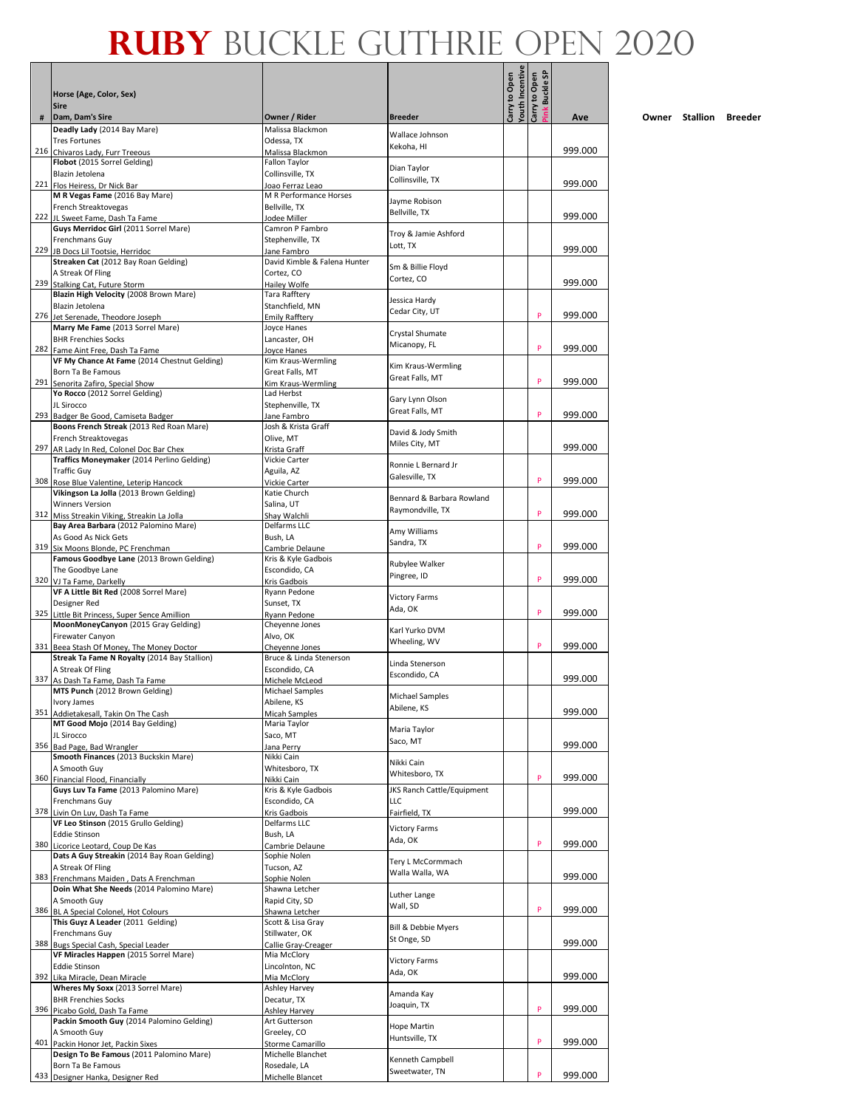|     |                                                                                           |                                           |                                      | <b>/outh Incentive</b> | link Buckle SP |         |
|-----|-------------------------------------------------------------------------------------------|-------------------------------------------|--------------------------------------|------------------------|----------------|---------|
|     | Horse (Age, Color, Sex)<br><b>Sire</b>                                                    |                                           |                                      | Carry to Open          | Carry to Open  |         |
| #   | Dam, Dam's Sire                                                                           | Owner / Rider                             | <b>Breeder</b>                       |                        |                | Ave     |
|     | Deadly Lady (2014 Bay Mare)<br><b>Tres Fortunes</b>                                       | Malissa Blackmon<br>Odessa, TX            | Wallace Johnson                      |                        |                |         |
|     | 216 Chivaros Lady, Furr Treeous                                                           | Malissa Blackmon                          | Kekoha, HI                           |                        |                | 999.000 |
|     | Flobot (2015 Sorrel Gelding)                                                              | Fallon Taylor                             | Dian Taylor                          |                        |                |         |
|     | Blazin Jetolena<br>221 Flos Heiress, Dr Nick Bar                                          | Collinsville, TX<br>Joao Ferraz Leao      | Collinsville, TX                     |                        |                | 999.000 |
|     | M R Vegas Fame (2016 Bay Mare)                                                            | M R Performance Horses                    | Jayme Robison                        |                        |                |         |
|     | French Streaktovegas<br>222 JL Sweet Fame, Dash Ta Fame                                   | Bellville, TX<br>Jodee Miller             | Bellville, TX                        |                        |                | 999.000 |
|     | Guys Merridoc Girl (2011 Sorrel Mare)                                                     | Camron P Fambro                           | Troy & Jamie Ashford                 |                        |                |         |
| 229 | <b>Frenchmans Guv</b><br>JB Docs Lil Tootsie, Herridoc                                    | Stephenville. TX<br>Jane Fambro           | Lott, TX                             |                        |                | 999.000 |
|     | Streaken Cat (2012 Bay Roan Gelding)                                                      | David Kimble & Falena Hunter              | Sm & Billie Floyd                    |                        |                |         |
|     | A Streak Of Fling<br>239 Stalking Cat, Future Storm                                       | Cortez, CO<br>Hailey Wolfe                | Cortez, CO                           |                        |                | 999.000 |
|     | Blazin High Velocity (2008 Brown Mare)                                                    | Tara Rafftery                             | Jessica Hardy                        |                        |                |         |
|     | Blazin Jetolena<br>276 Jet Serenade, Theodore Joseph                                      | Stanchfield, MN<br>Emily Rafftery         | Cedar City, UT                       |                        | P              | 999.000 |
|     | Marry Me Fame (2013 Sorrel Mare)                                                          | Joyce Hanes                               | Crystal Shumate                      |                        |                |         |
|     | <b>BHR Frenchies Socks</b><br>282 Fame Aint Free, Dash Ta Fame                            | Lancaster, OH<br>Joyce Hanes              | Micanopy, FL                         |                        | P              | 999.000 |
|     | VF My Chance At Fame (2014 Chestnut Gelding)                                              | Kim Kraus-Wermling                        | Kim Kraus-Wermling                   |                        |                |         |
|     | Born Ta Be Famous<br>291 Senorita Zafiro, Special Show                                    | Great Falls, MT<br>Kim Kraus-Wermling     | Great Falls, MT                      |                        | P              | 999.000 |
|     | Yo Rocco (2012 Sorrel Gelding)                                                            | Lad Herbst                                | Gary Lynn Olson                      |                        |                |         |
|     | JL Sirocco<br>293 Badger Be Good, Camiseta Badger                                         | Stephenville, TX<br>Jane Fambro           | Great Falls, MT                      |                        | P              | 999.000 |
|     | Boons French Streak (2013 Red Roan Mare)                                                  | Josh & Krista Graff                       | David & Jody Smith                   |                        |                |         |
|     | French Streaktovegas                                                                      | Olive, MT                                 | Miles City, MT                       |                        |                | 999.000 |
|     | 297 AR Lady In Red, Colonel Doc Bar Chex<br>Traffics Moneymaker (2014 Perlino Gelding)    | Krista Graff<br>Vickie Carter             | Ronnie L Bernard Jr                  |                        |                |         |
|     | <b>Traffic Guy</b>                                                                        | Aguila, AZ                                | Galesville, TX                       |                        | P              | 999.000 |
|     | 308 Rose Blue Valentine, Leterip Hancock<br>Vikingson La Jolla (2013 Brown Gelding)       | Vickie Carter<br>Katie Church             | Bennard & Barbara Rowland            |                        |                |         |
|     | <b>Winners Version</b>                                                                    | Salina, UT                                | Raymondville, TX                     |                        | P              | 999.000 |
|     | 312 Miss Streakin Viking, Streakin La Jolla<br>Bay Area Barbara (2012 Palomino Mare)      | Shay Walchli<br>Delfarms LLC              |                                      |                        |                |         |
|     | As Good As Nick Gets                                                                      | Bush, LA                                  | Amy Williams<br>Sandra, TX           |                        | P              | 999.000 |
|     | 319 Six Moons Blonde, PC Frenchman<br>Famous Goodbye Lane (2013 Brown Gelding)            | Cambrie Delaune<br>Kris & Kyle Gadbois    |                                      |                        |                |         |
|     | The Goodbye Lane                                                                          | Escondido, CA                             | Rubylee Walker<br>Pingree, ID        |                        | P              |         |
|     | 320 VJ Ta Fame, Darkelly<br>VF A Little Bit Red (2008 Sorrel Mare)                        | Kris Gadbois<br>Ryann Pedone              |                                      |                        |                | 999.000 |
|     | Designer Red                                                                              | Sunset, TX                                | <b>Victory Farms</b><br>Ada, OK      |                        | P              |         |
|     | 325 Little Bit Princess, Super Sence Amillion<br>MoonMoneyCanyon (2015 Gray Gelding)      | Ryann Pedone<br>Cheyenne Jones            |                                      |                        |                | 999.000 |
|     | Firewater Canyon                                                                          | Alvo, OK                                  | Karl Yurko DVM<br>Wheeling, WV       |                        | P              |         |
|     | 331 Beea Stash Of Money, The Money Doctor<br>Streak Ta Fame N Royalty (2014 Bay Stallion) | Cheyenne Jones<br>Bruce & Linda Stenerson |                                      |                        |                | 999.000 |
|     | A Streak Of Fling                                                                         | Escondido, CA                             | Linda Stenerson<br>Escondido, CA     |                        |                |         |
|     | 337 As Dash Ta Fame, Dash Ta Fame<br>MTS Punch (2012 Brown Gelding)                       | Michele McLeod<br><b>Michael Samples</b>  |                                      |                        |                | 999.000 |
|     | Ivory James                                                                               | Abilene, KS                               | Michael Samples<br>Abilene, KS       |                        |                |         |
|     | 351 Addietakesall, Takin On The Cash<br>MT Good Mojo (2014 Bay Gelding)                   | Micah Samples<br>Maria Taylor             |                                      |                        |                | 999.000 |
|     | JL Sirocco                                                                                | Saco, MT                                  | Maria Taylor<br>Saco, MT             |                        |                |         |
| 356 | Bad Page, Bad Wrangler<br>Smooth Finances (2013 Buckskin Mare)                            | Jana Perry<br>Nikki Cain                  |                                      |                        |                | 999.000 |
|     | A Smooth Guy                                                                              | Whitesboro, TX                            | Nikki Cain<br>Whitesboro, TX         |                        |                |         |
| 360 | Financial Flood, Financially<br>Guys Luv Ta Fame (2013 Palomino Mare)                     | Nikki Cain<br>Kris & Kyle Gadbois         | JKS Ranch Cattle/Equipment           |                        | P              | 999.000 |
|     | Frenchmans Guy                                                                            | Escondido, CA                             | <b>LLC</b>                           |                        |                |         |
| 378 | Livin On Luv. Dash Ta Fame<br>VF Leo Stinson (2015 Grullo Gelding)                        | Kris Gadbois<br>Delfarms LLC              | Fairfield, TX                        |                        |                | 999.000 |
|     | <b>Eddie Stinson</b>                                                                      | Bush, LA                                  | <b>Victory Farms</b><br>Ada, OK      |                        |                |         |
|     | 380 Licorice Leotard, Coup De Kas<br>Dats A Guy Streakin (2014 Bay Roan Gelding)          | Cambrie Delaune<br>Sophie Nolen           |                                      |                        | P              | 999.000 |
|     | A Streak Of Fling                                                                         | Tucson, AZ                                | Tery L McCormmach<br>Walla Walla, WA |                        |                |         |
|     | 383 Frenchmans Maiden, Dats A Frenchman<br>Doin What She Needs (2014 Palomino Mare)       | Sophie Nolen<br>Shawna Letcher            |                                      |                        |                | 999.000 |
|     | A Smooth Guy                                                                              | Rapid City, SD                            | Luther Lange<br>Wall, SD             |                        |                |         |
|     | 386 BL A Special Colonel, Hot Colours<br>This Guyz A Leader (2011 Gelding)                | Shawna Letcher<br>Scott & Lisa Gray       |                                      |                        | P              | 999.000 |
|     | Frenchmans Guy                                                                            | Stillwater, OK                            | Bill & Debbie Myers<br>St Onge, SD   |                        |                |         |
|     | 388 Bugs Special Cash, Special Leader<br>VF Miracles Happen (2015 Sorrel Mare)            | Callie Gray-Creager<br>Mia McClory        |                                      |                        |                | 999.000 |
|     | <b>Eddie Stinson</b>                                                                      | Lincolnton, NC                            | <b>Victory Farms</b><br>Ada, OK      |                        |                |         |
|     | 392 Lika Miracle, Dean Miracle<br>Wheres My Soxx (2013 Sorrel Mare)                       | Mia McClory<br>Ashley Harvey              |                                      |                        |                | 999.000 |
|     | <b>BHR Frenchies Socks</b>                                                                | Decatur, TX                               | Amanda Kay                           |                        |                |         |
|     | 396 Picabo Gold, Dash Ta Fame<br>Packin Smooth Guy (2014 Palomino Gelding)                | Ashley Harvey<br>Art Gutterson            | Joaquin, TX                          |                        | P              | 999.000 |
|     | A Smooth Guy                                                                              | Greeley, CO                               | Hope Martin                          |                        |                |         |
|     | 401 Packin Honor Jet, Packin Sixes                                                        | Storme Camarillo                          | Huntsville, TX                       |                        | P              | 999.000 |
|     | Design To Be Famous (2011 Palomino Mare)<br>Born Ta Be Famous                             | Michelle Blanchet<br>Rosedale, LA         | Kenneth Campbell                     |                        |                |         |
|     | 433 Designer Hanka, Designer Red                                                          | Michelle Blancet                          | Sweetwater, TN                       |                        | P              | 999.000 |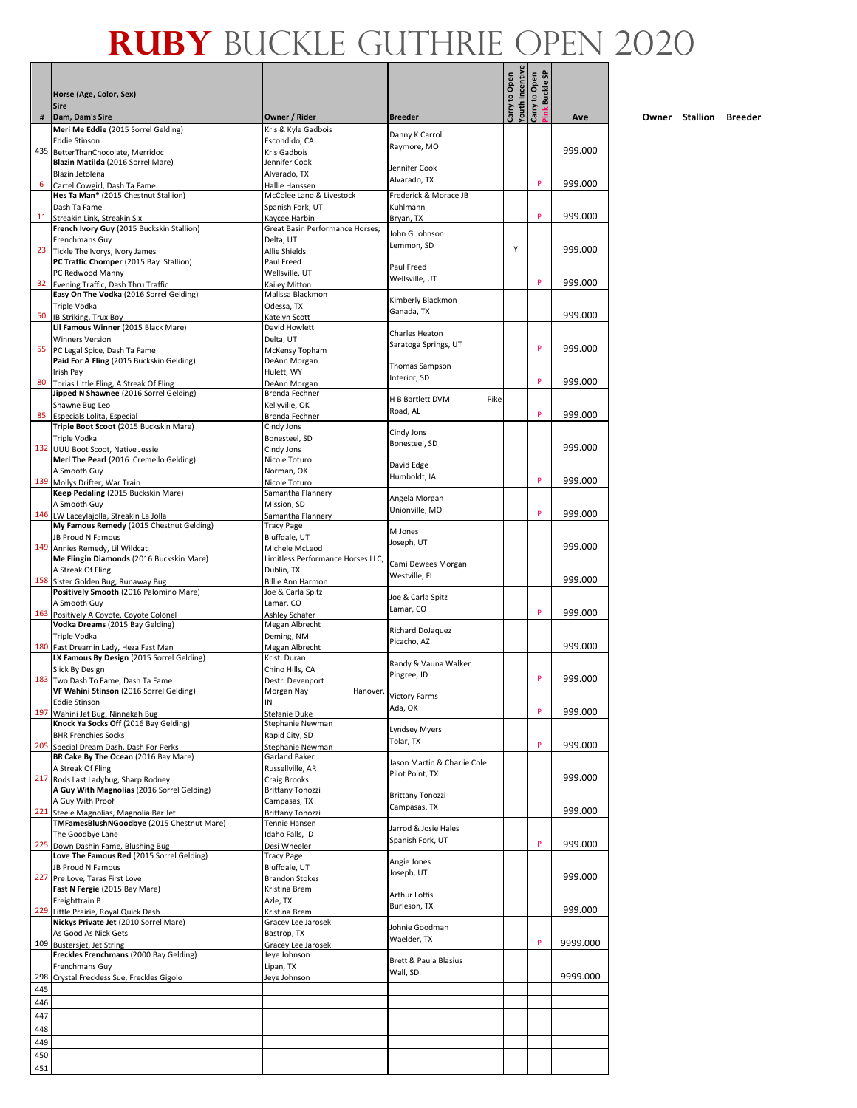|            | Horse (Age, Color, Sex)<br><b>Sire</b>                                             |                                                 |                                         | fouth Incentive<br>Carry to Open | Buckle SP<br>Carry to Open |          |
|------------|------------------------------------------------------------------------------------|-------------------------------------------------|-----------------------------------------|----------------------------------|----------------------------|----------|
| #          | Dam, Dam's Sire                                                                    | Owner / Rider                                   | <b>Breeder</b>                          |                                  | Ĭmk                        | Ave      |
|            | Meri Me Eddie (2015 Sorrel Gelding)<br><b>Eddie Stinson</b>                        | Kris & Kyle Gadbois<br>Escondido, CA            | Danny K Carrol                          |                                  |                            |          |
|            | 435 BetterThanChocolate, Merridoc                                                  | Kris Gadbois                                    | Raymore, MO                             |                                  |                            | 999.000  |
|            | Blazin Matilda (2016 Sorrel Mare)                                                  | Jennifer Cook                                   | Jennifer Cook                           |                                  |                            |          |
|            | Blazin Jetolena<br>Cartel Cowgirl, Dash Ta Fame                                    | Alvarado, TX<br>Hallie Hanssen                  | Alvarado, TX                            |                                  | P                          | 999.000  |
|            | Hes Ta Man* (2015 Chestnut Stallion)                                               | McColee Land & Livestock                        | Frederick & Morace JB                   |                                  |                            |          |
|            | Dash Ta Fame                                                                       | Spanish Fork, UT                                | Kuhlmann                                |                                  |                            |          |
| 11         | Streakin Link, Streakin Six                                                        | Kaycee Harbin                                   | Bryan, TX                               |                                  | P                          | 999.000  |
|            | French Ivory Guy (2015 Buckskin Stallion)<br>Frenchmans Guv                        | Great Basin Performance Horses;<br>Delta, UT    | John G Johnson                          |                                  |                            |          |
| 23         | Tickle The Ivorys, Ivory James                                                     | Allie Shields                                   | Lemmon, SD                              | Υ                                |                            | 999.000  |
|            | PC Traffic Chomper (2015 Bay Stallion)                                             | Paul Freed                                      | Paul Freed                              |                                  |                            |          |
|            | PC Redwood Manny                                                                   | Wellsville, UT                                  | Wellsville, UT                          |                                  | P                          |          |
|            | 32 Evening Traffic, Dash Thru Traffic<br>Easy On The Vodka (2016 Sorrel Gelding)   | Kailey Mitton<br>Malissa Blackmon               |                                         |                                  |                            | 999.000  |
|            | Triple Vodka                                                                       | Odessa, TX                                      | Kimberly Blackmon                       |                                  |                            |          |
| 50         | IB Striking, Trux Boy                                                              | Katelyn Scott                                   | Ganada, TX                              |                                  |                            | 999.000  |
|            | Lil Famous Winner (2015 Black Mare)                                                | David Howlett                                   | Charles Heaton                          |                                  |                            |          |
|            | <b>Winners Version</b><br>55 PC Legal Spice, Dash Ta Fame                          | Delta, UT                                       | Saratoga Springs, UT                    |                                  | P                          | 999.000  |
|            | Paid For A Fling (2015 Buckskin Gelding)                                           | McKensy Topham<br>DeAnn Morgan                  |                                         |                                  |                            |          |
|            | Irish Pay                                                                          | Hulett, WY                                      | Thomas Sampson                          |                                  |                            |          |
| 80         | Torias Little Fling, A Streak Of Fling                                             | DeAnn Morgan                                    | Interior, SD                            |                                  | P                          | 999.000  |
|            | Jipped N Shawnee (2016 Sorrel Gelding)<br>Shawne Bug Leo                           | Brenda Fechner<br>Kellyville, OK                | H B Bartlett DVM<br>Pike                |                                  |                            |          |
| 85         | Especials Lolita, Especial                                                         | Brenda Fechner                                  | Road, AL                                |                                  | P                          | 999.000  |
|            | Triple Boot Scoot (2015 Buckskin Mare)                                             | Cindy Jons                                      | Cindy Jons                              |                                  |                            |          |
|            | Triple Vodka                                                                       | Bonesteel, SD                                   | Bonesteel, SD                           |                                  |                            |          |
|            | 132 UUU Boot Scoot, Native Jessie<br>Merl The Pearl (2016 Cremello Gelding)        | Cindy Jons<br>Nicole Toturo                     |                                         |                                  |                            | 999.000  |
|            | A Smooth Guy                                                                       | Norman, OK                                      | David Edge                              |                                  |                            |          |
|            | 139 Mollys Drifter, War Train                                                      | Nicole Toturo                                   | Humboldt, IA                            |                                  | P                          | 999.000  |
|            | Keep Pedaling (2015 Buckskin Mare)                                                 | Samantha Flannery                               | Angela Morgan                           |                                  |                            |          |
|            | A Smooth Guy                                                                       | Mission, SD                                     | Unionville, MO                          |                                  | P                          | 999.000  |
|            | 146 LW Laceylajolla, Streakin La Jolla<br>My Famous Remedy (2015 Chestnut Gelding) | Samantha Flannery<br>Tracy Page                 |                                         |                                  |                            |          |
|            | JB Proud N Famous                                                                  | Bluffdale, UT                                   | M Jones<br>Joseph, UT                   |                                  |                            |          |
|            | 149 Annies Remedy, Lil Wildcat                                                     | Michele McLeod                                  |                                         |                                  |                            | 999.000  |
|            | Me Flingin Diamonds (2016 Buckskin Mare)<br>A Streak Of Fling                      | Limitless Performance Horses LLC,<br>Dublin, TX | Cami Dewees Morgan                      |                                  |                            |          |
|            | 158 Sister Golden Bug, Runaway Bug                                                 | Billie Ann Harmon                               | Westville, FL                           |                                  |                            | 999.000  |
|            | Positively Smooth (2016 Palomino Mare)                                             | Joe & Carla Spitz                               | Joe & Carla Spitz                       |                                  |                            |          |
|            | A Smooth Guy                                                                       | Lamar, CO                                       | Lamar, CO                               |                                  | P                          | 999.000  |
|            | 163 Positively A Coyote, Coyote Colonel<br>Vodka Dreams (2015 Bay Gelding)         | Ashley Schafer<br>Megan Albrecht                |                                         |                                  |                            |          |
|            | Triple Vodka                                                                       | Deming, NM                                      | Richard DoJaquez                        |                                  |                            |          |
|            | 180 Fast Dreamin Lady, Heza Fast Man                                               | Megan Albrecht                                  | Picacho, AZ                             |                                  |                            | 999.000  |
|            | LX Famous By Design (2015 Sorrel Gelding)                                          | Kristi Duran<br>Chino Hills, CA                 | Randy & Vauna Walker                    |                                  |                            |          |
|            | Slick By Design<br>183 Two Dash To Fame, Dash Ta Fame                              | Destri Devenport                                | Pingree, ID                             |                                  | P                          | 999.000  |
|            | VF Wahini Stinson (2016 Sorrel Gelding)                                            | Morgan Nay<br>Hanover,                          |                                         |                                  |                            |          |
|            | <b>Eddie Stinson</b>                                                               | IN                                              | Victory Farms<br>Ada, OK                |                                  | P                          |          |
| 197        | Wahini Jet Bug, Ninnekah Bug<br>Knock Ya Socks Off (2016 Bay Gelding)              | Stefanie Duke<br>Stephanie Newman               |                                         |                                  |                            | 999.000  |
|            | <b>BHR Frenchies Socks</b>                                                         | Rapid City, SD                                  | <b>Lyndsey Myers</b>                    |                                  |                            |          |
| 205        | Special Dream Dash, Dash For Perks                                                 | Stephanie Newman                                | Tolar, TX                               |                                  | P                          | 999.000  |
|            | BR Cake By The Ocean (2016 Bay Mare)                                               | <b>Garland Baker</b>                            | Jason Martin & Charlie Cole             |                                  |                            |          |
|            | A Streak Of Fling<br>217 Rods Last Ladybug, Sharp Rodney                           | Russellville, AR<br><b>Craig Brooks</b>         | Pilot Point, TX                         |                                  |                            | 999.000  |
|            | A Guy With Magnolias (2016 Sorrel Gelding)                                         | <b>Brittany Tonozzi</b>                         |                                         |                                  |                            |          |
|            | A Guy With Proof                                                                   | Campasas, TX                                    | <b>Brittany Tonozzi</b><br>Campasas, TX |                                  |                            |          |
| 221        | Steele Magnolias, Magnolia Bar Jet                                                 | <b>Brittany Tonozzi</b>                         |                                         |                                  |                            | 999.000  |
|            | TMFamesBlushNGoodbye (2015 Chestnut Mare)<br>The Goodbye Lane                      | Tennie Hansen<br>Idaho Falls, ID                | Jarrod & Josie Hales                    |                                  |                            |          |
| 225        | Down Dashin Fame, Blushing Bug                                                     | Desi Wheeler                                    | Spanish Fork, UT                        |                                  | P                          | 999.000  |
|            | Love The Famous Red (2015 Sorrel Gelding)                                          | <b>Tracy Page</b>                               | Angie Jones                             |                                  |                            |          |
|            | JB Proud N Famous                                                                  | Bluffdale, UT                                   | Joseph, UT                              |                                  |                            |          |
|            | 227 Pre Love, Taras First Love<br>Fast N Fergie (2015 Bay Mare)                    | <b>Brandon Stokes</b><br>Kristina Brem          |                                         |                                  |                            | 999.000  |
|            | Freighttrain B                                                                     | Azle, TX                                        | <b>Arthur Loftis</b>                    |                                  |                            |          |
|            | 229 Little Prairie, Royal Quick Dash                                               | Kristina Brem                                   | Burleson, TX                            |                                  |                            | 999.000  |
|            | Nickys Private Jet (2010 Sorrel Mare)                                              | Gracey Lee Jarosek                              | Johnie Goodman                          |                                  |                            |          |
|            | As Good As Nick Gets<br>109 Bustersiet, Jet String                                 | Bastrop, TX<br>Gracey Lee Jarosek               | Waelder, TX                             |                                  | P                          | 9999.000 |
|            | Freckles Frenchmans (2000 Bay Gelding)                                             | Jeye Johnson                                    |                                         |                                  |                            |          |
|            | Frenchmans Guy                                                                     | Lipan, TX                                       | Brett & Paula Blasius                   |                                  |                            |          |
|            | 298 Crystal Freckless Sue, Freckles Gigolo                                         | Jeye Johnson                                    | Wall, SD                                |                                  |                            | 9999.000 |
| 445        |                                                                                    |                                                 |                                         |                                  |                            |          |
| 446        |                                                                                    |                                                 |                                         |                                  |                            |          |
| 447        |                                                                                    |                                                 |                                         |                                  |                            |          |
| 448        |                                                                                    |                                                 |                                         |                                  |                            |          |
| 449        |                                                                                    |                                                 |                                         |                                  |                            |          |
| 450<br>451 |                                                                                    |                                                 |                                         |                                  |                            |          |
|            |                                                                                    |                                                 |                                         |                                  |                            |          |